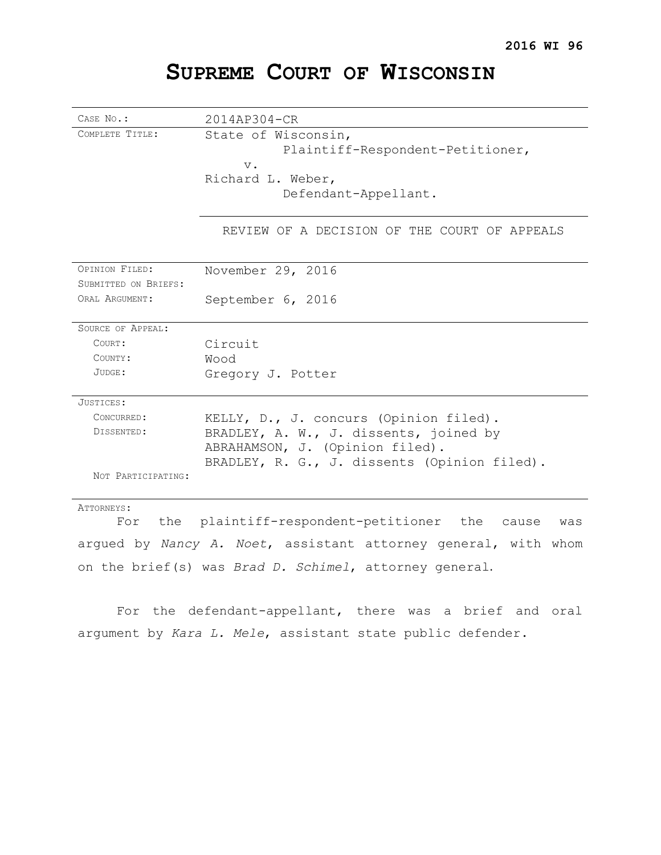# **SUPREME COURT OF WISCONSIN**

| CASE No.:                                                      | 2014AP304-CR                                        |
|----------------------------------------------------------------|-----------------------------------------------------|
| COMPLETE TITLE:                                                | State of Wisconsin,                                 |
|                                                                | Plaintiff-Respondent-Petitioner,                    |
|                                                                | $V$ .                                               |
|                                                                | Richard L. Weber,                                   |
|                                                                | Defendant-Appellant.                                |
|                                                                |                                                     |
|                                                                | REVIEW OF A DECISION OF THE COURT OF APPEALS        |
| OPINION FILED:                                                 | November 29, 2016                                   |
| SUBMITTED ON BRIEFS:                                           |                                                     |
| ORAL ARGUMENT:                                                 | September 6, 2016                                   |
|                                                                |                                                     |
| <b>SOURCE OF APPEAL:</b>                                       |                                                     |
| COURT:                                                         | Circuit                                             |
| COUNTY:                                                        | Wood                                                |
| JUDGE:                                                         | Gregory J. Potter                                   |
|                                                                |                                                     |
| JUSTICES:                                                      |                                                     |
| CONCURRED:                                                     | KELLY, D., J. concurs (Opinion filed).              |
| DISSENTED:                                                     | BRADLEY, A. W., J. dissents, joined by              |
|                                                                | ABRAHAMSON, J. (Opinion filed).                     |
|                                                                | BRADLEY, R. G., J. dissents (Opinion filed).        |
| NOT PARTICIPATING:                                             |                                                     |
| ATTORNEYS:                                                     |                                                     |
| For the                                                        | plaintiff-respondent-petitioner the<br>cause<br>was |
| arqued by Nancy A. Noet, assistant attorney general, with whom |                                                     |

on the brief(s) was *Brad D. Schimel*, attorney general.

For the defendant-appellant, there was a brief and oral argument by *Kara L. Mele*, assistant state public defender.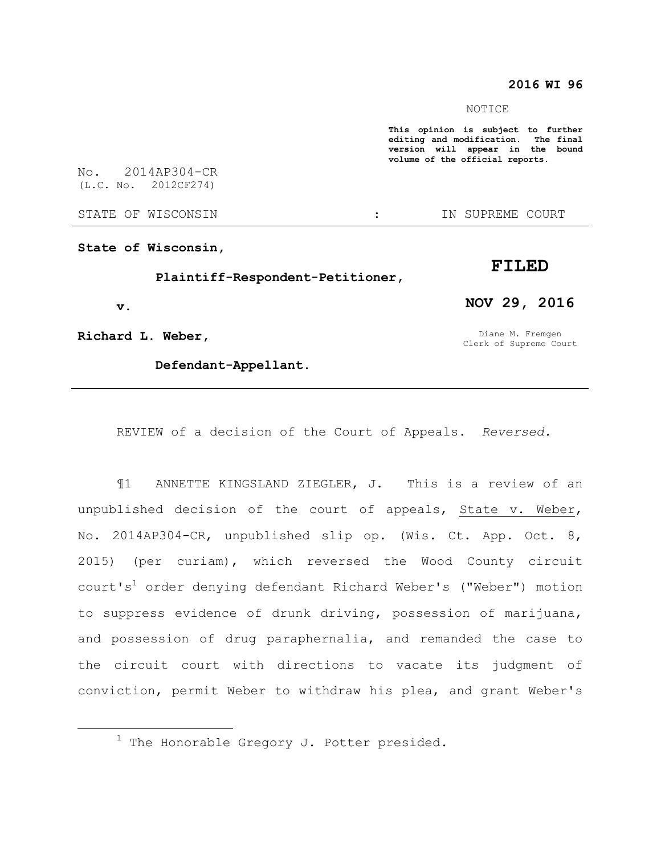### **2016 WI 96**

#### NOTICE

**This opinion is subject to further editing and modification. The final version will appear in the bound volume of the official reports.** 

No. 2014AP304-CR (L.C. No. 2012CF274)

STATE OF WISCONSIN THE STATE OF WISCONSIN THE STATE OF STATE OF STATE OF STATE OF STATE OF STATE OF STATE OF STATE OF STATE OF STATE OF STATE OF STATE OF STATE OF STATE OF STATE OF STATE OF STATE OF STATE OF STATE OF STATE

**State of Wisconsin,**

 **Plaintiff-Respondent-Petitioner,**

 **v.**

 $\overline{a}$ 

**Richard L. Weber,**

 **Defendant-Appellant.**

Diane M. Fremgen Clerk of Supreme Court

**NOV 29, 2016**

**FILED**

REVIEW of a decision of the Court of Appeals. *Reversed.*

¶1 ANNETTE KINGSLAND ZIEGLER, J. This is a review of an unpublished decision of the court of appeals, State v. Weber, No. 2014AP304-CR, unpublished slip op. (Wis. Ct. App. Oct. 8, 2015) (per curiam), which reversed the Wood County circuit court's<sup>1</sup> order denying defendant Richard Weber's ("Weber") motion to suppress evidence of drunk driving, possession of marijuana, and possession of drug paraphernalia, and remanded the case to the circuit court with directions to vacate its judgment of conviction, permit Weber to withdraw his plea, and grant Weber's

 $1$  The Honorable Gregory J. Potter presided.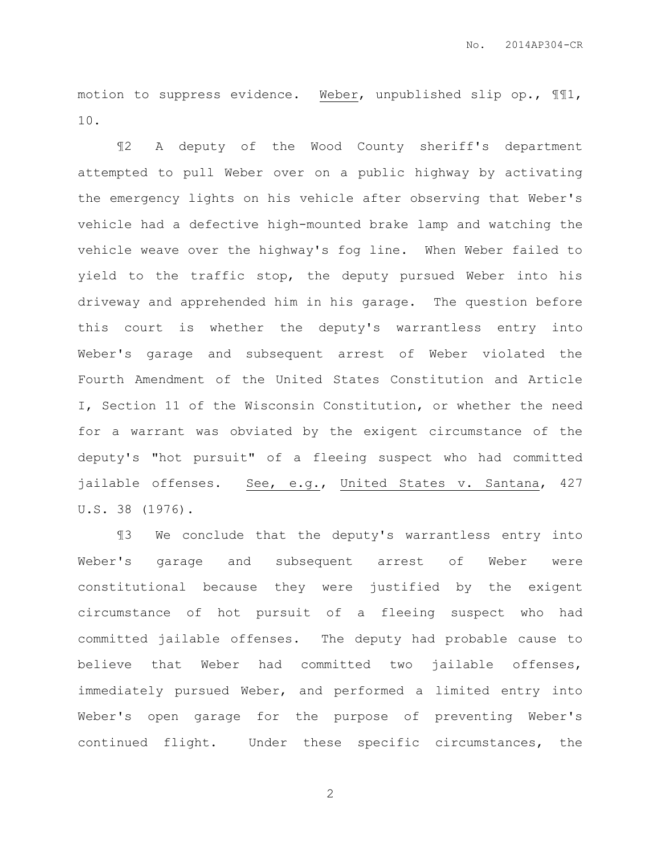motion to suppress evidence. Weber, unpublished slip op., ¶¶1, 10.

¶2 A deputy of the Wood County sheriff's department attempted to pull Weber over on a public highway by activating the emergency lights on his vehicle after observing that Weber's vehicle had a defective high-mounted brake lamp and watching the vehicle weave over the highway's fog line. When Weber failed to yield to the traffic stop, the deputy pursued Weber into his driveway and apprehended him in his garage. The question before this court is whether the deputy's warrantless entry into Weber's garage and subsequent arrest of Weber violated the Fourth Amendment of the United States Constitution and Article I, Section 11 of the Wisconsin Constitution, or whether the need for a warrant was obviated by the exigent circumstance of the deputy's "hot pursuit" of a fleeing suspect who had committed jailable offenses. See, e.g., United States v. Santana, 427 U.S. 38 (1976).

¶3 We conclude that the deputy's warrantless entry into Weber's garage and subsequent arrest of Weber were constitutional because they were justified by the exigent circumstance of hot pursuit of a fleeing suspect who had committed jailable offenses. The deputy had probable cause to believe that Weber had committed two jailable offenses, immediately pursued Weber, and performed a limited entry into Weber's open garage for the purpose of preventing Weber's continued flight. Under these specific circumstances, the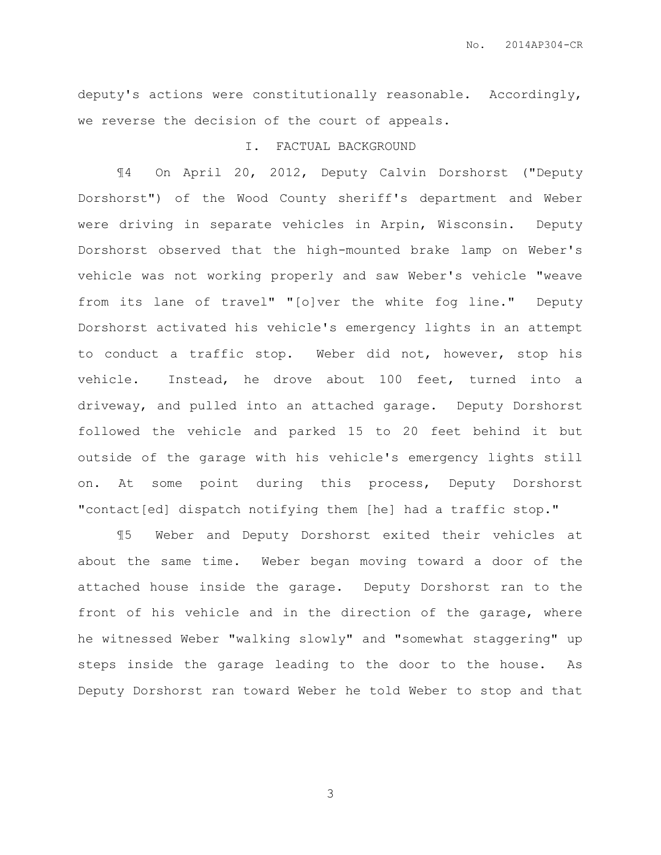deputy's actions were constitutionally reasonable. Accordingly, we reverse the decision of the court of appeals.

## I. FACTUAL BACKGROUND

¶4 On April 20, 2012, Deputy Calvin Dorshorst ("Deputy Dorshorst") of the Wood County sheriff's department and Weber were driving in separate vehicles in Arpin, Wisconsin. Deputy Dorshorst observed that the high-mounted brake lamp on Weber's vehicle was not working properly and saw Weber's vehicle "weave from its lane of travel" "[o]ver the white fog line." Deputy Dorshorst activated his vehicle's emergency lights in an attempt to conduct a traffic stop. Weber did not, however, stop his vehicle. Instead, he drove about 100 feet, turned into a driveway, and pulled into an attached garage. Deputy Dorshorst followed the vehicle and parked 15 to 20 feet behind it but outside of the garage with his vehicle's emergency lights still on. At some point during this process, Deputy Dorshorst "contact[ed] dispatch notifying them [he] had a traffic stop."

¶5 Weber and Deputy Dorshorst exited their vehicles at about the same time. Weber began moving toward a door of the attached house inside the garage. Deputy Dorshorst ran to the front of his vehicle and in the direction of the garage, where he witnessed Weber "walking slowly" and "somewhat staggering" up steps inside the garage leading to the door to the house. As Deputy Dorshorst ran toward Weber he told Weber to stop and that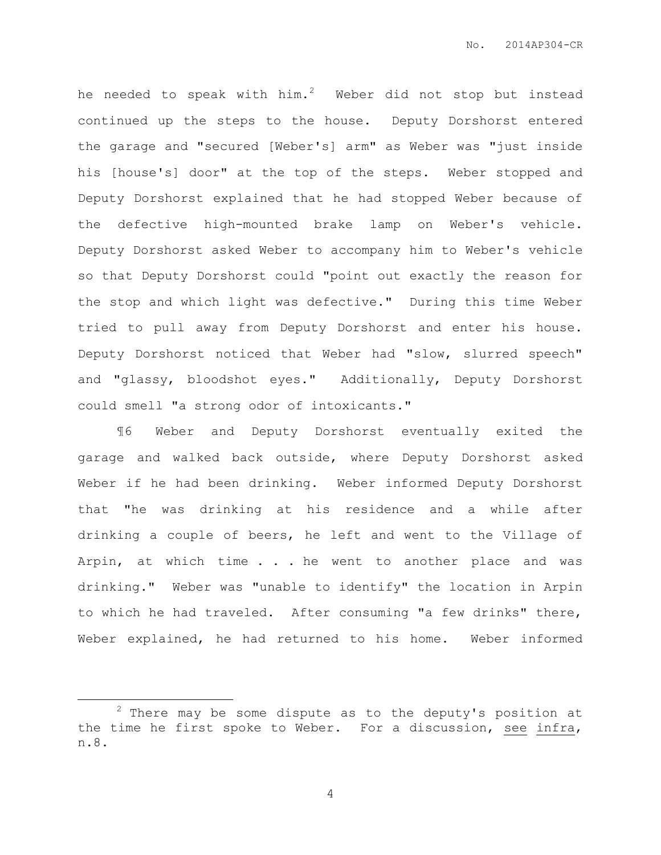he needed to speak with  $him.^2$  Weber did not stop but instead continued up the steps to the house. Deputy Dorshorst entered the garage and "secured [Weber's] arm" as Weber was "just inside his [house's] door" at the top of the steps. Weber stopped and Deputy Dorshorst explained that he had stopped Weber because of the defective high-mounted brake lamp on Weber's vehicle. Deputy Dorshorst asked Weber to accompany him to Weber's vehicle so that Deputy Dorshorst could "point out exactly the reason for the stop and which light was defective." During this time Weber tried to pull away from Deputy Dorshorst and enter his house. Deputy Dorshorst noticed that Weber had "slow, slurred speech" and "glassy, bloodshot eyes." Additionally, Deputy Dorshorst could smell "a strong odor of intoxicants."

¶6 Weber and Deputy Dorshorst eventually exited the garage and walked back outside, where Deputy Dorshorst asked Weber if he had been drinking. Weber informed Deputy Dorshorst that "he was drinking at his residence and a while after drinking a couple of beers, he left and went to the Village of Arpin, at which time . . . he went to another place and was drinking." Weber was "unable to identify" the location in Arpin to which he had traveled. After consuming "a few drinks" there, Weber explained, he had returned to his home. Weber informed

 $\overline{a}$ 

 $2$  There may be some dispute as to the deputy's position at the time he first spoke to Weber. For a discussion, see infra, n.8.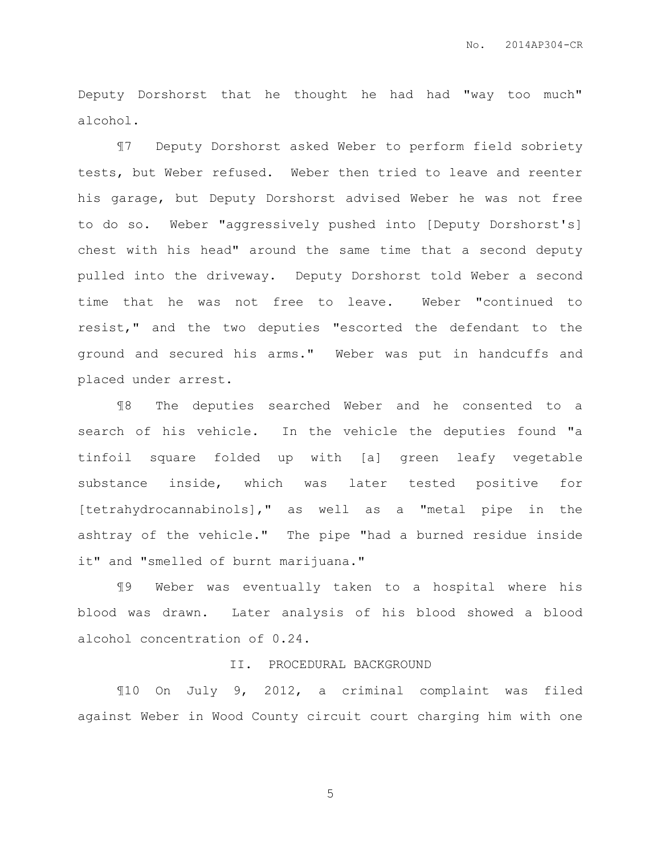Deputy Dorshorst that he thought he had had "way too much" alcohol.

¶7 Deputy Dorshorst asked Weber to perform field sobriety tests, but Weber refused. Weber then tried to leave and reenter his garage, but Deputy Dorshorst advised Weber he was not free to do so. Weber "aggressively pushed into [Deputy Dorshorst's] chest with his head" around the same time that a second deputy pulled into the driveway. Deputy Dorshorst told Weber a second time that he was not free to leave. Weber "continued to resist," and the two deputies "escorted the defendant to the ground and secured his arms." Weber was put in handcuffs and placed under arrest.

¶8 The deputies searched Weber and he consented to a search of his vehicle. In the vehicle the deputies found "a tinfoil square folded up with [a] green leafy vegetable substance inside, which was later tested positive for [tetrahydrocannabinols]," as well as a "metal pipe in the ashtray of the vehicle." The pipe "had a burned residue inside it" and "smelled of burnt marijuana."

¶9 Weber was eventually taken to a hospital where his blood was drawn. Later analysis of his blood showed a blood alcohol concentration of 0.24.

### II. PROCEDURAL BACKGROUND

¶10 On July 9, 2012, a criminal complaint was filed against Weber in Wood County circuit court charging him with one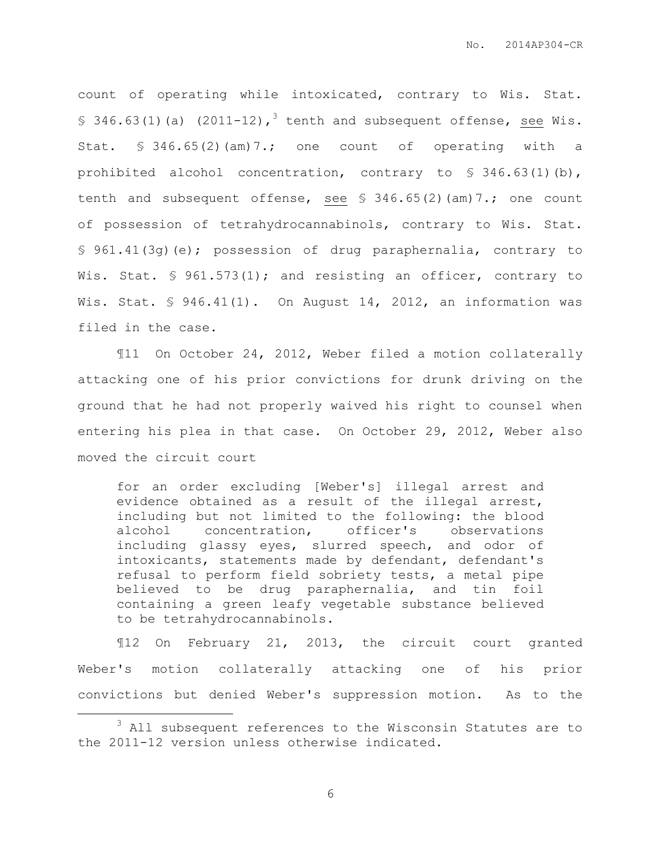count of operating while intoxicated, contrary to Wis. Stat. § 346.63(1)(a) (2011-12),<sup>3</sup> tenth and subsequent offense, see Wis. Stat. § 346.65(2)(am)7.; one count of operating with a prohibited alcohol concentration, contrary to § 346.63(1)(b), tenth and subsequent offense, see § 346.65(2)(am)7.; one count of possession of tetrahydrocannabinols, contrary to Wis. Stat. § 961.41(3g)(e); possession of drug paraphernalia, contrary to Wis. Stat. § 961.573(1); and resisting an officer, contrary to Wis. Stat. § 946.41(1). On August 14, 2012, an information was filed in the case.

¶11 On October 24, 2012, Weber filed a motion collaterally attacking one of his prior convictions for drunk driving on the ground that he had not properly waived his right to counsel when entering his plea in that case. On October 29, 2012, Weber also moved the circuit court

for an order excluding [Weber's] illegal arrest and evidence obtained as a result of the illegal arrest, including but not limited to the following: the blood alcohol concentration, officer's observations including glassy eyes, slurred speech, and odor of intoxicants, statements made by defendant, defendant's refusal to perform field sobriety tests, a metal pipe believed to be drug paraphernalia, and tin foil containing a green leafy vegetable substance believed to be tetrahydrocannabinols.

¶12 On February 21, 2013, the circuit court granted Weber's motion collaterally attacking one of his prior convictions but denied Weber's suppression motion. As to the

 $\overline{a}$ 

<sup>&</sup>lt;sup>3</sup> All subsequent references to the Wisconsin Statutes are to the 2011-12 version unless otherwise indicated.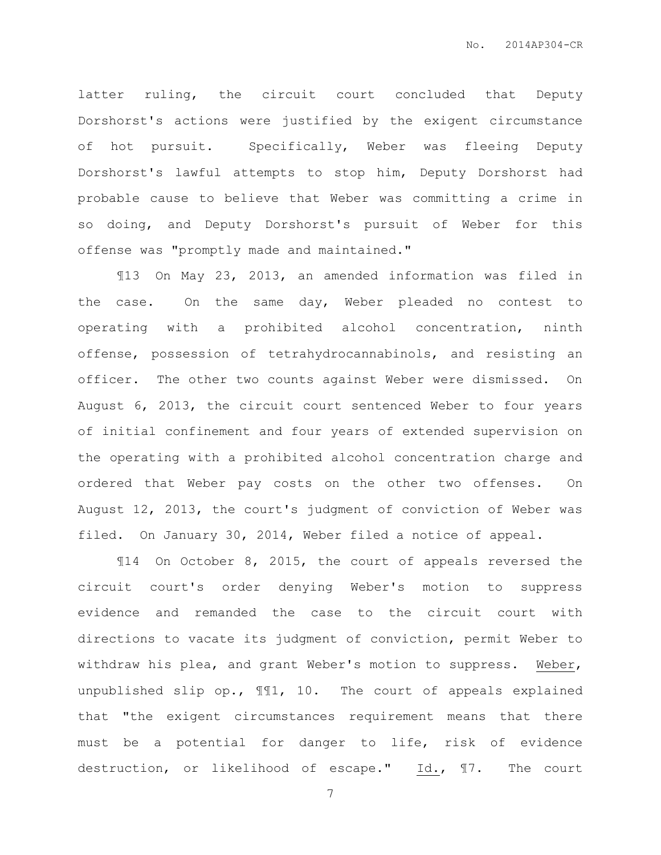latter ruling, the circuit court concluded that Deputy Dorshorst's actions were justified by the exigent circumstance of hot pursuit. Specifically, Weber was fleeing Deputy Dorshorst's lawful attempts to stop him, Deputy Dorshorst had probable cause to believe that Weber was committing a crime in so doing, and Deputy Dorshorst's pursuit of Weber for this offense was "promptly made and maintained."

¶13 On May 23, 2013, an amended information was filed in the case. On the same day, Weber pleaded no contest to operating with a prohibited alcohol concentration, ninth offense, possession of tetrahydrocannabinols, and resisting an officer. The other two counts against Weber were dismissed. On August 6, 2013, the circuit court sentenced Weber to four years of initial confinement and four years of extended supervision on the operating with a prohibited alcohol concentration charge and ordered that Weber pay costs on the other two offenses. On August 12, 2013, the court's judgment of conviction of Weber was filed. On January 30, 2014, Weber filed a notice of appeal.

¶14 On October 8, 2015, the court of appeals reversed the circuit court's order denying Weber's motion to suppress evidence and remanded the case to the circuit court with directions to vacate its judgment of conviction, permit Weber to withdraw his plea, and grant Weber's motion to suppress. Weber, unpublished slip op., ¶¶1, 10. The court of appeals explained that "the exigent circumstances requirement means that there must be a potential for danger to life, risk of evidence destruction, or likelihood of escape." Id., 17. The court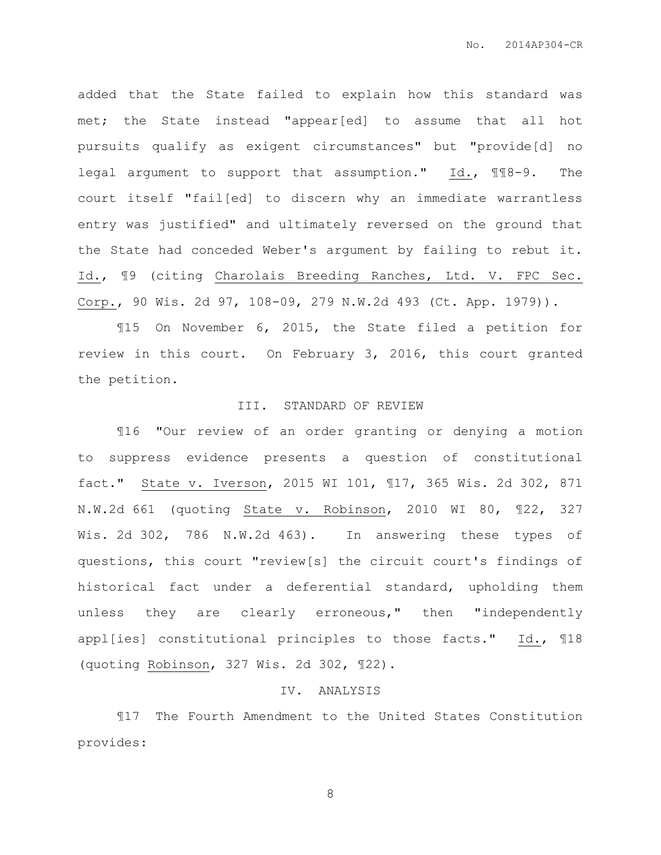added that the State failed to explain how this standard was met; the State instead "appear[ed] to assume that all hot pursuits qualify as exigent circumstances" but "provide[d] no legal argument to support that assumption." Id., ¶¶8-9. The court itself "fail[ed] to discern why an immediate warrantless entry was justified" and ultimately reversed on the ground that the State had conceded Weber's argument by failing to rebut it. Id., ¶9 (citing Charolais Breeding Ranches, Ltd. V. FPC Sec. Corp., 90 Wis. 2d 97, 108-09, 279 N.W.2d 493 (Ct. App. 1979)).

¶15 On November 6, 2015, the State filed a petition for review in this court. On February 3, 2016, this court granted the petition.

#### III. STANDARD OF REVIEW

¶16 "Our review of an order granting or denying a motion to suppress evidence presents a question of constitutional fact." State v. Iverson, 2015 WI 101, ¶17, 365 Wis. 2d 302, 871 N.W.2d 661 (quoting State v. Robinson, 2010 WI 80, ¶22, 327 Wis. 2d 302, 786 N.W.2d 463). In answering these types of questions, this court "review[s] the circuit court's findings of historical fact under a deferential standard, upholding them unless they are clearly erroneous," then "independently appl[ies] constitutional principles to those facts." Id., ¶18 (quoting Robinson, 327 Wis. 2d 302, ¶22).

### IV. ANALYSIS

¶17 The Fourth Amendment to the United States Constitution provides: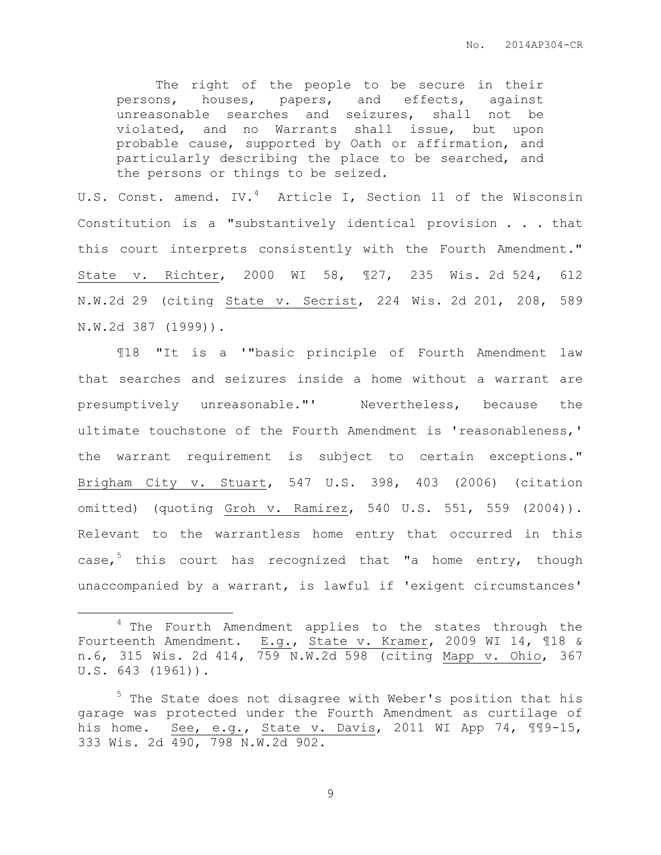The right of the people to be secure in their persons, houses, papers, and effects, against unreasonable searches and seizures, shall not be violated, and no Warrants shall issue, but upon probable cause, supported by Oath or affirmation, and particularly describing the place to be searched, and the persons or things to be seized.

U.S. Const. amend. IV.<sup>4</sup> Article I, Section 11 of the Wisconsin Constitution is a "substantively identical provision . . . that this court interprets consistently with the Fourth Amendment." State v. Richter, 2000 WI 58, ¶27, 235 Wis. 2d 524, 612 N.W.2d 29 (citing State v. Secrist, 224 Wis. 2d 201, 208, 589 N.W.2d 387 (1999)).

¶18 "It is a '"basic principle of Fourth Amendment law that searches and seizures inside a home without a warrant are presumptively unreasonable."' Nevertheless, because the ultimate touchstone of the Fourth Amendment is 'reasonableness,' the warrant requirement is subject to certain exceptions." Brigham City v. Stuart, 547 U.S. 398, 403 (2006) (citation omitted) (quoting Groh v. Ramirez, 540 U.S. 551, 559 (2004)). Relevant to the warrantless home entry that occurred in this case,<sup>5</sup> this court has recognized that "a home entry, though unaccompanied by a warrant, is lawful if 'exigent circumstances'

 $\overline{a}$ 

<sup>&</sup>lt;sup>4</sup> The Fourth Amendment applies to the states through the Fourteenth Amendment. E.g., State v. Kramer, 2009 WI 14, ¶18 & n.6, 315 Wis. 2d 414, 759 N.W.2d 598 (citing Mapp v. Ohio, 367 U.S. 643 (1961)).

<sup>&</sup>lt;sup>5</sup> The State does not disagree with Weber's position that his garage was protected under the Fourth Amendment as curtilage of his home. See, e.g., State v. Davis, 2011 WI App 74, 119-15, 333 Wis. 2d 490, 798 N.W.2d 902.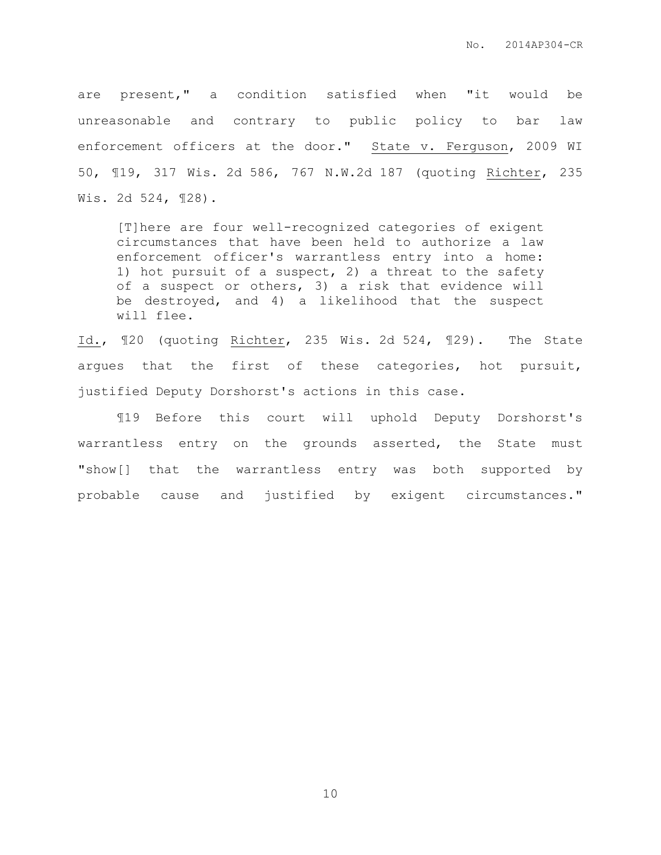are present," a condition satisfied when "it would be unreasonable and contrary to public policy to bar law enforcement officers at the door." State v. Ferguson, 2009 WI 50, ¶19, 317 Wis. 2d 586, 767 N.W.2d 187 (quoting Richter, 235 Wis. 2d 524, ¶28).

[T]here are four well-recognized categories of exigent circumstances that have been held to authorize a law enforcement officer's warrantless entry into a home: 1) hot pursuit of a suspect, 2) a threat to the safety of a suspect or others, 3) a risk that evidence will be destroyed, and 4) a likelihood that the suspect will flee.

Id., ¶20 (quoting Richter, 235 Wis. 2d 524, ¶29). The State argues that the first of these categories, hot pursuit, justified Deputy Dorshorst's actions in this case.

¶19 Before this court will uphold Deputy Dorshorst's warrantless entry on the grounds asserted, the State must "show[] that the warrantless entry was both supported by probable cause and justified by exigent circumstances."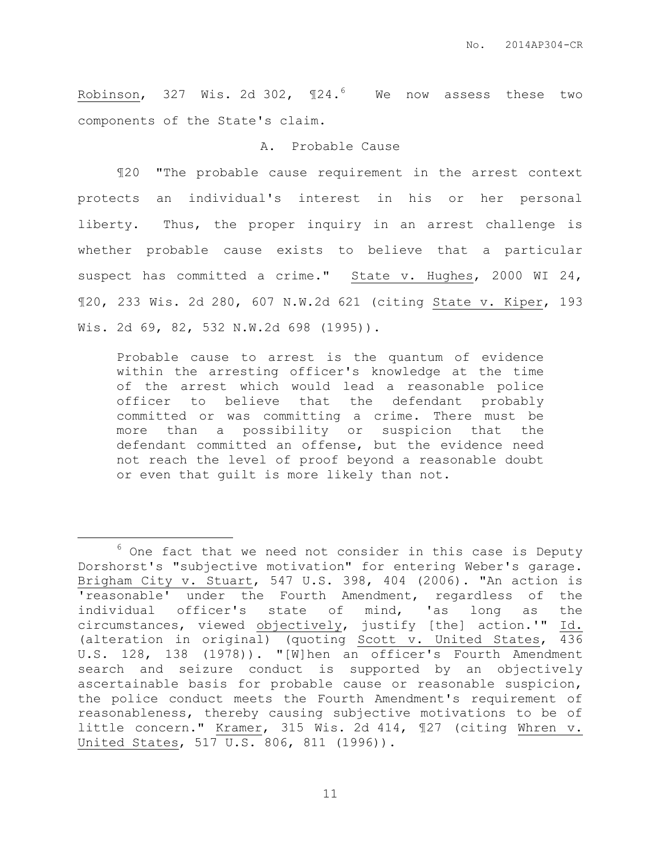Robinson, 327 Wis. 2d 302,  $\P$ 24.<sup>6</sup> We now assess these two components of the State's claim.

#### A. Probable Cause

¶20 "The probable cause requirement in the arrest context protects an individual's interest in his or her personal liberty. Thus, the proper inquiry in an arrest challenge is whether probable cause exists to believe that a particular suspect has committed a crime." State v. Hughes, 2000 WI 24, ¶20, 233 Wis. 2d 280, 607 N.W.2d 621 (citing State v. Kiper, 193 Wis. 2d 69, 82, 532 N.W.2d 698 (1995)).

Probable cause to arrest is the quantum of evidence within the arresting officer's knowledge at the time of the arrest which would lead a reasonable police officer to believe that the defendant probably committed or was committing a crime. There must be more than a possibility or suspicion that the defendant committed an offense, but the evidence need not reach the level of proof beyond a reasonable doubt or even that guilt is more likely than not.

 $\overline{a}$ 

 $6$  One fact that we need not consider in this case is Deputy Dorshorst's "subjective motivation" for entering Weber's garage. Brigham City v. Stuart, 547 U.S. 398, 404 (2006). "An action is 'reasonable' under the Fourth Amendment, regardless of the individual officer's state of mind, 'as long as the circumstances, viewed objectively, justify [the] action.'" Id. (alteration in original) (quoting Scott v. United States, 436 U.S. 128, 138 (1978)). "[W]hen an officer's Fourth Amendment search and seizure conduct is supported by an objectively ascertainable basis for probable cause or reasonable suspicion, the police conduct meets the Fourth Amendment's requirement of reasonableness, thereby causing subjective motivations to be of little concern." Kramer, 315 Wis. 2d 414, ¶27 (citing Whren v. United States, 517 U.S. 806, 811 (1996)).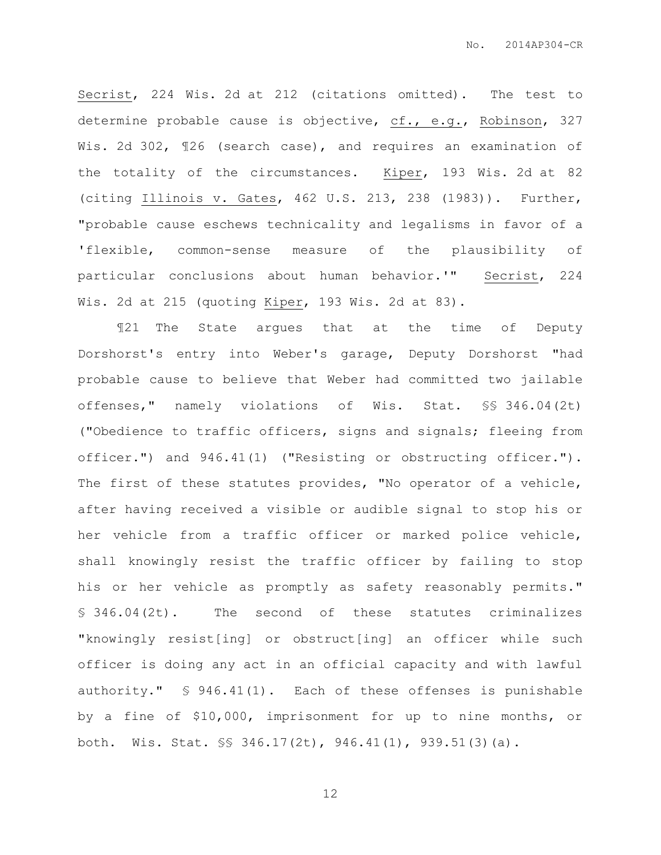Secrist, 224 Wis. 2d at 212 (citations omitted). The test to determine probable cause is objective, cf., e.g., Robinson, 327 Wis. 2d 302, 126 (search case), and requires an examination of the totality of the circumstances. Kiper, 193 Wis. 2d at 82 (citing Illinois v. Gates, 462 U.S. 213, 238 (1983)). Further, "probable cause eschews technicality and legalisms in favor of a 'flexible, common-sense measure of the plausibility of particular conclusions about human behavior.'" Secrist, 224 Wis. 2d at 215 (quoting Kiper, 193 Wis. 2d at 83).

¶21 The State argues that at the time of Deputy Dorshorst's entry into Weber's garage, Deputy Dorshorst "had probable cause to believe that Weber had committed two jailable offenses," namely violations of Wis. Stat. §§ 346.04(2t) ("Obedience to traffic officers, signs and signals; fleeing from officer.") and 946.41(1) ("Resisting or obstructing officer."). The first of these statutes provides, "No operator of a vehicle, after having received a visible or audible signal to stop his or her vehicle from a traffic officer or marked police vehicle, shall knowingly resist the traffic officer by failing to stop his or her vehicle as promptly as safety reasonably permits." § 346.04(2t). The second of these statutes criminalizes "knowingly resist[ing] or obstruct[ing] an officer while such officer is doing any act in an official capacity and with lawful authority." § 946.41(1). Each of these offenses is punishable by a fine of \$10,000, imprisonment for up to nine months, or both. Wis. Stat. §§ 346.17(2t), 946.41(1), 939.51(3)(a).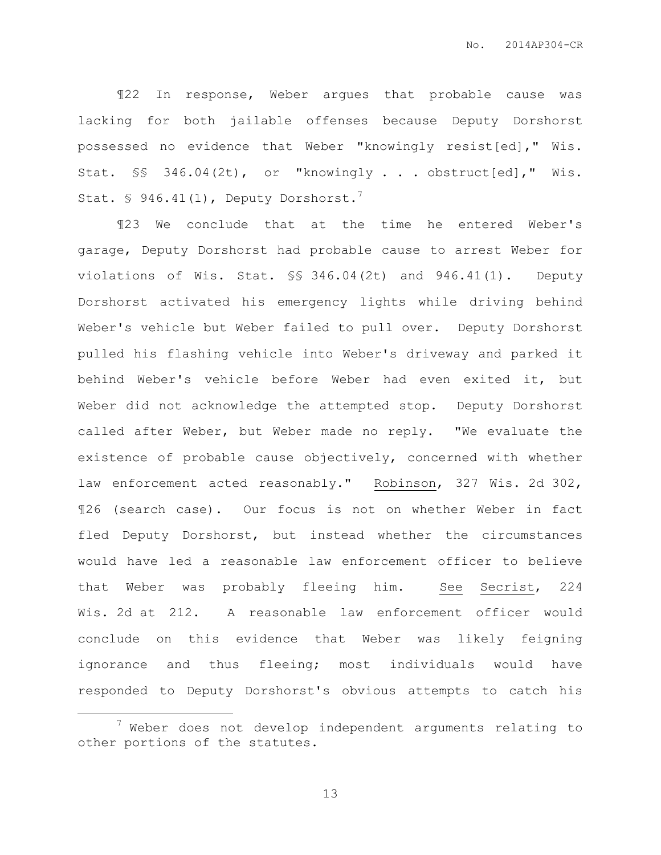¶22 In response, Weber argues that probable cause was lacking for both jailable offenses because Deputy Dorshorst possessed no evidence that Weber "knowingly resist[ed]," Wis. Stat. §§ 346.04(2t), or "knowingly . . . obstruct[ed]," Wis. Stat.  $\$$  946.41(1), Deputy Dorshorst.<sup>7</sup>

¶23 We conclude that at the time he entered Weber's garage, Deputy Dorshorst had probable cause to arrest Weber for violations of Wis. Stat. §§ 346.04(2t) and 946.41(1). Deputy Dorshorst activated his emergency lights while driving behind Weber's vehicle but Weber failed to pull over. Deputy Dorshorst pulled his flashing vehicle into Weber's driveway and parked it behind Weber's vehicle before Weber had even exited it, but Weber did not acknowledge the attempted stop. Deputy Dorshorst called after Weber, but Weber made no reply. "We evaluate the existence of probable cause objectively, concerned with whether law enforcement acted reasonably." Robinson, 327 Wis. 2d 302, ¶26 (search case). Our focus is not on whether Weber in fact fled Deputy Dorshorst, but instead whether the circumstances would have led a reasonable law enforcement officer to believe that Weber was probably fleeing him. See Secrist, 224 Wis. 2d at 212. A reasonable law enforcement officer would conclude on this evidence that Weber was likely feigning ignorance and thus fleeing; most individuals would have responded to Deputy Dorshorst's obvious attempts to catch his

 $\overline{a}$ 

 $7$  Weber does not develop independent arguments relating to other portions of the statutes.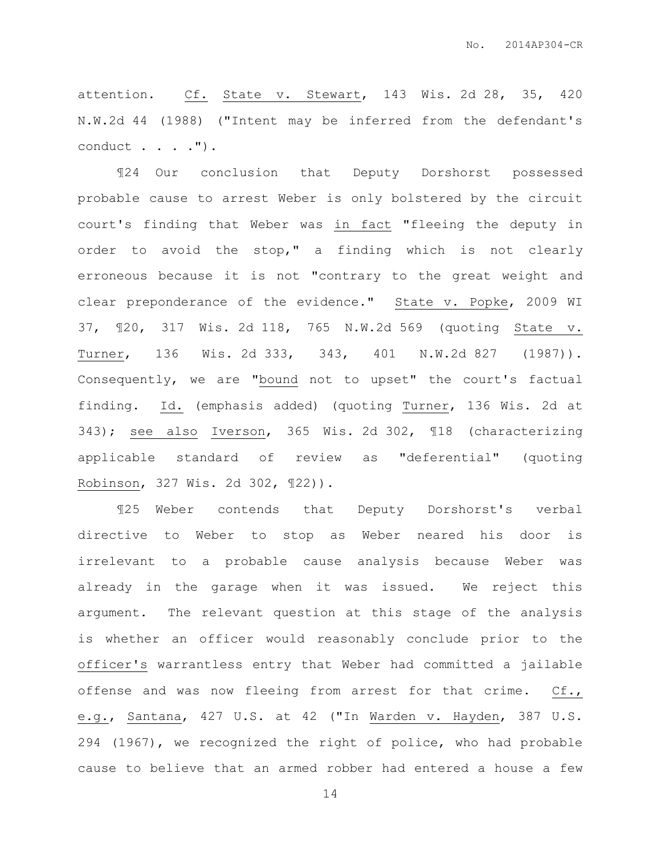attention. Cf. State v. Stewart, 143 Wis. 2d 28, 35, 420 N.W.2d 44 (1988) ("Intent may be inferred from the defendant's conduct . . . . ").

¶24 Our conclusion that Deputy Dorshorst possessed probable cause to arrest Weber is only bolstered by the circuit court's finding that Weber was in fact "fleeing the deputy in order to avoid the stop," a finding which is not clearly erroneous because it is not "contrary to the great weight and clear preponderance of the evidence." State v. Popke, 2009 WI 37, ¶20, 317 Wis. 2d 118, 765 N.W.2d 569 (quoting State v. Turner, 136 Wis. 2d 333, 343, 401 N.W.2d 827 (1987)). Consequently, we are "bound not to upset" the court's factual finding. Id. (emphasis added) (quoting Turner, 136 Wis. 2d at 343); see also Iverson, 365 Wis. 2d 302, ¶18 (characterizing applicable standard of review as "deferential" (quoting Robinson, 327 Wis. 2d 302, ¶22)).

¶25 Weber contends that Deputy Dorshorst's verbal directive to Weber to stop as Weber neared his door is irrelevant to a probable cause analysis because Weber was already in the garage when it was issued. We reject this argument. The relevant question at this stage of the analysis is whether an officer would reasonably conclude prior to the officer's warrantless entry that Weber had committed a jailable offense and was now fleeing from arrest for that crime. Cf., e.g., Santana, 427 U.S. at 42 ("In Warden v. Hayden, 387 U.S. 294 (1967), we recognized the right of police, who had probable cause to believe that an armed robber had entered a house a few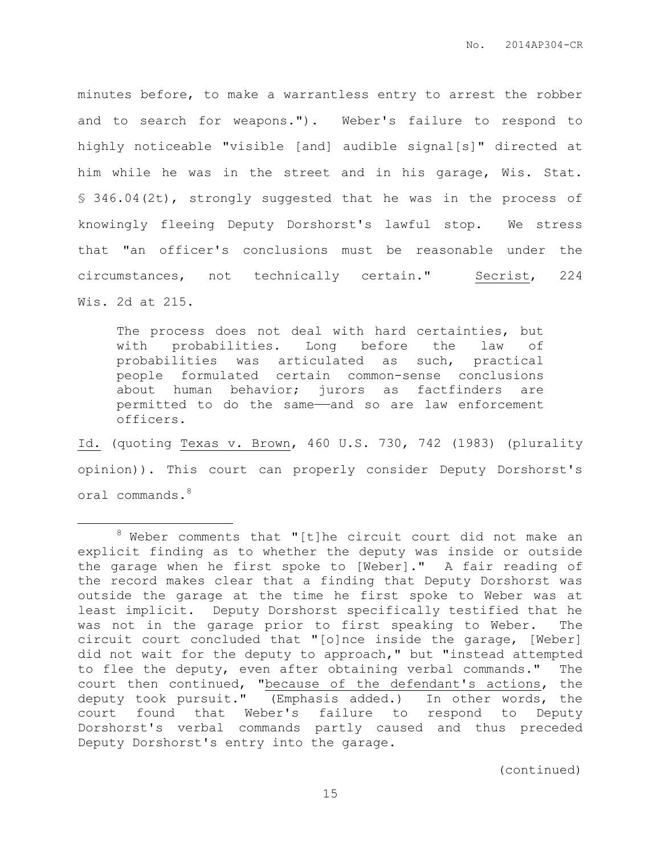minutes before, to make a warrantless entry to arrest the robber and to search for weapons."). Weber's failure to respond to highly noticeable "visible [and] audible signal[s]" directed at him while he was in the street and in his garage, Wis. Stat. § 346.04(2t), strongly suggested that he was in the process of knowingly fleeing Deputy Dorshorst's lawful stop. We stress that "an officer's conclusions must be reasonable under the circumstances, not technically certain." Secrist, 224 Wis. 2d at 215.

The process does not deal with hard certainties, but with probabilities. Long before the law of probabilities was articulated as such, practical people formulated certain common-sense conclusions about human behavior; jurors as factfinders are permitted to do the same——and so are law enforcement officers.

Id. (quoting Texas v. Brown, 460 U.S. 730, 742 (1983) (plurality opinion)). This court can properly consider Deputy Dorshorst's oral commands.<sup>8</sup>

 $\overline{a}$ 

 $8$  Weber comments that "[t]he circuit court did not make an explicit finding as to whether the deputy was inside or outside the garage when he first spoke to [Weber]." A fair reading of the record makes clear that a finding that Deputy Dorshorst was outside the garage at the time he first spoke to Weber was at least implicit. Deputy Dorshorst specifically testified that he was not in the garage prior to first speaking to Weber. The circuit court concluded that "[o]nce inside the garage, [Weber] did not wait for the deputy to approach," but "instead attempted to flee the deputy, even after obtaining verbal commands." The court then continued, "because of the defendant's actions, the deputy took pursuit." (Emphasis added.) In other words, the court found that Weber's failure to respond to Deputy Dorshorst's verbal commands partly caused and thus preceded Deputy Dorshorst's entry into the garage.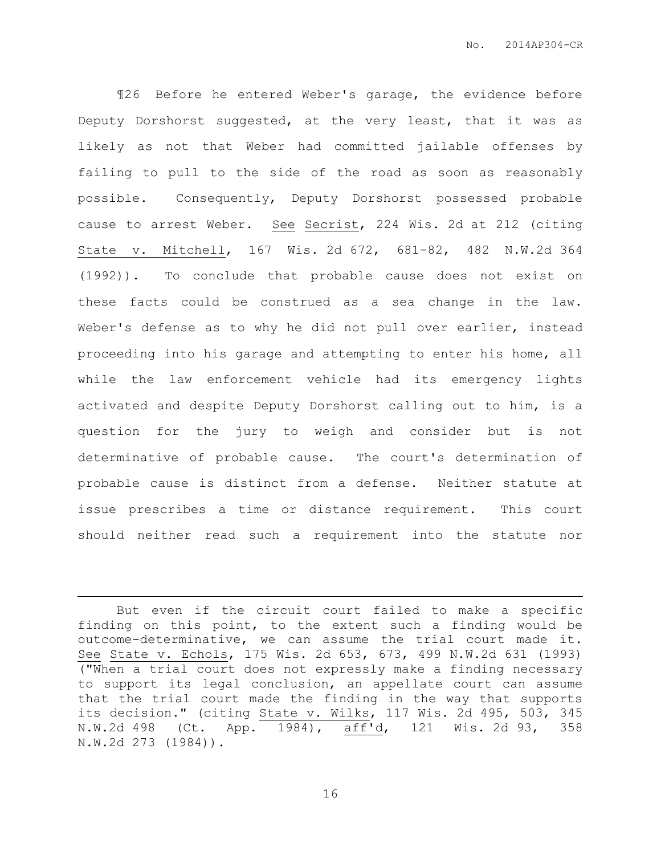¶26 Before he entered Weber's garage, the evidence before Deputy Dorshorst suggested, at the very least, that it was as likely as not that Weber had committed jailable offenses by failing to pull to the side of the road as soon as reasonably possible. Consequently, Deputy Dorshorst possessed probable cause to arrest Weber. See Secrist, 224 Wis. 2d at 212 (citing State v. Mitchell, 167 Wis. 2d 672, 681-82, 482 N.W.2d 364 (1992)). To conclude that probable cause does not exist on these facts could be construed as a sea change in the law. Weber's defense as to why he did not pull over earlier, instead proceeding into his garage and attempting to enter his home, all while the law enforcement vehicle had its emergency lights activated and despite Deputy Dorshorst calling out to him, is a question for the jury to weigh and consider but is not determinative of probable cause. The court's determination of probable cause is distinct from a defense. Neither statute at issue prescribes a time or distance requirement. This court should neither read such a requirement into the statute nor

 $\overline{a}$ 

But even if the circuit court failed to make a specific finding on this point, to the extent such a finding would be outcome-determinative, we can assume the trial court made it. See State v. Echols, 175 Wis. 2d 653, 673, 499 N.W.2d 631 (1993) ("When a trial court does not expressly make a finding necessary to support its legal conclusion, an appellate court can assume that the trial court made the finding in the way that supports its decision." (citing State v. Wilks, 117 Wis. 2d 495, 503, 345 N.W.2d 498 (Ct. App. 1984), aff'd, 121 Wis. 2d 93, 358 N.W.2d 273 (1984)).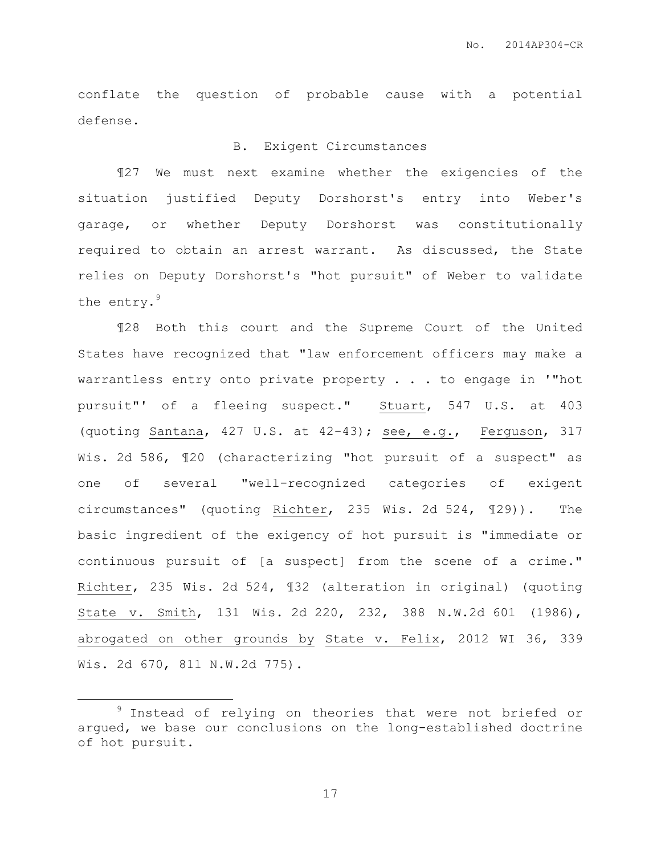conflate the question of probable cause with a potential defense.

### B. Exigent Circumstances

¶27 We must next examine whether the exigencies of the situation justified Deputy Dorshorst's entry into Weber's garage, or whether Deputy Dorshorst was constitutionally required to obtain an arrest warrant. As discussed, the State relies on Deputy Dorshorst's "hot pursuit" of Weber to validate the entry.<sup>9</sup>

¶28 Both this court and the Supreme Court of the United States have recognized that "law enforcement officers may make a warrantless entry onto private property . . . to engage in '"hot pursuit"' of a fleeing suspect." Stuart, 547 U.S. at 403 (quoting Santana, 427 U.S. at 42-43); see, e.g., Ferguson, 317 Wis. 2d 586, ¶20 (characterizing "hot pursuit of a suspect" as one of several "well-recognized categories of exigent circumstances" (quoting Richter, 235 Wis. 2d 524, ¶29)). The basic ingredient of the exigency of hot pursuit is "immediate or continuous pursuit of [a suspect] from the scene of a crime." Richter, 235 Wis. 2d 524, ¶32 (alteration in original) (quoting State v. Smith, 131 Wis. 2d 220, 232, 388 N.W.2d 601 (1986), abrogated on other grounds by State v. Felix, 2012 WI 36, 339 Wis. 2d 670, 811 N.W.2d 775).

 $\overline{a}$ 

<sup>&</sup>lt;sup>9</sup> Instead of relying on theories that were not briefed or argued, we base our conclusions on the long-established doctrine of hot pursuit.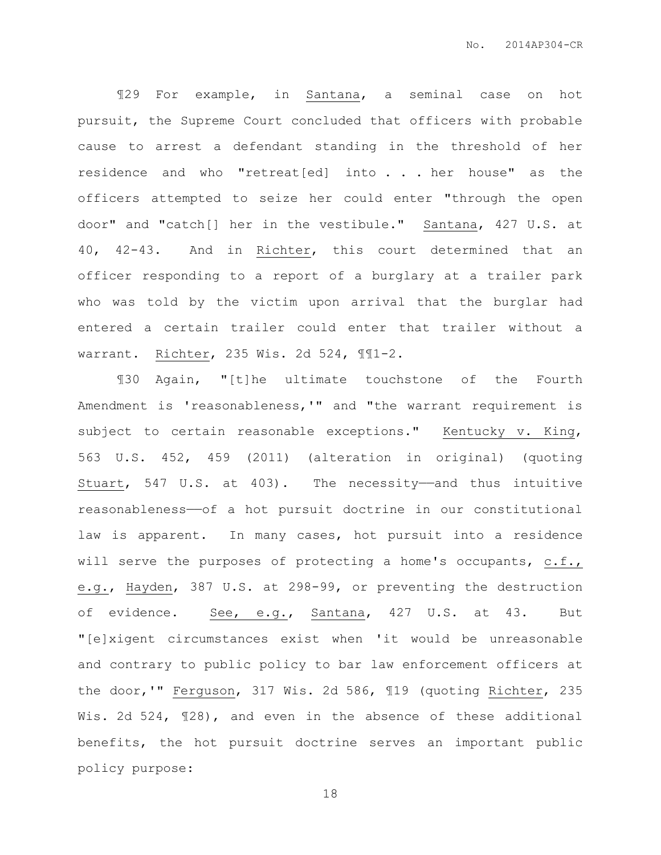¶29 For example, in Santana, a seminal case on hot pursuit, the Supreme Court concluded that officers with probable cause to arrest a defendant standing in the threshold of her residence and who "retreat[ed] into . . . her house" as the officers attempted to seize her could enter "through the open door" and "catch[] her in the vestibule." Santana, 427 U.S. at 40, 42-43. And in Richter, this court determined that an officer responding to a report of a burglary at a trailer park who was told by the victim upon arrival that the burglar had entered a certain trailer could enter that trailer without a warrant. Richter, 235 Wis. 2d 524, ¶¶1-2.

¶30 Again, "[t]he ultimate touchstone of the Fourth Amendment is 'reasonableness,'" and "the warrant requirement is subject to certain reasonable exceptions." Kentucky v. King, 563 U.S. 452, 459 (2011) (alteration in original) (quoting Stuart, 547 U.S. at 403). The necessity—and thus intuitive reasonableness——of a hot pursuit doctrine in our constitutional law is apparent. In many cases, hot pursuit into a residence will serve the purposes of protecting a home's occupants, c.f., e.g., Hayden, 387 U.S. at 298-99, or preventing the destruction of evidence. See, e.g., Santana, 427 U.S. at 43. But "[e]xigent circumstances exist when 'it would be unreasonable and contrary to public policy to bar law enforcement officers at the door,'" Ferguson, 317 Wis. 2d 586, ¶19 (quoting Richter, 235 Wis. 2d 524, ¶28), and even in the absence of these additional benefits, the hot pursuit doctrine serves an important public policy purpose: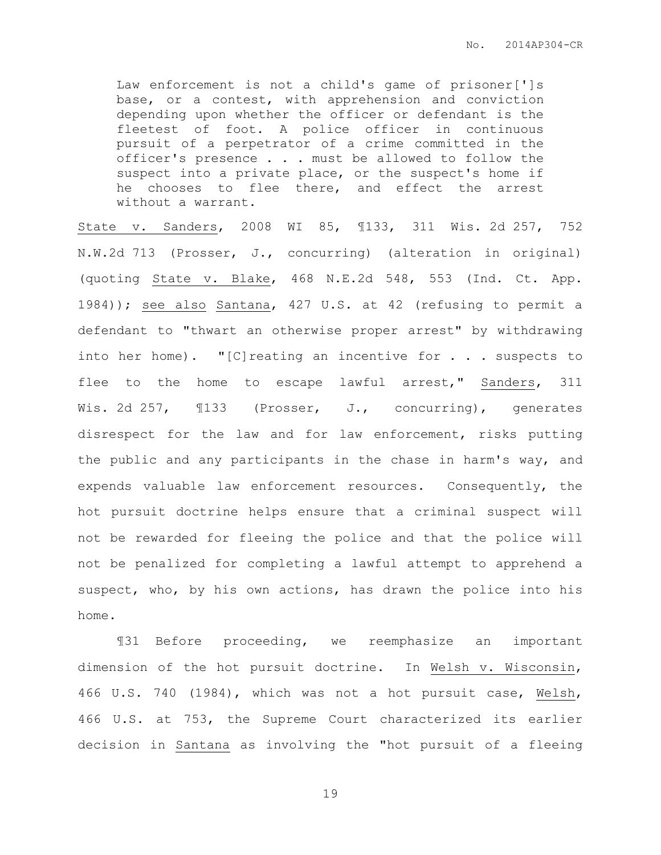Law enforcement is not a child's game of prisoner[']s base, or a contest, with apprehension and conviction depending upon whether the officer or defendant is the fleetest of foot. A police officer in continuous pursuit of a perpetrator of a crime committed in the officer's presence . . . must be allowed to follow the suspect into a private place, or the suspect's home if he chooses to flee there, and effect the arrest without a warrant.

State v. Sanders, 2008 WI 85, ¶133, 311 Wis. 2d 257, 752 N.W.2d 713 (Prosser, J., concurring) (alteration in original) (quoting State v. Blake, 468 N.E.2d 548, 553 (Ind. Ct. App. 1984)); see also Santana, 427 U.S. at 42 (refusing to permit a defendant to "thwart an otherwise proper arrest" by withdrawing into her home). "[C]reating an incentive for . . . suspects to flee to the home to escape lawful arrest," Sanders, 311 Wis. 2d 257,  $\text{I}133$  (Prosser, J., concurring), generates disrespect for the law and for law enforcement, risks putting the public and any participants in the chase in harm's way, and expends valuable law enforcement resources. Consequently, the hot pursuit doctrine helps ensure that a criminal suspect will not be rewarded for fleeing the police and that the police will not be penalized for completing a lawful attempt to apprehend a suspect, who, by his own actions, has drawn the police into his home.

¶31 Before proceeding, we reemphasize an important dimension of the hot pursuit doctrine. In Welsh v. Wisconsin, 466 U.S. 740 (1984), which was not a hot pursuit case, Welsh, 466 U.S. at 753, the Supreme Court characterized its earlier decision in Santana as involving the "hot pursuit of a fleeing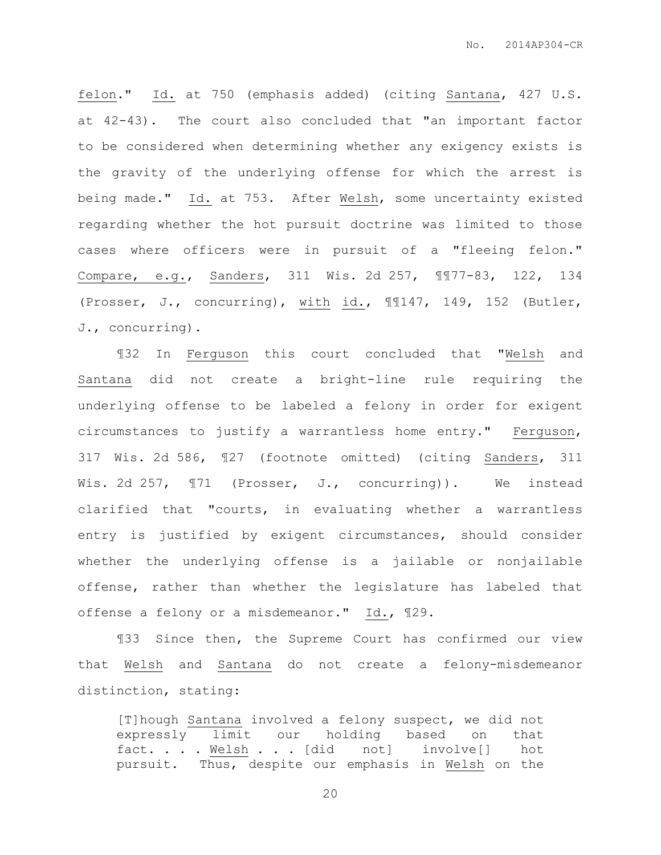felon." Id. at 750 (emphasis added) (citing Santana, 427 U.S. at 42-43). The court also concluded that "an important factor to be considered when determining whether any exigency exists is the gravity of the underlying offense for which the arrest is being made." Id. at 753. After Welsh, some uncertainty existed regarding whether the hot pursuit doctrine was limited to those cases where officers were in pursuit of a "fleeing felon." Compare, e.g., Sanders, 311 Wis. 2d 257, ¶¶77-83, 122, 134 (Prosser, J., concurring), with id., ¶¶147, 149, 152 (Butler, J., concurring).

¶32 In Ferguson this court concluded that "Welsh and Santana did not create a bright-line rule requiring the underlying offense to be labeled a felony in order for exigent circumstances to justify a warrantless home entry." Ferguson, 317 Wis. 2d 586, ¶27 (footnote omitted) (citing Sanders, 311 Wis. 2d 257,  $\mathbb{I}71$  (Prosser, J., concurring)). We instead clarified that "courts, in evaluating whether a warrantless entry is justified by exigent circumstances, should consider whether the underlying offense is a jailable or nonjailable offense, rather than whether the legislature has labeled that offense a felony or a misdemeanor." Id., ¶29.

¶33 Since then, the Supreme Court has confirmed our view that Welsh and Santana do not create a felony-misdemeanor distinction, stating:

[T]hough Santana involved a felony suspect, we did not expressly limit our holding based on that fact. . . . Welsh . . . [did not] involve[] hot pursuit. Thus, despite our emphasis in Welsh on the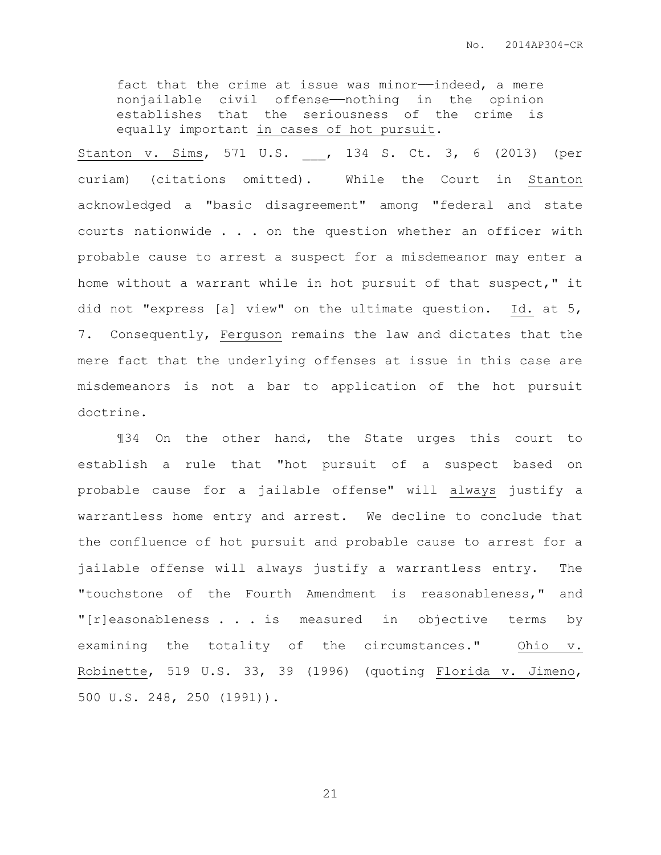fact that the crime at issue was minor-indeed, a mere nonjailable civil offense——nothing in the opinion establishes that the seriousness of the crime is equally important in cases of hot pursuit.

Stanton v. Sims, 571 U.S. \_\_\_, 134 S. Ct. 3, 6 (2013) (per curiam) (citations omitted). While the Court in Stanton acknowledged a "basic disagreement" among "federal and state courts nationwide . . . on the question whether an officer with probable cause to arrest a suspect for a misdemeanor may enter a home without a warrant while in hot pursuit of that suspect," it did not "express [a] view" on the ultimate question. Id. at 5, 7. Consequently, Ferguson remains the law and dictates that the mere fact that the underlying offenses at issue in this case are misdemeanors is not a bar to application of the hot pursuit doctrine.

¶34 On the other hand, the State urges this court to establish a rule that "hot pursuit of a suspect based on probable cause for a jailable offense" will always justify a warrantless home entry and arrest. We decline to conclude that the confluence of hot pursuit and probable cause to arrest for a jailable offense will always justify a warrantless entry. The "touchstone of the Fourth Amendment is reasonableness," and "[r]easonableness . . . is measured in objective terms by examining the totality of the circumstances." Ohio v. Robinette, 519 U.S. 33, 39 (1996) (quoting Florida v. Jimeno, 500 U.S. 248, 250 (1991)).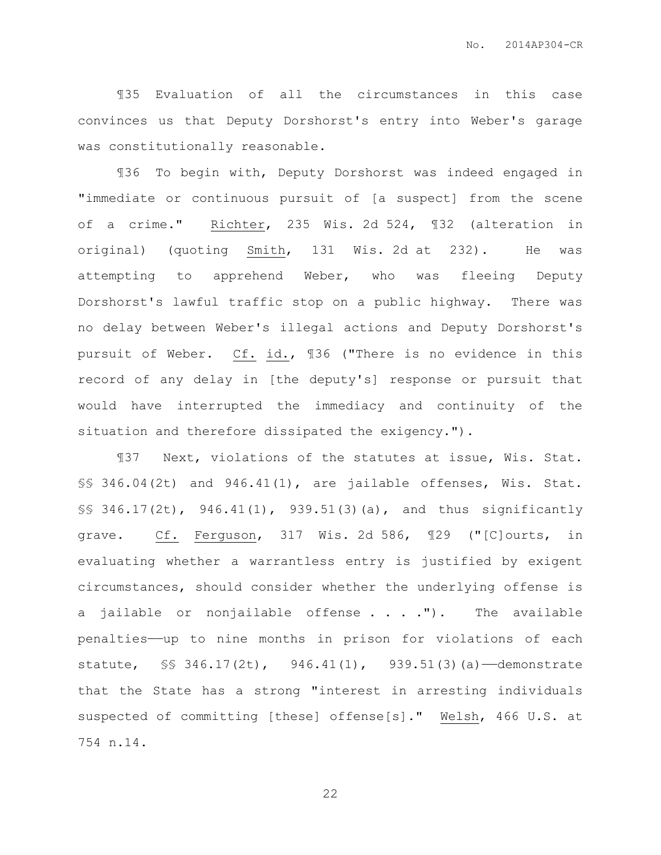¶35 Evaluation of all the circumstances in this case convinces us that Deputy Dorshorst's entry into Weber's garage was constitutionally reasonable.

¶36 To begin with, Deputy Dorshorst was indeed engaged in "immediate or continuous pursuit of [a suspect] from the scene of a crime." Richter, 235 Wis. 2d 524, ¶32 (alteration in original) (quoting Smith, 131 Wis. 2d at 232). He was attempting to apprehend Weber, who was fleeing Deputy Dorshorst's lawful traffic stop on a public highway. There was no delay between Weber's illegal actions and Deputy Dorshorst's pursuit of Weber. Cf. id., ¶36 ("There is no evidence in this record of any delay in [the deputy's] response or pursuit that would have interrupted the immediacy and continuity of the situation and therefore dissipated the exigency.").

¶37 Next, violations of the statutes at issue, Wis. Stat. §§ 346.04(2t) and 946.41(1), are jailable offenses, Wis. Stat. §§ 346.17(2t), 946.41(1), 939.51(3)(a), and thus significantly grave. Cf. Ferguson, 317 Wis. 2d 586, ¶29 ("[C]ourts, in evaluating whether a warrantless entry is justified by exigent circumstances, should consider whether the underlying offense is a jailable or nonjailable offense  $\ldots$  . ."). The available penalties——up to nine months in prison for violations of each statute, §§ 346.17(2t), 946.41(1), 939.51(3)(a)—demonstrate that the State has a strong "interest in arresting individuals suspected of committing [these] offense[s]." Welsh, 466 U.S. at 754 n.14.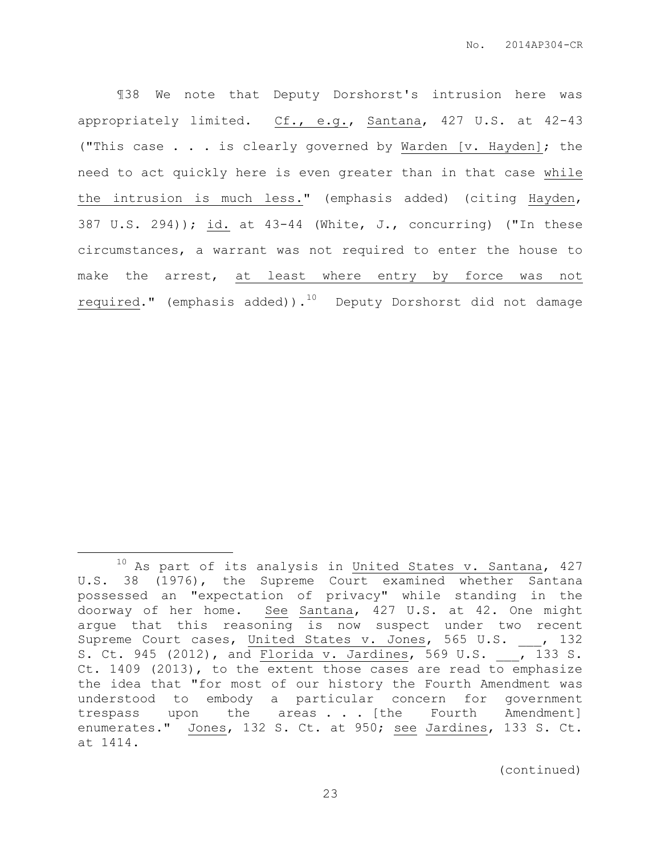¶38 We note that Deputy Dorshorst's intrusion here was appropriately limited. Cf., e.g., Santana, 427 U.S. at 42-43 ("This case . . . is clearly governed by Warden [v. Hayden]; the need to act quickly here is even greater than in that case while the intrusion is much less." (emphasis added) (citing Hayden, 387 U.S. 294)); id. at 43-44 (White, J., concurring) ("In these circumstances, a warrant was not required to enter the house to make the arrest, at least where entry by force was not required." (emphasis added)). $10$  Deputy Dorshorst did not damage

 $\overline{a}$ 

 $10$  As part of its analysis in United States v. Santana, 427 U.S. 38 (1976), the Supreme Court examined whether Santana possessed an "expectation of privacy" while standing in the doorway of her home. See Santana, 427 U.S. at 42. One might argue that this reasoning is now suspect under two recent Supreme Court cases, United States v. Jones, 565 U.S. , 132 s. Ct. 945 (2012), and Florida v. Jardines, 569 U.S. 133 S. Ct. 1409 (2013), to the extent those cases are read to emphasize the idea that "for most of our history the Fourth Amendment was understood to embody a particular concern for government trespass upon the areas . . [the Fourth Amendment] enumerates." Jones, 132 S. Ct. at 950; see Jardines, 133 S. Ct. at 1414.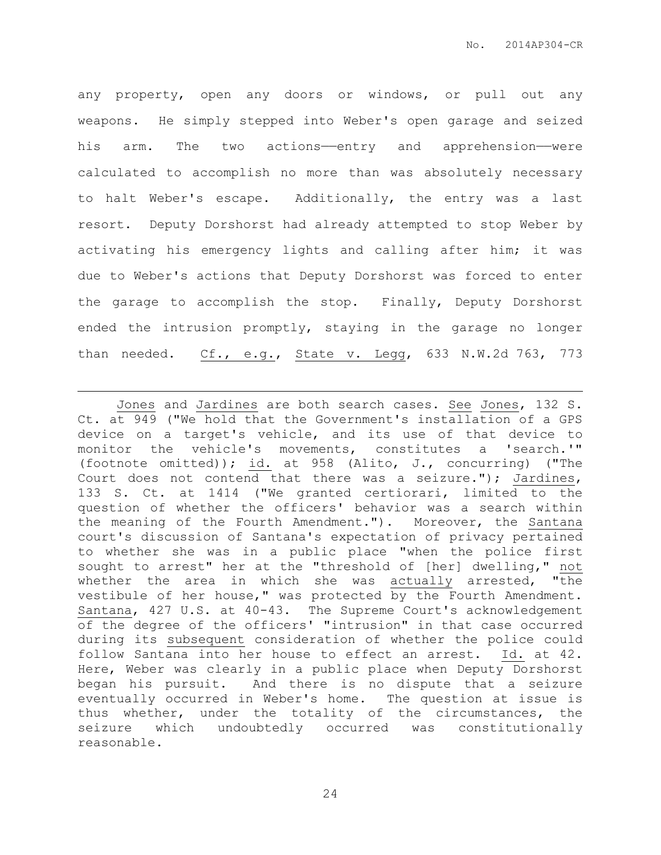any property, open any doors or windows, or pull out any weapons. He simply stepped into Weber's open garage and seized his arm. The two actions—entry and apprehension—were calculated to accomplish no more than was absolutely necessary to halt Weber's escape. Additionally, the entry was a last resort. Deputy Dorshorst had already attempted to stop Weber by activating his emergency lights and calling after him; it was due to Weber's actions that Deputy Dorshorst was forced to enter the garage to accomplish the stop. Finally, Deputy Dorshorst ended the intrusion promptly, staying in the garage no longer than needed. Cf., e.g., State v. Legg, 633 N.W.2d 763, 773

 $\overline{a}$ 

Jones and Jardines are both search cases. See Jones, 132 S. Ct. at 949 ("We hold that the Government's installation of a GPS device on a target's vehicle, and its use of that device to monitor the vehicle's movements, constitutes a 'search.'" (footnote omitted)); id. at 958 (Alito, J., concurring) ("The Court does not contend that there was a seizure."); Jardines, 133 S. Ct. at 1414 ("We granted certiorari, limited to the question of whether the officers' behavior was a search within the meaning of the Fourth Amendment."). Moreover, the Santana court's discussion of Santana's expectation of privacy pertained to whether she was in a public place "when the police first sought to arrest" her at the "threshold of [her] dwelling," not whether the area in which she was actually arrested, "the vestibule of her house," was protected by the Fourth Amendment. Santana, 427 U.S. at 40-43. The Supreme Court's acknowledgement of the degree of the officers' "intrusion" in that case occurred during its subsequent consideration of whether the police could follow Santana into her house to effect an arrest. Id. at 42. Here, Weber was clearly in a public place when Deputy Dorshorst began his pursuit. And there is no dispute that a seizure eventually occurred in Weber's home. The question at issue is thus whether, under the totality of the circumstances, the seizure which undoubtedly occurred was constitutionally reasonable.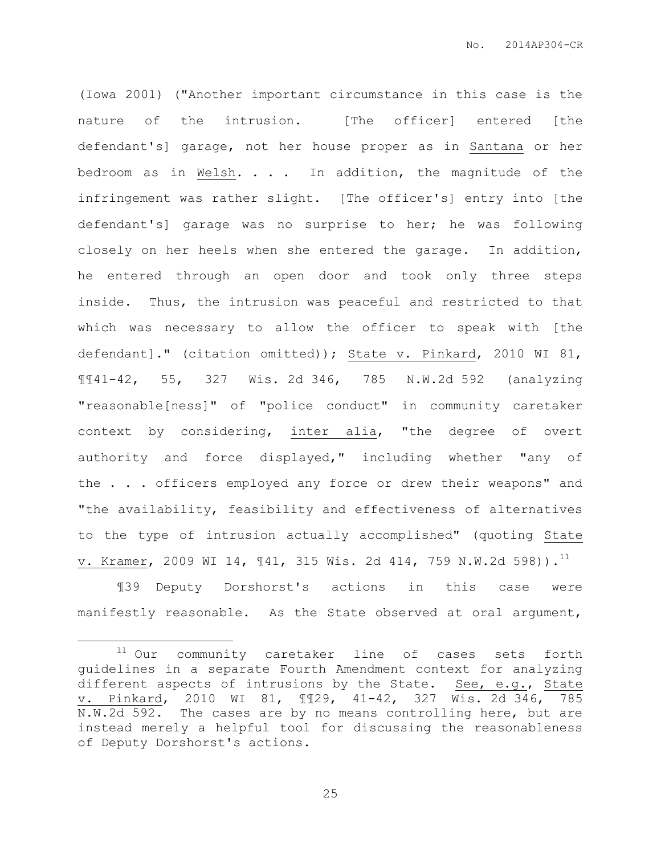(Iowa 2001) ("Another important circumstance in this case is the nature of the intrusion. [The officer] entered [the defendant's] garage, not her house proper as in Santana or her bedroom as in Welsh. . . . In addition, the magnitude of the infringement was rather slight. [The officer's] entry into [the defendant's] garage was no surprise to her; he was following closely on her heels when she entered the garage. In addition, he entered through an open door and took only three steps inside. Thus, the intrusion was peaceful and restricted to that which was necessary to allow the officer to speak with [the defendant]." (citation omitted)); State v. Pinkard, 2010 WI 81, ¶¶41-42, 55, 327 Wis. 2d 346, 785 N.W.2d 592 (analyzing "reasonable[ness]" of "police conduct" in community caretaker context by considering, inter alia, "the degree of overt authority and force displayed," including whether "any of the . . . officers employed any force or drew their weapons" and "the availability, feasibility and effectiveness of alternatives to the type of intrusion actually accomplished" (quoting State v. Kramer, 2009 WI 14,  $\P 41$ , 315 Wis. 2d 414, 759 N.W.2d 598)).<sup>11</sup>

¶39 Deputy Dorshorst's actions in this case were manifestly reasonable. As the State observed at oral argument,

 $\overline{a}$ 

<sup>11</sup> Our community caretaker line of cases sets forth guidelines in a separate Fourth Amendment context for analyzing different aspects of intrusions by the State. See, e.g., State v. Pinkard, 2010 WI 81, ¶¶29, 41-42, 327 Wis. 2d 346, 785 N.W.2d 592. The cases are by no means controlling here, but are instead merely a helpful tool for discussing the reasonableness of Deputy Dorshorst's actions.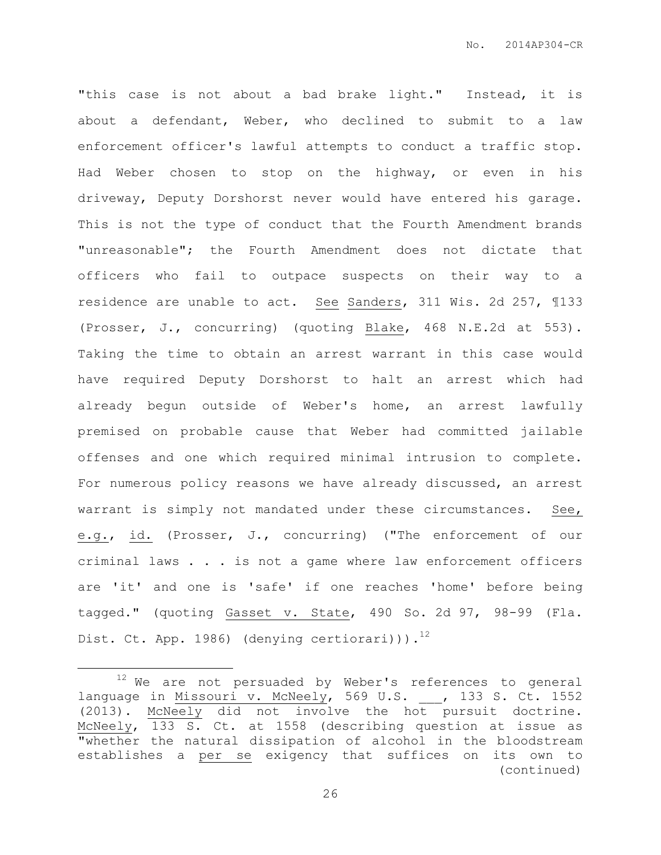"this case is not about a bad brake light." Instead, it is about a defendant, Weber, who declined to submit to a law enforcement officer's lawful attempts to conduct a traffic stop. Had Weber chosen to stop on the highway, or even in his driveway, Deputy Dorshorst never would have entered his garage. This is not the type of conduct that the Fourth Amendment brands "unreasonable"; the Fourth Amendment does not dictate that officers who fail to outpace suspects on their way to a residence are unable to act. See Sanders, 311 Wis. 2d 257, ¶133 (Prosser, J., concurring) (quoting Blake, 468 N.E.2d at 553). Taking the time to obtain an arrest warrant in this case would have required Deputy Dorshorst to halt an arrest which had already begun outside of Weber's home, an arrest lawfully premised on probable cause that Weber had committed jailable offenses and one which required minimal intrusion to complete. For numerous policy reasons we have already discussed, an arrest warrant is simply not mandated under these circumstances. See, e.g., id. (Prosser, J., concurring) ("The enforcement of our criminal laws . . . is not a game where law enforcement officers are 'it' and one is 'safe' if one reaches 'home' before being tagged." (quoting Gasset v. State, 490 So. 2d 97, 98-99 (Fla. Dist. Ct. App. 1986) (denying certiorari))). $^{12}$ 

 $\overline{a}$ 

 $12$  We are not persuaded by Weber's references to general language in Missouri v. McNeely, 569 U.S. , 133 S. Ct. 1552 (2013). McNeely did not involve the hot pursuit doctrine. McNeely, 133 S. Ct. at 1558 (describing question at issue as "whether the natural dissipation of alcohol in the bloodstream establishes a per se exigency that suffices on its own to (continued)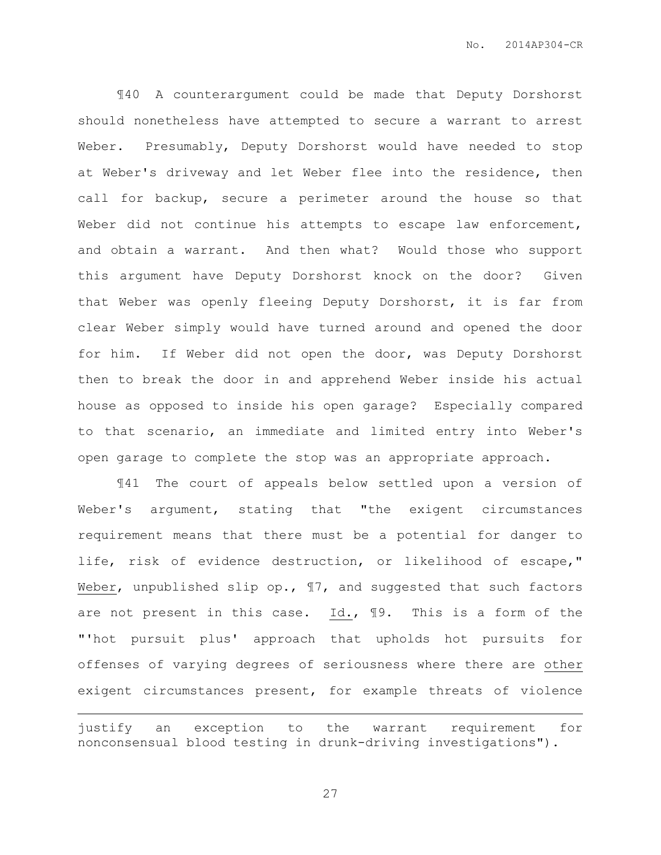¶40 A counterargument could be made that Deputy Dorshorst should nonetheless have attempted to secure a warrant to arrest Weber. Presumably, Deputy Dorshorst would have needed to stop at Weber's driveway and let Weber flee into the residence, then call for backup, secure a perimeter around the house so that Weber did not continue his attempts to escape law enforcement, and obtain a warrant. And then what? Would those who support this argument have Deputy Dorshorst knock on the door? Given that Weber was openly fleeing Deputy Dorshorst, it is far from clear Weber simply would have turned around and opened the door for him. If Weber did not open the door, was Deputy Dorshorst then to break the door in and apprehend Weber inside his actual house as opposed to inside his open garage? Especially compared to that scenario, an immediate and limited entry into Weber's open garage to complete the stop was an appropriate approach.

¶41 The court of appeals below settled upon a version of Weber's argument, stating that "the exigent circumstances requirement means that there must be a potential for danger to life, risk of evidence destruction, or likelihood of escape," Weber, unpublished slip op., ¶7, and suggested that such factors are not present in this case. Id., ¶9. This is a form of the "'hot pursuit plus' approach that upholds hot pursuits for offenses of varying degrees of seriousness where there are other exigent circumstances present, for example threats of violence

justify an exception to the warrant requirement for nonconsensual blood testing in drunk-driving investigations").

 $\overline{a}$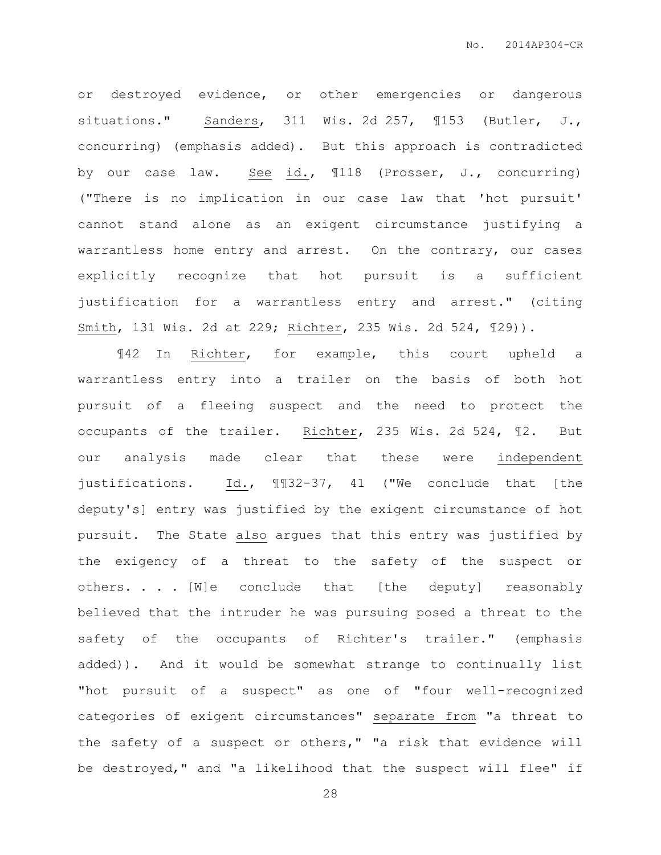or destroyed evidence, or other emergencies or dangerous situations." Sanders, 311 Wis. 2d 257, 1153 (Butler, J., concurring) (emphasis added). But this approach is contradicted by our case law. See id., ¶118 (Prosser, J., concurring) ("There is no implication in our case law that 'hot pursuit' cannot stand alone as an exigent circumstance justifying a warrantless home entry and arrest. On the contrary, our cases explicitly recognize that hot pursuit is a sufficient justification for a warrantless entry and arrest." (citing Smith, 131 Wis. 2d at 229; Richter, 235 Wis. 2d 524, ¶29)).

¶42 In Richter, for example, this court upheld a warrantless entry into a trailer on the basis of both hot pursuit of a fleeing suspect and the need to protect the occupants of the trailer. Richter, 235 Wis. 2d 524, ¶2. But our analysis made clear that these were independent justifications. Id., ¶¶32-37, 41 ("We conclude that [the deputy's] entry was justified by the exigent circumstance of hot pursuit. The State also argues that this entry was justified by the exigency of a threat to the safety of the suspect or others. . . [W]e conclude that [the deputy] reasonably believed that the intruder he was pursuing posed a threat to the safety of the occupants of Richter's trailer." (emphasis added)). And it would be somewhat strange to continually list "hot pursuit of a suspect" as one of "four well-recognized categories of exigent circumstances" separate from "a threat to the safety of a suspect or others," "a risk that evidence will be destroyed," and "a likelihood that the suspect will flee" if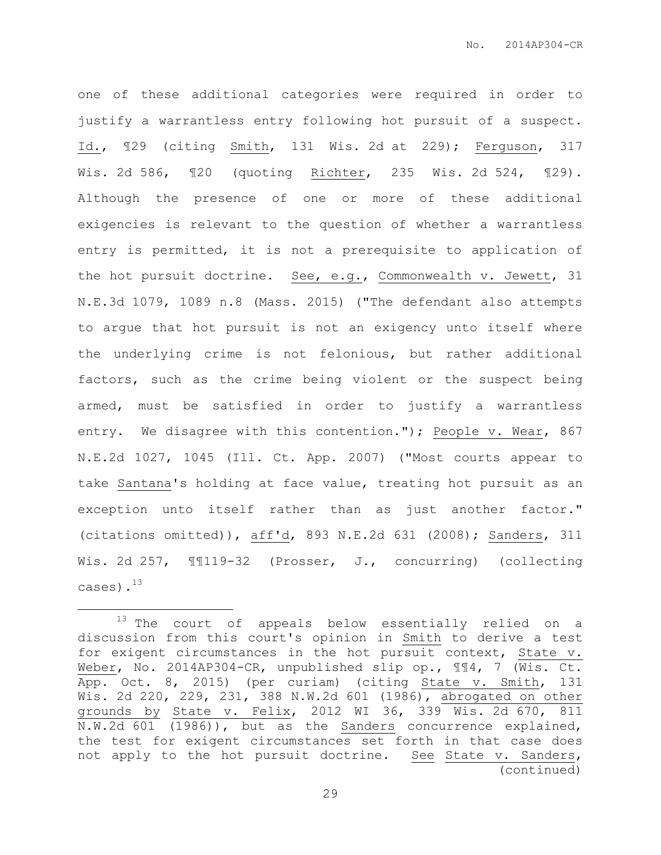one of these additional categories were required in order to justify a warrantless entry following hot pursuit of a suspect. Id., ¶29 (citing Smith, 131 Wis. 2d at 229); Ferguson, 317 Wis. 2d 586, ¶20 (quoting Richter, 235 Wis. 2d 524, ¶29). Although the presence of one or more of these additional exigencies is relevant to the question of whether a warrantless entry is permitted, it is not a prerequisite to application of the hot pursuit doctrine. See, e.g., Commonwealth v. Jewett, 31 N.E.3d 1079, 1089 n.8 (Mass. 2015) ("The defendant also attempts to argue that hot pursuit is not an exigency unto itself where the underlying crime is not felonious, but rather additional factors, such as the crime being violent or the suspect being armed, must be satisfied in order to justify a warrantless entry. We disagree with this contention."); People v. Wear, 867 N.E.2d 1027, 1045 (Ill. Ct. App. 2007) ("Most courts appear to take Santana's holding at face value, treating hot pursuit as an exception unto itself rather than as just another factor." (citations omitted)), aff'd, 893 N.E.2d 631 (2008); Sanders, 311 Wis. 2d 257, ¶¶119-32 (Prosser, J., concurring) (collecting cases).<sup>13</sup>

 $\overline{a}$ 

<sup>&</sup>lt;sup>13</sup> The court of appeals below essentially relied on a discussion from this court's opinion in Smith to derive a test for exigent circumstances in the hot pursuit context, State v. Weber, No. 2014AP304-CR, unpublished slip op.,  $\mathbb{I}\mathbb{I}^4$ , 7 (Wis. Ct. App. Oct. 8, 2015) (per curiam) (citing State v. Smith, 131 Wis. 2d 220, 229, 231, 388 N.W.2d 601 (1986), abrogated on other grounds by State v. Felix, 2012 WI 36, 339 Wis. 2d 670, 811 N.W.2d 601 (1986)), but as the Sanders concurrence explained, the test for exigent circumstances set forth in that case does not apply to the hot pursuit doctrine. See State v. Sanders, (continued)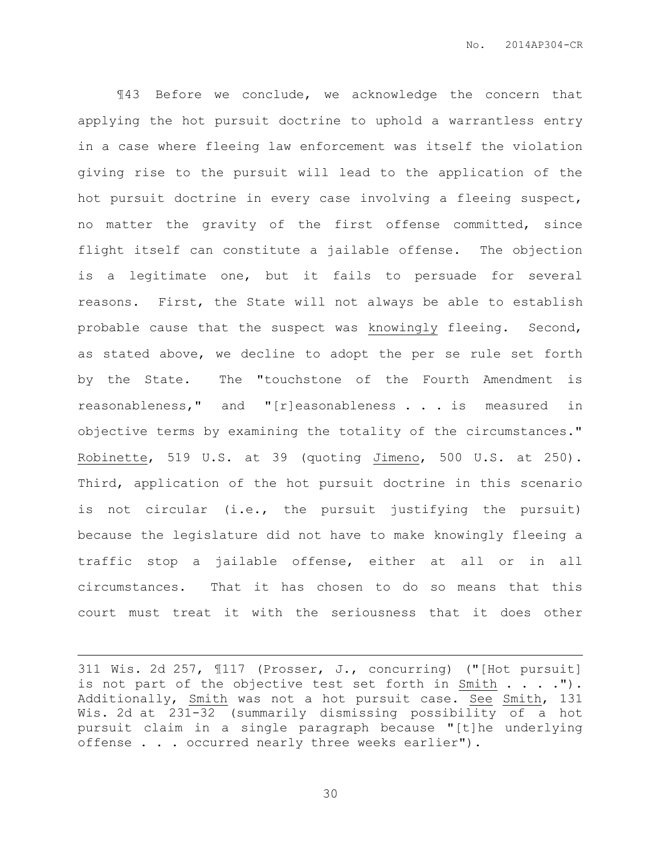¶43 Before we conclude, we acknowledge the concern that applying the hot pursuit doctrine to uphold a warrantless entry in a case where fleeing law enforcement was itself the violation giving rise to the pursuit will lead to the application of the hot pursuit doctrine in every case involving a fleeing suspect, no matter the gravity of the first offense committed, since flight itself can constitute a jailable offense. The objection is a legitimate one, but it fails to persuade for several reasons. First, the State will not always be able to establish probable cause that the suspect was knowingly fleeing. Second, as stated above, we decline to adopt the per se rule set forth by the State. The "touchstone of the Fourth Amendment is reasonableness," and "[r]easonableness . . . is measured in objective terms by examining the totality of the circumstances." Robinette, 519 U.S. at 39 (quoting Jimeno, 500 U.S. at 250). Third, application of the hot pursuit doctrine in this scenario is not circular (i.e., the pursuit justifying the pursuit) because the legislature did not have to make knowingly fleeing a traffic stop a jailable offense, either at all or in all circumstances. That it has chosen to do so means that this court must treat it with the seriousness that it does other

 $\overline{a}$ 

<sup>311</sup> Wis. 2d 257, ¶117 (Prosser, J., concurring) ("[Hot pursuit] is not part of the objective test set forth in Smith  $\ldots$ ."). Additionally, Smith was not a hot pursuit case. See Smith, 131 Wis. 2d at 231-32 (summarily dismissing possibility of a hot pursuit claim in a single paragraph because "[t]he underlying offense . . . occurred nearly three weeks earlier").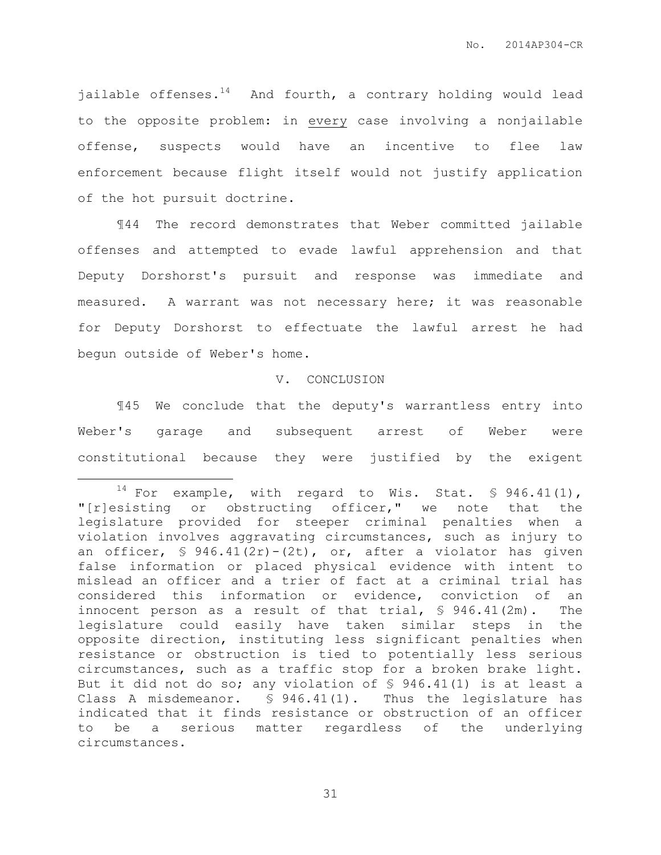jailable offenses. $14$  And fourth, a contrary holding would lead to the opposite problem: in every case involving a nonjailable offense, suspects would have an incentive to flee law enforcement because flight itself would not justify application of the hot pursuit doctrine.

¶44 The record demonstrates that Weber committed jailable offenses and attempted to evade lawful apprehension and that Deputy Dorshorst's pursuit and response was immediate and measured. A warrant was not necessary here; it was reasonable for Deputy Dorshorst to effectuate the lawful arrest he had begun outside of Weber's home.

#### V. CONCLUSION

¶45 We conclude that the deputy's warrantless entry into Weber's garage and subsequent arrest of Weber were constitutional because they were justified by the exigent

 $\overline{a}$ 

 $14$  For example, with regard to Wis. Stat. § 946.41(1), "[r]esisting or obstructing officer," we note that the legislature provided for steeper criminal penalties when a violation involves aggravating circumstances, such as injury to an officer, § 946.41(2r)-(2t), or, after a violator has given false information or placed physical evidence with intent to mislead an officer and a trier of fact at a criminal trial has considered this information or evidence, conviction of an innocent person as a result of that trial, § 946.41(2m). The legislature could easily have taken similar steps in the opposite direction, instituting less significant penalties when resistance or obstruction is tied to potentially less serious circumstances, such as a traffic stop for a broken brake light. But it did not do so; any violation of § 946.41(1) is at least a Class A misdemeanor. § 946.41(1). Thus the legislature has indicated that it finds resistance or obstruction of an officer to be a serious matter regardless of the underlying circumstances.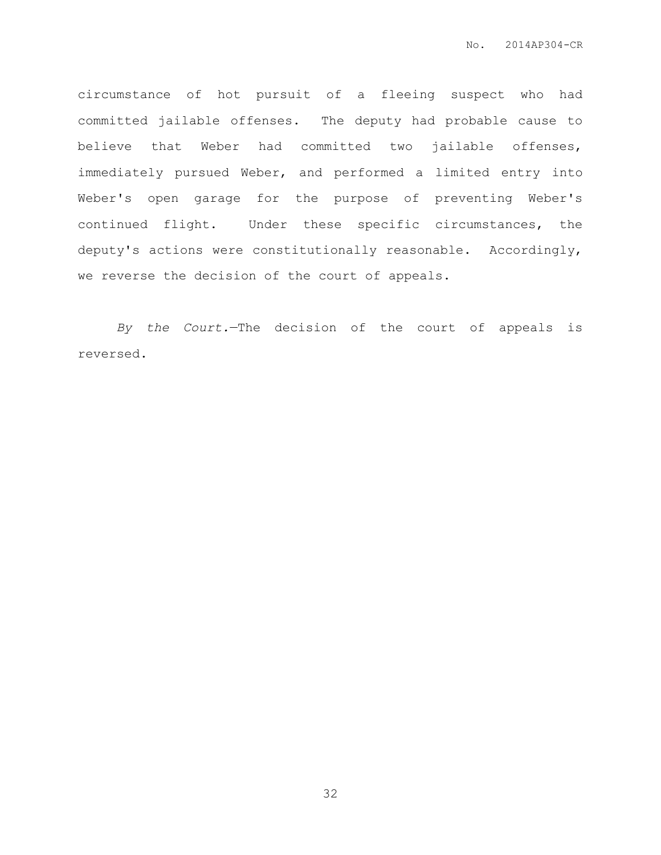circumstance of hot pursuit of a fleeing suspect who had committed jailable offenses. The deputy had probable cause to believe that Weber had committed two jailable offenses, immediately pursued Weber, and performed a limited entry into Weber's open garage for the purpose of preventing Weber's continued flight. Under these specific circumstances, the deputy's actions were constitutionally reasonable. Accordingly, we reverse the decision of the court of appeals.

*By the Court.*—The decision of the court of appeals is reversed.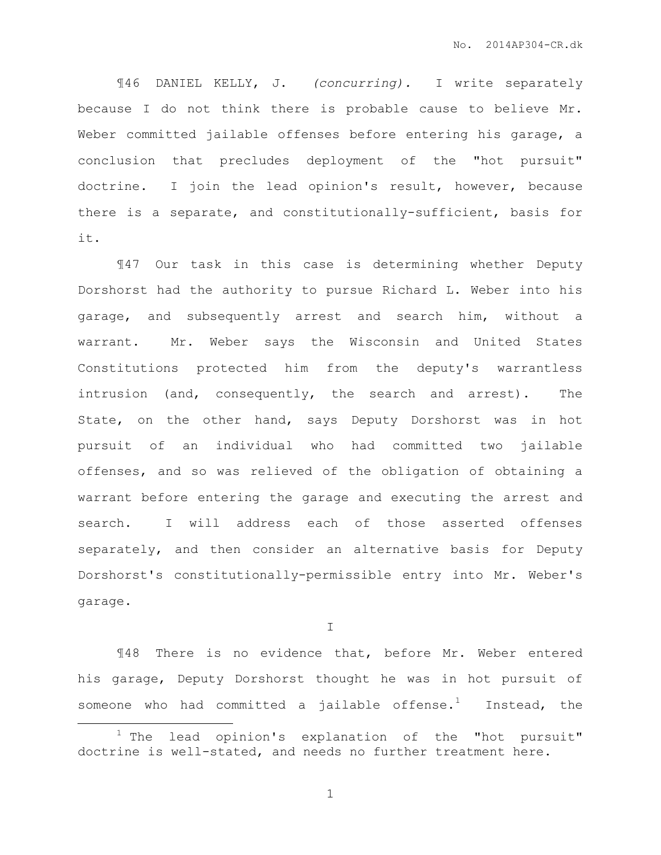¶46 DANIEL KELLY, J. *(concurring).* I write separately because I do not think there is probable cause to believe Mr. Weber committed jailable offenses before entering his garage, a conclusion that precludes deployment of the "hot pursuit" doctrine. I join the lead opinion's result, however, because there is a separate, and constitutionally-sufficient, basis for it.

¶47 Our task in this case is determining whether Deputy Dorshorst had the authority to pursue Richard L. Weber into his garage, and subsequently arrest and search him, without a warrant. Mr. Weber says the Wisconsin and United States Constitutions protected him from the deputy's warrantless intrusion (and, consequently, the search and arrest). The State, on the other hand, says Deputy Dorshorst was in hot pursuit of an individual who had committed two jailable offenses, and so was relieved of the obligation of obtaining a warrant before entering the garage and executing the arrest and search. I will address each of those asserted offenses separately, and then consider an alternative basis for Deputy Dorshorst's constitutionally-permissible entry into Mr. Weber's garage.

I

¶48 There is no evidence that, before Mr. Weber entered his garage, Deputy Dorshorst thought he was in hot pursuit of someone who had committed a jailable offense.<sup>1</sup> Instead, the

 $\overline{a}$ 

 $1$  The lead opinion's explanation of the "hot pursuit" doctrine is well-stated, and needs no further treatment here.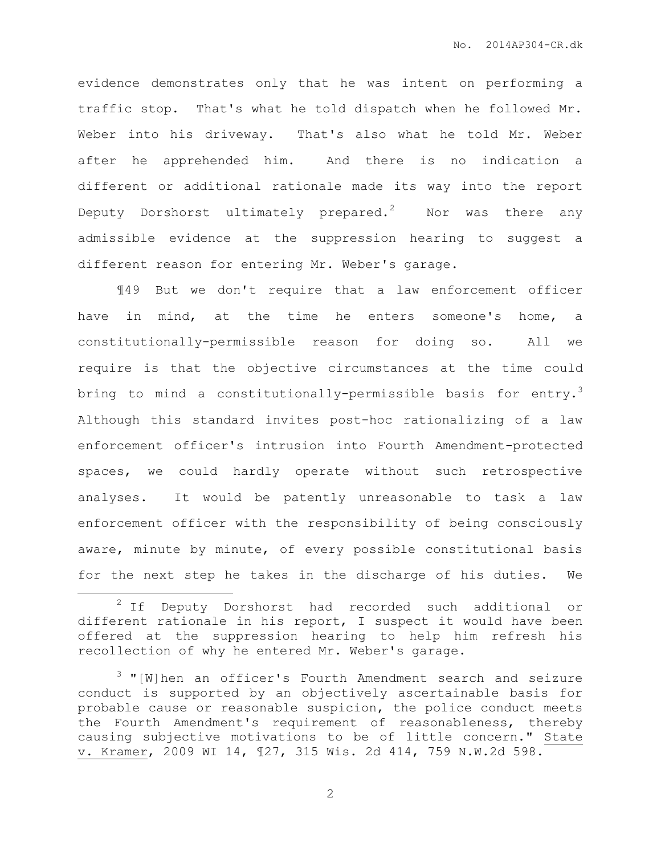evidence demonstrates only that he was intent on performing a traffic stop. That's what he told dispatch when he followed Mr. Weber into his driveway. That's also what he told Mr. Weber after he apprehended him. And there is no indication a different or additional rationale made its way into the report Deputy Dorshorst ultimately prepared.<sup>2</sup> Nor was there any admissible evidence at the suppression hearing to suggest a different reason for entering Mr. Weber's garage.

¶49 But we don't require that a law enforcement officer have in mind, at the time he enters someone's home, a constitutionally-permissible reason for doing so. All we require is that the objective circumstances at the time could bring to mind a constitutionally-permissible basis for entry.<sup>3</sup> Although this standard invites post-hoc rationalizing of a law enforcement officer's intrusion into Fourth Amendment-protected spaces, we could hardly operate without such retrospective analyses. It would be patently unreasonable to task a law enforcement officer with the responsibility of being consciously aware, minute by minute, of every possible constitutional basis for the next step he takes in the discharge of his duties. We

 $\overline{a}$ 

<sup>&</sup>lt;sup>2</sup> If Deputy Dorshorst had recorded such additional or different rationale in his report, I suspect it would have been offered at the suppression hearing to help him refresh his recollection of why he entered Mr. Weber's garage.

<sup>3</sup> "[W]hen an officer's Fourth Amendment search and seizure conduct is supported by an objectively ascertainable basis for probable cause or reasonable suspicion, the police conduct meets the Fourth Amendment's requirement of reasonableness, thereby causing subjective motivations to be of little concern." State v. Kramer, 2009 WI 14, ¶27, 315 Wis. 2d 414, 759 N.W.2d 598.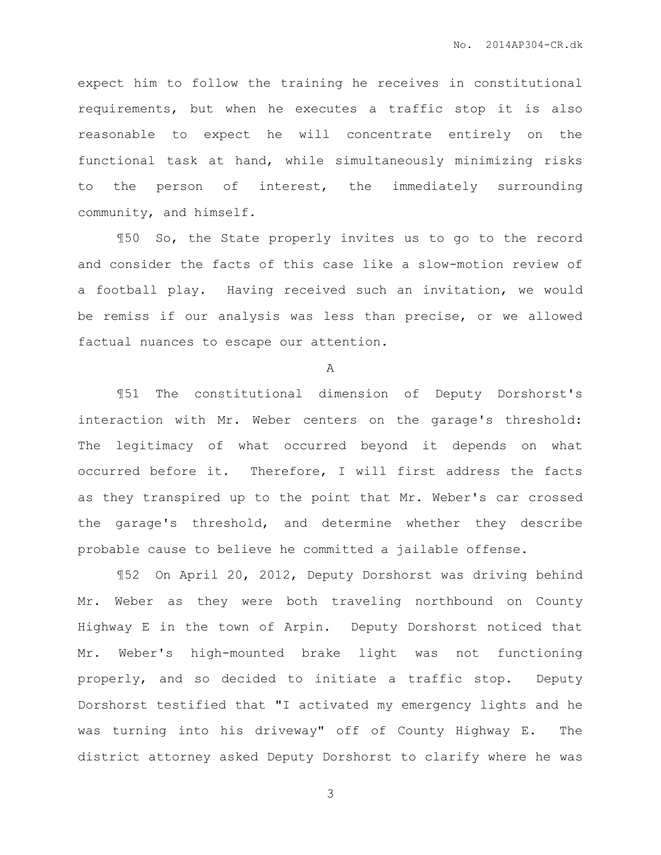expect him to follow the training he receives in constitutional requirements, but when he executes a traffic stop it is also reasonable to expect he will concentrate entirely on the functional task at hand, while simultaneously minimizing risks to the person of interest, the immediately surrounding community, and himself.

¶50 So, the State properly invites us to go to the record and consider the facts of this case like a slow-motion review of a football play. Having received such an invitation, we would be remiss if our analysis was less than precise, or we allowed factual nuances to escape our attention.

A

¶51 The constitutional dimension of Deputy Dorshorst's interaction with Mr. Weber centers on the garage's threshold: The legitimacy of what occurred beyond it depends on what occurred before it. Therefore, I will first address the facts as they transpired up to the point that Mr. Weber's car crossed the garage's threshold, and determine whether they describe probable cause to believe he committed a jailable offense.

¶52 On April 20, 2012, Deputy Dorshorst was driving behind Mr. Weber as they were both traveling northbound on County Highway E in the town of Arpin. Deputy Dorshorst noticed that Mr. Weber's high-mounted brake light was not functioning properly, and so decided to initiate a traffic stop. Deputy Dorshorst testified that "I activated my emergency lights and he was turning into his driveway" off of County Highway E. The district attorney asked Deputy Dorshorst to clarify where he was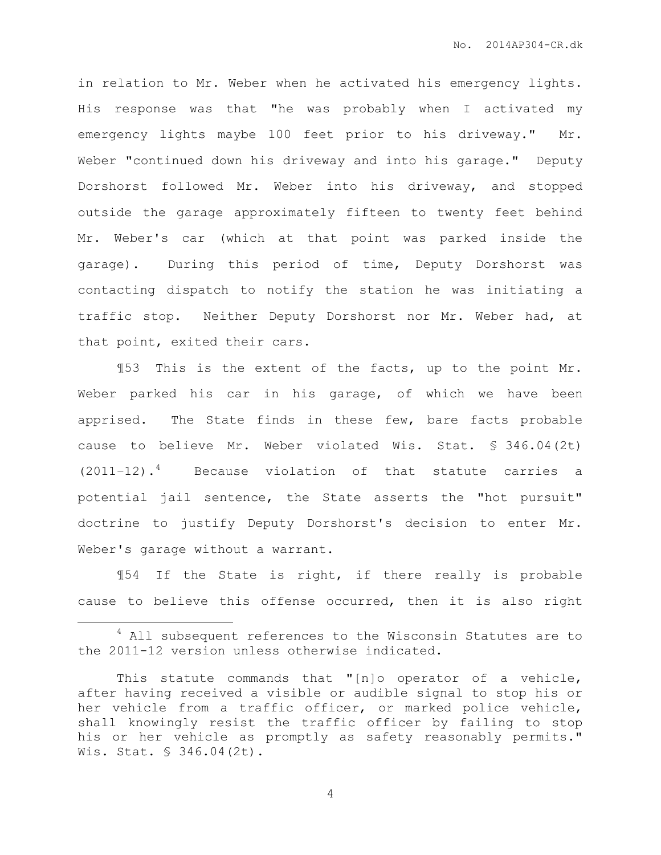in relation to Mr. Weber when he activated his emergency lights. His response was that "he was probably when I activated my emergency lights maybe 100 feet prior to his driveway." Mr. Weber "continued down his driveway and into his garage." Deputy Dorshorst followed Mr. Weber into his driveway, and stopped outside the garage approximately fifteen to twenty feet behind Mr. Weber's car (which at that point was parked inside the garage). During this period of time, Deputy Dorshorst was contacting dispatch to notify the station he was initiating a traffic stop. Neither Deputy Dorshorst nor Mr. Weber had, at that point, exited their cars.

¶53 This is the extent of the facts, up to the point Mr. Weber parked his car in his garage, of which we have been apprised. The State finds in these few, bare facts probable cause to believe Mr. Weber violated Wis. Stat. § 346.04(2t)  $(2011-12)$ .<sup>4</sup> Because violation of that statute carries a potential jail sentence, the State asserts the "hot pursuit" doctrine to justify Deputy Dorshorst's decision to enter Mr. Weber's garage without a warrant.

¶54 If the State is right, if there really is probable cause to believe this offense occurred, then it is also right

 $\overline{a}$ 

<sup>&</sup>lt;sup>4</sup> All subsequent references to the Wisconsin Statutes are to the 2011-12 version unless otherwise indicated.

This statute commands that "[n]o operator of a vehicle, after having received a visible or audible signal to stop his or her vehicle from a traffic officer, or marked police vehicle, shall knowingly resist the traffic officer by failing to stop his or her vehicle as promptly as safety reasonably permits." Wis. Stat. § 346.04(2t).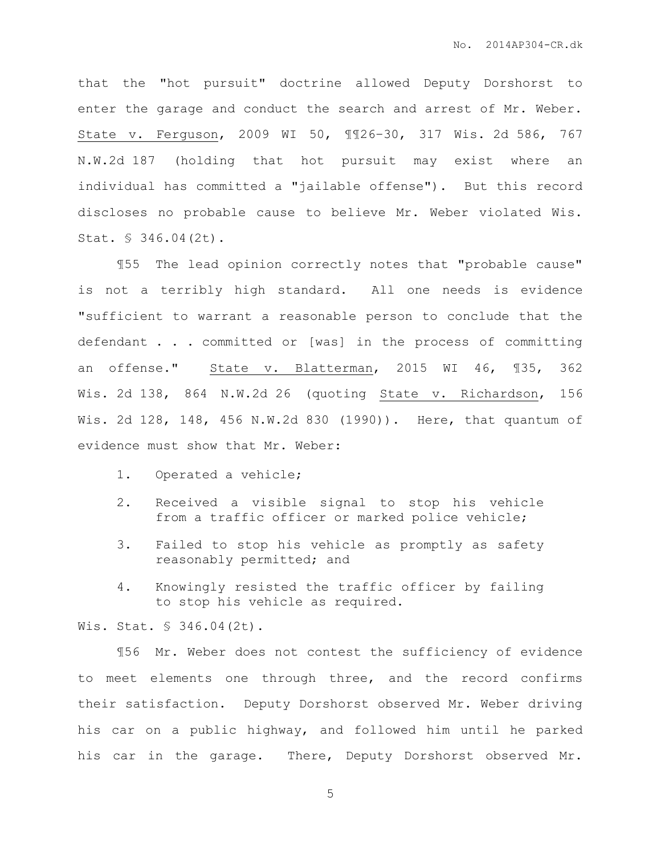that the "hot pursuit" doctrine allowed Deputy Dorshorst to enter the garage and conduct the search and arrest of Mr. Weber. State v. Ferguson, 2009 WI 50, ¶¶26–30, 317 Wis. 2d 586, 767 N.W.2d 187 (holding that hot pursuit may exist where an individual has committed a "jailable offense"). But this record discloses no probable cause to believe Mr. Weber violated Wis. Stat. § 346.04(2t).

¶55 The lead opinion correctly notes that "probable cause" is not a terribly high standard. All one needs is evidence "sufficient to warrant a reasonable person to conclude that the defendant . . . committed or [was] in the process of committing an offense." State v. Blatterman, 2015 WI 46, ¶35, 362 Wis. 2d 138, 864 N.W.2d 26 (quoting State v. Richardson, 156 Wis. 2d 128, 148, 456 N.W.2d 830 (1990)). Here, that quantum of evidence must show that Mr. Weber:

- 1. Operated a vehicle;
- 2. Received a visible signal to stop his vehicle from a traffic officer or marked police vehicle;
- 3. Failed to stop his vehicle as promptly as safety reasonably permitted; and
- 4. Knowingly resisted the traffic officer by failing to stop his vehicle as required.

Wis. Stat. § 346.04(2t).

¶56 Mr. Weber does not contest the sufficiency of evidence to meet elements one through three, and the record confirms their satisfaction. Deputy Dorshorst observed Mr. Weber driving his car on a public highway, and followed him until he parked his car in the garage. There, Deputy Dorshorst observed Mr.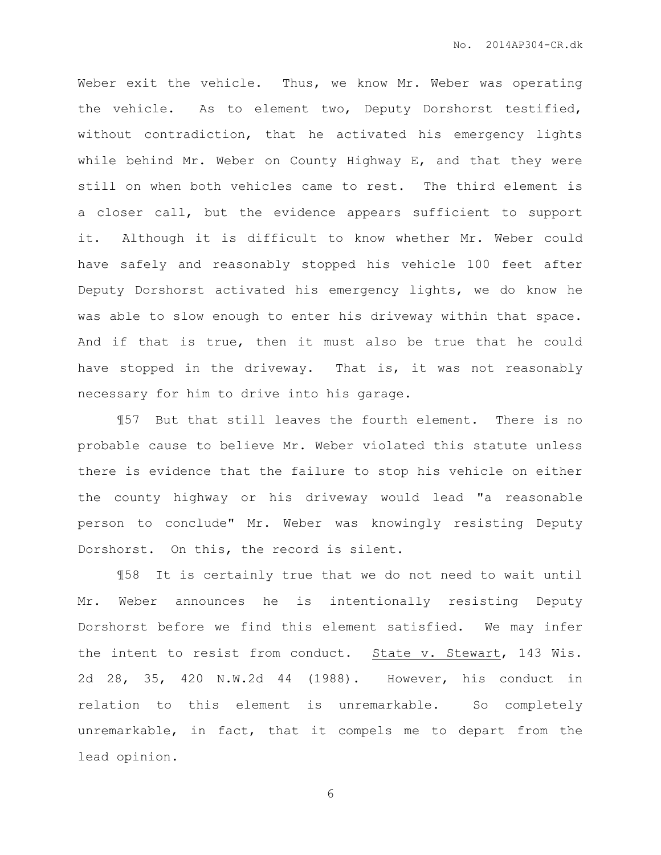Weber exit the vehicle. Thus, we know Mr. Weber was operating the vehicle. As to element two, Deputy Dorshorst testified, without contradiction, that he activated his emergency lights while behind Mr. Weber on County Highway E, and that they were still on when both vehicles came to rest. The third element is a closer call, but the evidence appears sufficient to support it. Although it is difficult to know whether Mr. Weber could have safely and reasonably stopped his vehicle 100 feet after Deputy Dorshorst activated his emergency lights, we do know he was able to slow enough to enter his driveway within that space. And if that is true, then it must also be true that he could have stopped in the driveway. That is, it was not reasonably necessary for him to drive into his garage.

¶57 But that still leaves the fourth element. There is no probable cause to believe Mr. Weber violated this statute unless there is evidence that the failure to stop his vehicle on either the county highway or his driveway would lead "a reasonable person to conclude" Mr. Weber was knowingly resisting Deputy Dorshorst. On this, the record is silent.

¶58 It is certainly true that we do not need to wait until Mr. Weber announces he is intentionally resisting Deputy Dorshorst before we find this element satisfied. We may infer the intent to resist from conduct. State v. Stewart, 143 Wis. 2d 28, 35, 420 N.W.2d 44 (1988). However, his conduct in relation to this element is unremarkable. So completely unremarkable, in fact, that it compels me to depart from the lead opinion.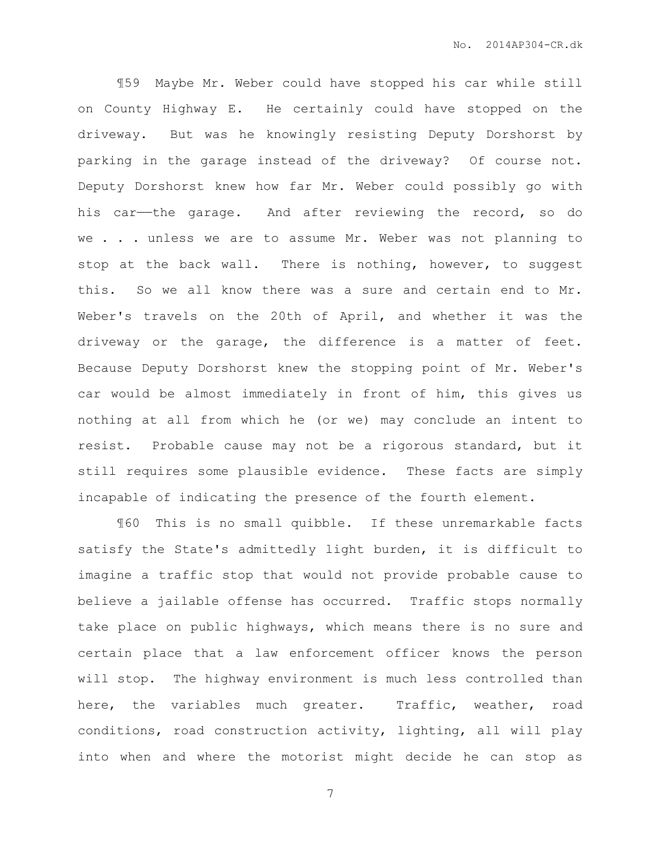¶59 Maybe Mr. Weber could have stopped his car while still on County Highway E. He certainly could have stopped on the driveway. But was he knowingly resisting Deputy Dorshorst by parking in the garage instead of the driveway? Of course not. Deputy Dorshorst knew how far Mr. Weber could possibly go with his car—the garage. And after reviewing the record, so do we . . . unless we are to assume Mr. Weber was not planning to stop at the back wall. There is nothing, however, to suggest this. So we all know there was a sure and certain end to Mr. Weber's travels on the 20th of April, and whether it was the driveway or the garage, the difference is a matter of feet. Because Deputy Dorshorst knew the stopping point of Mr. Weber's car would be almost immediately in front of him, this gives us nothing at all from which he (or we) may conclude an intent to resist. Probable cause may not be a rigorous standard, but it still requires some plausible evidence. These facts are simply incapable of indicating the presence of the fourth element.

¶60 This is no small quibble. If these unremarkable facts satisfy the State's admittedly light burden, it is difficult to imagine a traffic stop that would not provide probable cause to believe a jailable offense has occurred. Traffic stops normally take place on public highways, which means there is no sure and certain place that a law enforcement officer knows the person will stop. The highway environment is much less controlled than here, the variables much greater. Traffic, weather, road conditions, road construction activity, lighting, all will play into when and where the motorist might decide he can stop as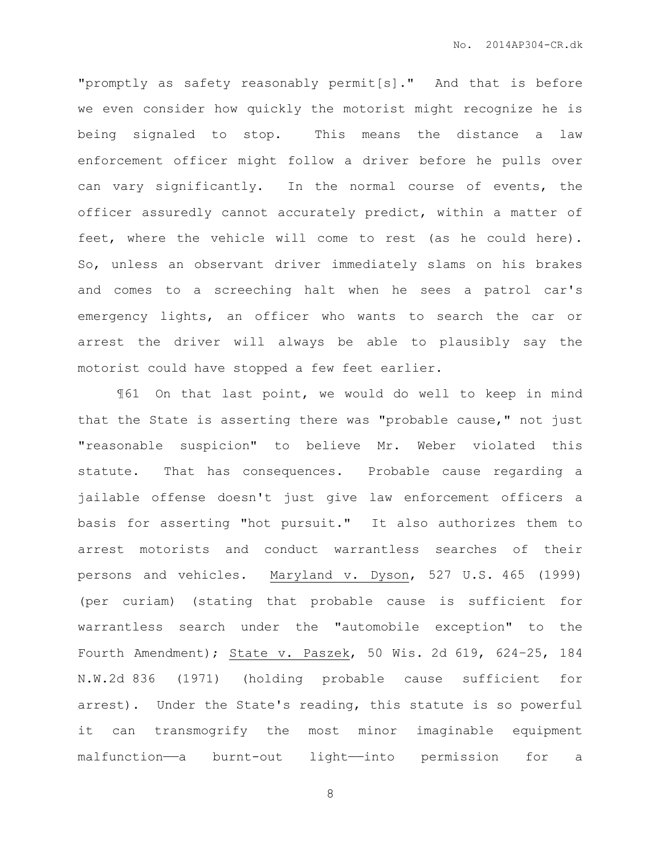"promptly as safety reasonably permit[s]." And that is before we even consider how quickly the motorist might recognize he is being signaled to stop. This means the distance a law enforcement officer might follow a driver before he pulls over can vary significantly. In the normal course of events, the officer assuredly cannot accurately predict, within a matter of feet, where the vehicle will come to rest (as he could here). So, unless an observant driver immediately slams on his brakes and comes to a screeching halt when he sees a patrol car's emergency lights, an officer who wants to search the car or arrest the driver will always be able to plausibly say the motorist could have stopped a few feet earlier.

¶61 On that last point, we would do well to keep in mind that the State is asserting there was "probable cause," not just "reasonable suspicion" to believe Mr. Weber violated this statute. That has consequences. Probable cause regarding a jailable offense doesn't just give law enforcement officers a basis for asserting "hot pursuit." It also authorizes them to arrest motorists and conduct warrantless searches of their persons and vehicles. Maryland v. Dyson, 527 U.S. 465 (1999) (per curiam) (stating that probable cause is sufficient for warrantless search under the "automobile exception" to the Fourth Amendment); State v. Paszek, 50 Wis. 2d 619, 624–25, 184 N.W.2d 836 (1971) (holding probable cause sufficient for arrest). Under the State's reading, this statute is so powerful it can transmogrify the most minor imaginable equipment malfunction—a burnt-out light—into permission for a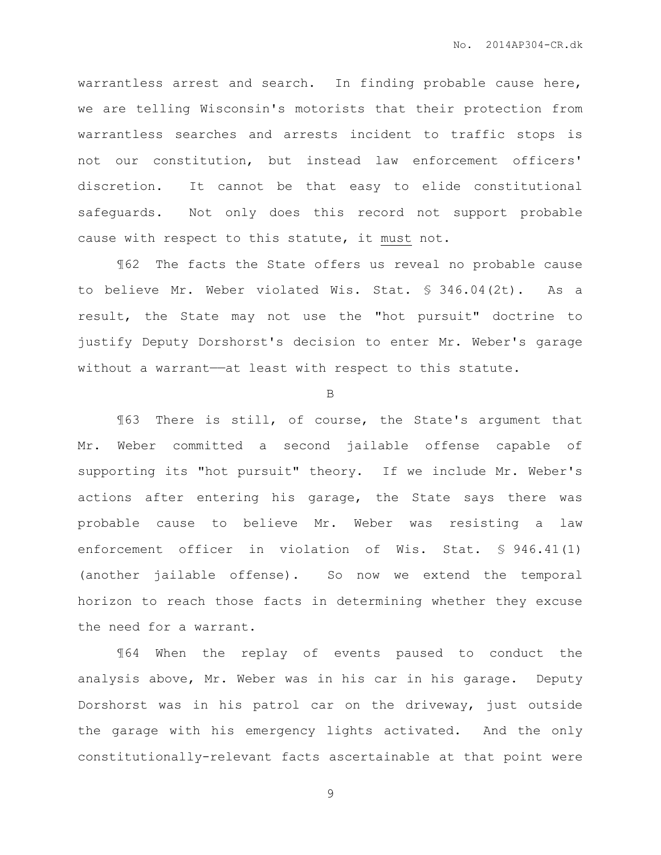warrantless arrest and search. In finding probable cause here, we are telling Wisconsin's motorists that their protection from warrantless searches and arrests incident to traffic stops is not our constitution, but instead law enforcement officers' discretion. It cannot be that easy to elide constitutional safeguards. Not only does this record not support probable cause with respect to this statute, it must not.

¶62 The facts the State offers us reveal no probable cause to believe Mr. Weber violated Wis. Stat. § 346.04(2t). As a result, the State may not use the "hot pursuit" doctrine to justify Deputy Dorshorst's decision to enter Mr. Weber's garage without a warrant—at least with respect to this statute.

B

¶63 There is still, of course, the State's argument that Mr. Weber committed a second jailable offense capable of supporting its "hot pursuit" theory. If we include Mr. Weber's actions after entering his garage, the State says there was probable cause to believe Mr. Weber was resisting a law enforcement officer in violation of Wis. Stat. § 946.41(1) (another jailable offense). So now we extend the temporal horizon to reach those facts in determining whether they excuse the need for a warrant.

¶64 When the replay of events paused to conduct the analysis above, Mr. Weber was in his car in his garage. Deputy Dorshorst was in his patrol car on the driveway, just outside the garage with his emergency lights activated. And the only constitutionally-relevant facts ascertainable at that point were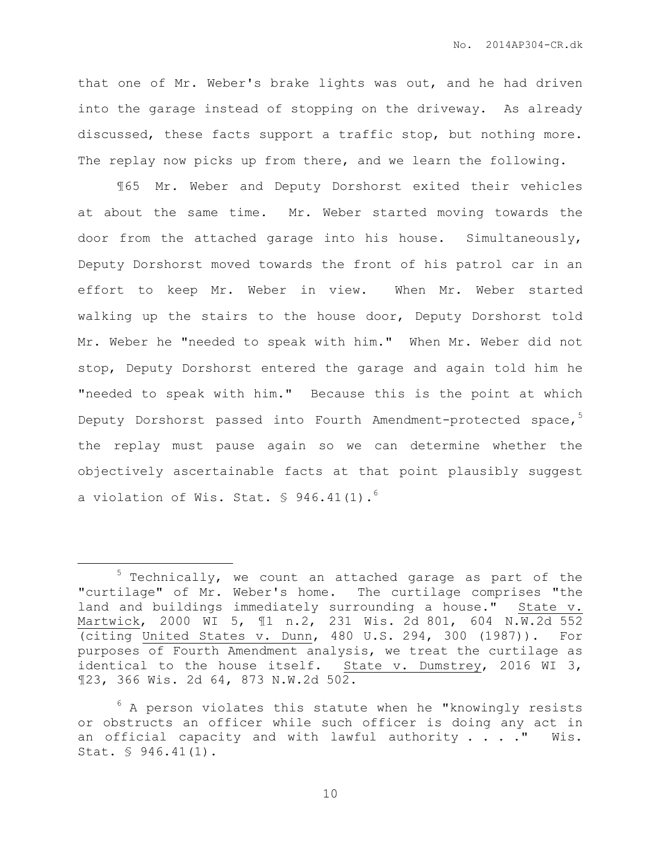that one of Mr. Weber's brake lights was out, and he had driven into the garage instead of stopping on the driveway. As already discussed, these facts support a traffic stop, but nothing more. The replay now picks up from there, and we learn the following.

¶65 Mr. Weber and Deputy Dorshorst exited their vehicles at about the same time. Mr. Weber started moving towards the door from the attached garage into his house. Simultaneously, Deputy Dorshorst moved towards the front of his patrol car in an effort to keep Mr. Weber in view. When Mr. Weber started walking up the stairs to the house door, Deputy Dorshorst told Mr. Weber he "needed to speak with him." When Mr. Weber did not stop, Deputy Dorshorst entered the garage and again told him he "needed to speak with him." Because this is the point at which Deputy Dorshorst passed into Fourth Amendment-protected space,<sup>5</sup> the replay must pause again so we can determine whether the objectively ascertainable facts at that point plausibly suggest a violation of Wis. Stat.  $\frac{6}{5}$  946.41(1).<sup>6</sup>

 $\overline{a}$ 

 $5$  Technically, we count an attached garage as part of the "curtilage" of Mr. Weber's home. The curtilage comprises "the land and buildings immediately surrounding a house." State v. Martwick, 2000 WI 5, ¶1 n.2, 231 Wis. 2d 801, 604 N.W.2d 552 (citing United States v. Dunn, 480 U.S. 294, 300 (1987)). For purposes of Fourth Amendment analysis, we treat the curtilage as identical to the house itself. State v. Dumstrey, 2016 WI 3, ¶23, 366 Wis. 2d 64, 873 N.W.2d 502.

 $6$  A person violates this statute when he "knowingly resists or obstructs an officer while such officer is doing any act in an official capacity and with lawful authority  $\ldots$  . . . Wis. Stat. § 946.41(1).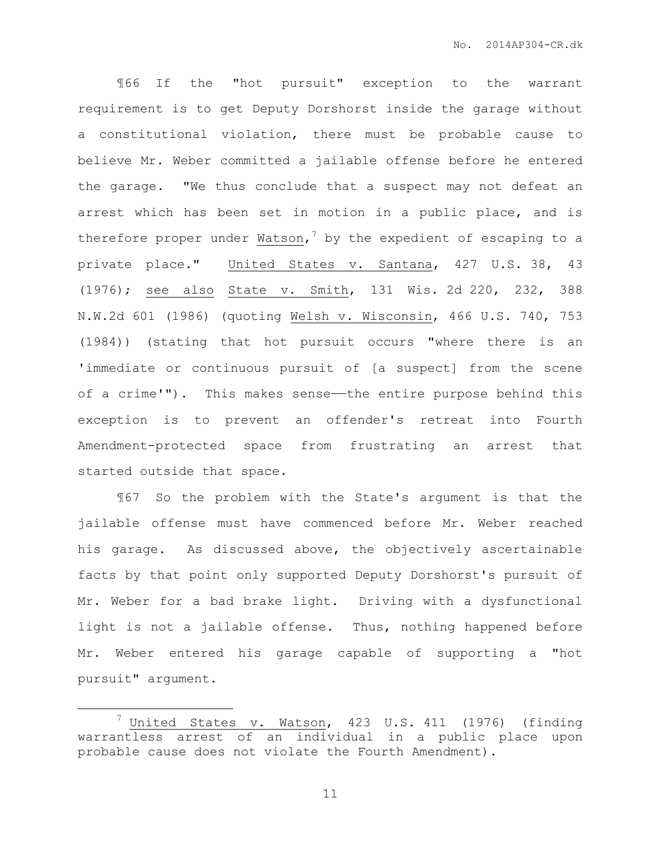¶66 If the "hot pursuit" exception to the warrant requirement is to get Deputy Dorshorst inside the garage without a constitutional violation, there must be probable cause to believe Mr. Weber committed a jailable offense before he entered the garage. "We thus conclude that a suspect may not defeat an arrest which has been set in motion in a public place, and is therefore proper under Watson,  $7$  by the expedient of escaping to a private place." United States v. Santana, 427 U.S. 38, 43 (1976); see also State v. Smith, 131 Wis. 2d 220, 232, 388 N.W.2d 601 (1986) (quoting Welsh v. Wisconsin, 466 U.S. 740, 753 (1984)) (stating that hot pursuit occurs "where there is an 'immediate or continuous pursuit of [a suspect] from the scene of a crime'"). This makes sense—the entire purpose behind this exception is to prevent an offender's retreat into Fourth Amendment-protected space from frustrating an arrest that started outside that space.

¶67 So the problem with the State's argument is that the jailable offense must have commenced before Mr. Weber reached his garage. As discussed above, the objectively ascertainable facts by that point only supported Deputy Dorshorst's pursuit of Mr. Weber for a bad brake light. Driving with a dysfunctional light is not a jailable offense. Thus, nothing happened before Mr. Weber entered his garage capable of supporting a "hot pursuit" argument.

 $\overline{a}$ 

 $^7$  United States v. Watson, 423 U.S. 411 (1976) (finding warrantless arrest of an individual in a public place upon probable cause does not violate the Fourth Amendment).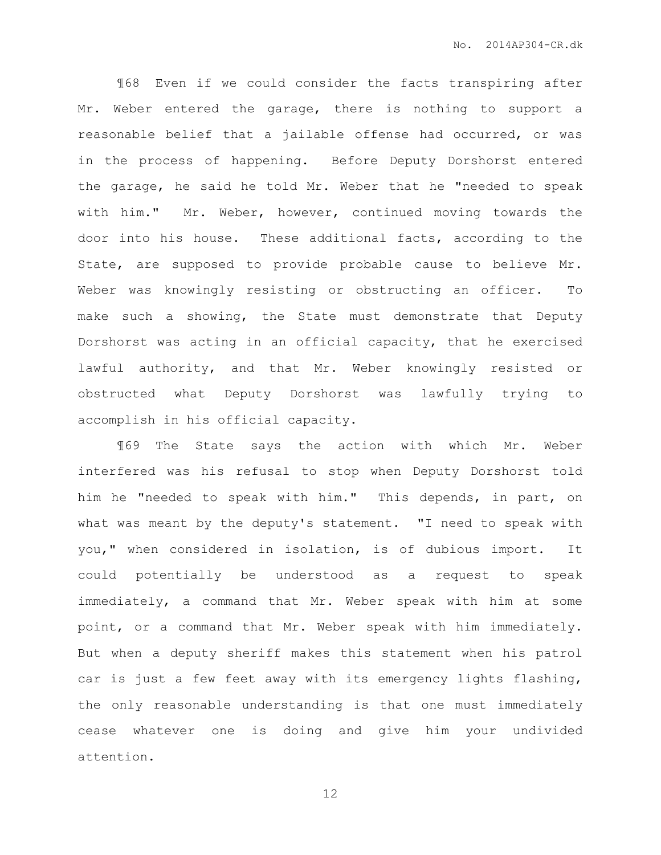¶68 Even if we could consider the facts transpiring after Mr. Weber entered the garage, there is nothing to support a reasonable belief that a jailable offense had occurred, or was in the process of happening. Before Deputy Dorshorst entered the garage, he said he told Mr. Weber that he "needed to speak with him." Mr. Weber, however, continued moving towards the door into his house. These additional facts, according to the State, are supposed to provide probable cause to believe Mr. Weber was knowingly resisting or obstructing an officer. To make such a showing, the State must demonstrate that Deputy Dorshorst was acting in an official capacity, that he exercised lawful authority, and that Mr. Weber knowingly resisted or obstructed what Deputy Dorshorst was lawfully trying to accomplish in his official capacity.

¶69 The State says the action with which Mr. Weber interfered was his refusal to stop when Deputy Dorshorst told him he "needed to speak with him." This depends, in part, on what was meant by the deputy's statement. "I need to speak with you," when considered in isolation, is of dubious import. It could potentially be understood as a request to speak immediately, a command that Mr. Weber speak with him at some point, or a command that Mr. Weber speak with him immediately. But when a deputy sheriff makes this statement when his patrol car is just a few feet away with its emergency lights flashing, the only reasonable understanding is that one must immediately cease whatever one is doing and give him your undivided attention.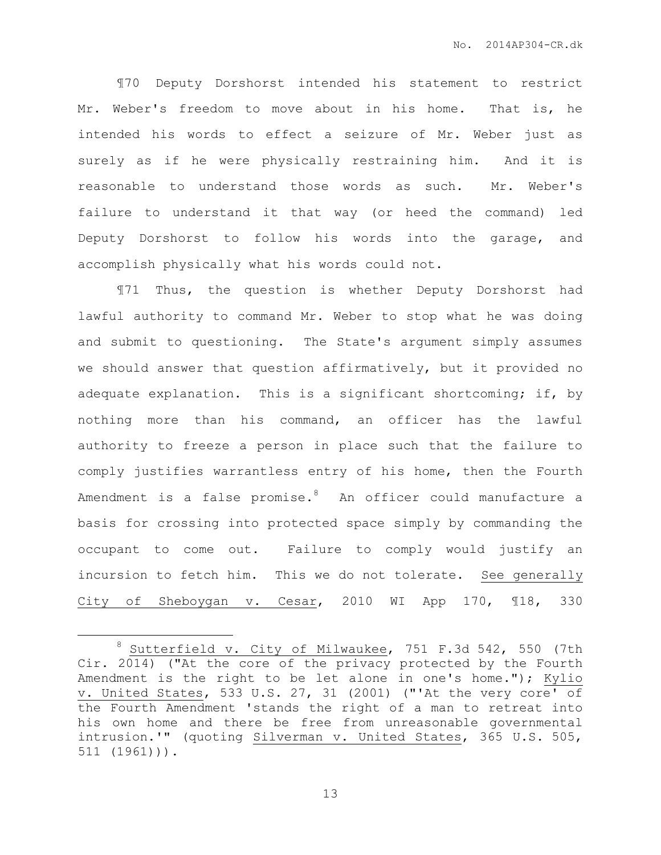¶70 Deputy Dorshorst intended his statement to restrict Mr. Weber's freedom to move about in his home. That is, he intended his words to effect a seizure of Mr. Weber just as surely as if he were physically restraining him. And it is reasonable to understand those words as such. Mr. Weber's failure to understand it that way (or heed the command) led Deputy Dorshorst to follow his words into the garage, and accomplish physically what his words could not.

¶71 Thus, the question is whether Deputy Dorshorst had lawful authority to command Mr. Weber to stop what he was doing and submit to questioning. The State's argument simply assumes we should answer that question affirmatively, but it provided no adequate explanation. This is a significant shortcoming; if, by nothing more than his command, an officer has the lawful authority to freeze a person in place such that the failure to comply justifies warrantless entry of his home, then the Fourth Amendment is a false promise. $8$  An officer could manufacture a basis for crossing into protected space simply by commanding the occupant to come out. Failure to comply would justify an incursion to fetch him. This we do not tolerate. See generally City of Sheboygan v. Cesar, 2010 WI App 170, ¶18, 330

 $\overline{a}$ 

Sutterfield v. City of Milwaukee, 751 F.3d 542, 550 (7th Cir. 2014) ("At the core of the privacy protected by the Fourth Amendment is the right to be let alone in one's home."); Kylio v. United States, 533 U.S. 27, 31 (2001) ("'At the very core' of the Fourth Amendment 'stands the right of a man to retreat into his own home and there be free from unreasonable governmental intrusion.'" (quoting Silverman v. United States, 365 U.S. 505, 511 (1961))).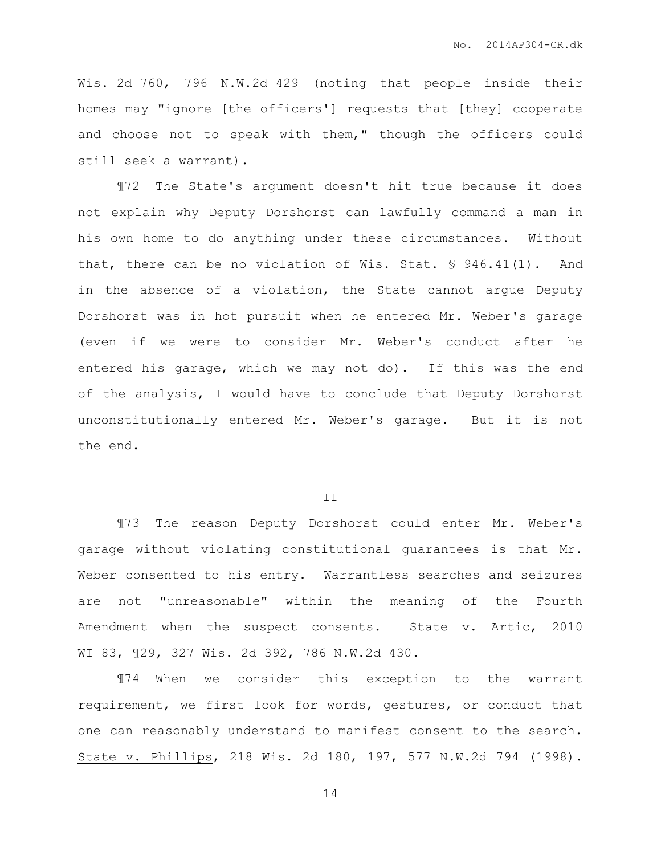Wis. 2d 760, 796 N.W.2d 429 (noting that people inside their homes may "ignore [the officers'] requests that [they] cooperate and choose not to speak with them," though the officers could still seek a warrant).

¶72 The State's argument doesn't hit true because it does not explain why Deputy Dorshorst can lawfully command a man in his own home to do anything under these circumstances. Without that, there can be no violation of Wis. Stat. § 946.41(1). And in the absence of a violation, the State cannot argue Deputy Dorshorst was in hot pursuit when he entered Mr. Weber's garage (even if we were to consider Mr. Weber's conduct after he entered his garage, which we may not do). If this was the end of the analysis, I would have to conclude that Deputy Dorshorst unconstitutionally entered Mr. Weber's garage. But it is not the end.

## II

¶73 The reason Deputy Dorshorst could enter Mr. Weber's garage without violating constitutional guarantees is that Mr. Weber consented to his entry. Warrantless searches and seizures are not "unreasonable" within the meaning of the Fourth Amendment when the suspect consents. State v. Artic, 2010 WI 83, ¶29, 327 Wis. 2d 392, 786 N.W.2d 430.

¶74 When we consider this exception to the warrant requirement, we first look for words, gestures, or conduct that one can reasonably understand to manifest consent to the search. State v. Phillips, 218 Wis. 2d 180, 197, 577 N.W.2d 794 (1998).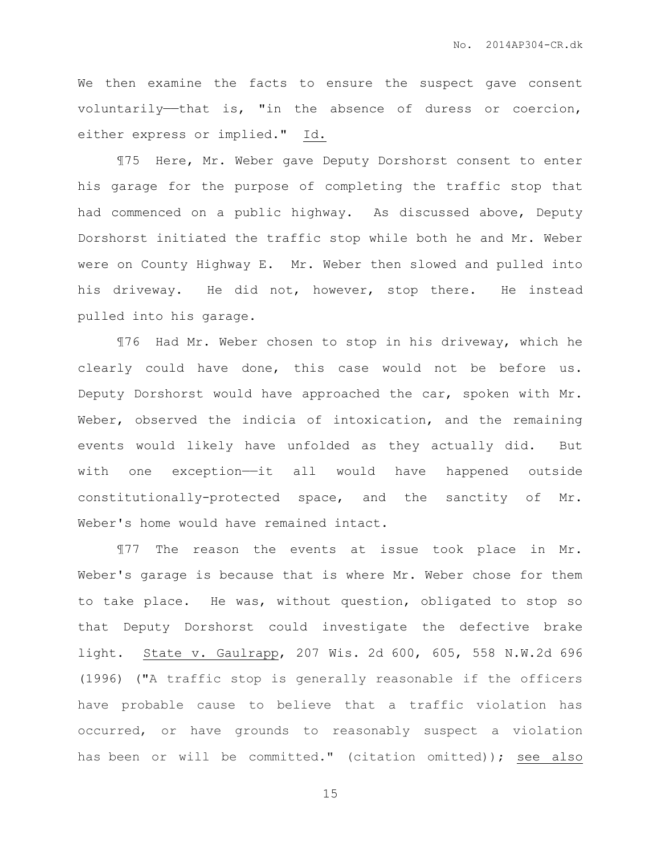We then examine the facts to ensure the suspect gave consent voluntarily—that is, "in the absence of duress or coercion, either express or implied." Id.

¶75 Here, Mr. Weber gave Deputy Dorshorst consent to enter his garage for the purpose of completing the traffic stop that had commenced on a public highway. As discussed above, Deputy Dorshorst initiated the traffic stop while both he and Mr. Weber were on County Highway E. Mr. Weber then slowed and pulled into his driveway. He did not, however, stop there. He instead pulled into his garage.

¶76 Had Mr. Weber chosen to stop in his driveway, which he clearly could have done, this case would not be before us. Deputy Dorshorst would have approached the car, spoken with Mr. Weber, observed the indicia of intoxication, and the remaining events would likely have unfolded as they actually did. But with one exception—it all would have happened outside constitutionally-protected space, and the sanctity of Mr. Weber's home would have remained intact.

¶77 The reason the events at issue took place in Mr. Weber's garage is because that is where Mr. Weber chose for them to take place. He was, without question, obligated to stop so that Deputy Dorshorst could investigate the defective brake light. State v. Gaulrapp, 207 Wis. 2d 600, 605, 558 N.W.2d 696 (1996) ("A traffic stop is generally reasonable if the officers have probable cause to believe that a traffic violation has occurred, or have grounds to reasonably suspect a violation has been or will be committed." (citation omitted)); see also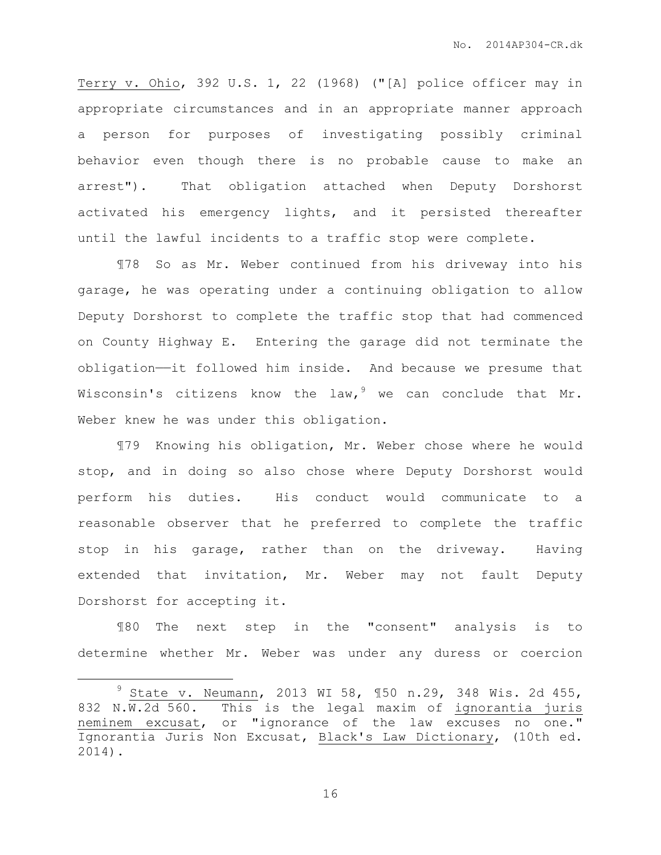Terry v. Ohio, 392 U.S. 1, 22 (1968) ("[A] police officer may in appropriate circumstances and in an appropriate manner approach a person for purposes of investigating possibly criminal behavior even though there is no probable cause to make an arrest"). That obligation attached when Deputy Dorshorst activated his emergency lights, and it persisted thereafter until the lawful incidents to a traffic stop were complete.

¶78 So as Mr. Weber continued from his driveway into his garage, he was operating under a continuing obligation to allow Deputy Dorshorst to complete the traffic stop that had commenced on County Highway E. Entering the garage did not terminate the obligation——it followed him inside. And because we presume that Wisconsin's citizens know the law,  $9$  we can conclude that Mr. Weber knew he was under this obligation.

¶79 Knowing his obligation, Mr. Weber chose where he would stop, and in doing so also chose where Deputy Dorshorst would perform his duties. His conduct would communicate to a reasonable observer that he preferred to complete the traffic stop in his garage, rather than on the driveway. Having extended that invitation, Mr. Weber may not fault Deputy Dorshorst for accepting it.

¶80 The next step in the "consent" analysis is to determine whether Mr. Weber was under any duress or coercion

 $\overline{a}$ 

<sup>9</sup> State v. Neumann, 2013 WI 58, ¶50 n.29, 348 Wis. 2d 455, 832 N.W.2d 560. This is the legal maxim of ignorantia juris neminem excusat, or "ignorance of the law excuses no one." Ignorantia Juris Non Excusat, Black's Law Dictionary, (10th ed. 2014).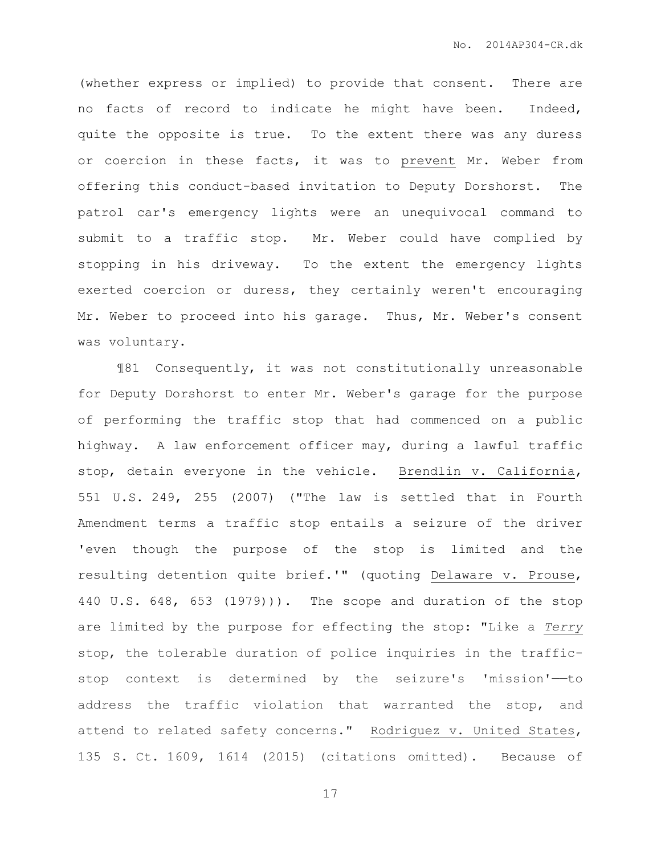(whether express or implied) to provide that consent. There are no facts of record to indicate he might have been. Indeed, quite the opposite is true. To the extent there was any duress or coercion in these facts, it was to prevent Mr. Weber from offering this conduct-based invitation to Deputy Dorshorst. The patrol car's emergency lights were an unequivocal command to submit to a traffic stop. Mr. Weber could have complied by stopping in his driveway. To the extent the emergency lights exerted coercion or duress, they certainly weren't encouraging Mr. Weber to proceed into his garage. Thus, Mr. Weber's consent was voluntary.

¶81 Consequently, it was not constitutionally unreasonable for Deputy Dorshorst to enter Mr. Weber's garage for the purpose of performing the traffic stop that had commenced on a public highway. A law enforcement officer may, during a lawful traffic stop, detain everyone in the vehicle. Brendlin v. California, 551 U.S. 249, 255 (2007) ("The law is settled that in Fourth Amendment terms a traffic stop entails a seizure of the driver 'even though the purpose of the stop is limited and the resulting detention quite brief.'" (quoting Delaware v. Prouse, 440 U.S. 648, 653 (1979))). The scope and duration of the stop are limited by the purpose for effecting the stop: "Like a *Terry* stop, the tolerable duration of police inquiries in the trafficstop context is determined by the seizure's 'mission'——to address the traffic violation that warranted the stop, and attend to related safety concerns." Rodriguez v. United States, 135 S. Ct. 1609, 1614 (2015) (citations omitted). Because of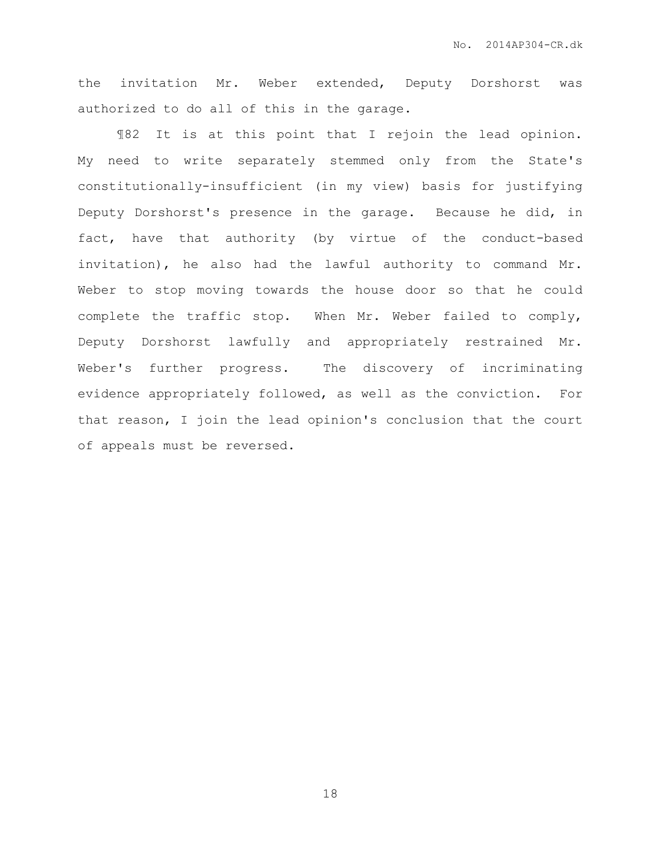the invitation Mr. Weber extended, Deputy Dorshorst was authorized to do all of this in the garage.

¶82 It is at this point that I rejoin the lead opinion. My need to write separately stemmed only from the State's constitutionally-insufficient (in my view) basis for justifying Deputy Dorshorst's presence in the garage. Because he did, in fact, have that authority (by virtue of the conduct-based invitation), he also had the lawful authority to command Mr. Weber to stop moving towards the house door so that he could complete the traffic stop. When Mr. Weber failed to comply, Deputy Dorshorst lawfully and appropriately restrained Mr. Weber's further progress. The discovery of incriminating evidence appropriately followed, as well as the conviction. For that reason, I join the lead opinion's conclusion that the court of appeals must be reversed.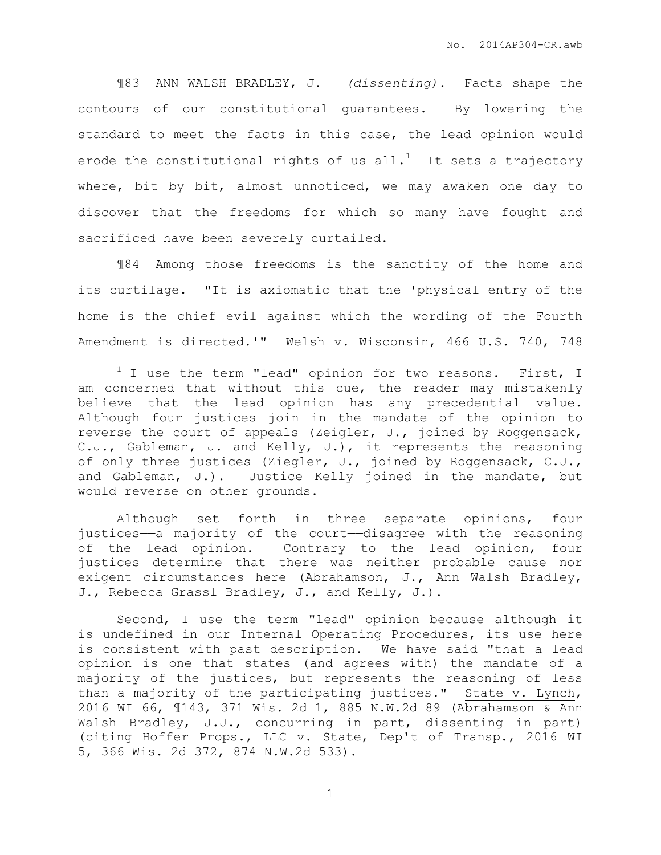¶83 ANN WALSH BRADLEY, J. *(dissenting).* Facts shape the contours of our constitutional guarantees. By lowering the standard to meet the facts in this case, the lead opinion would erode the constitutional rights of us all.<sup>1</sup> It sets a trajectory where, bit by bit, almost unnoticed, we may awaken one day to discover that the freedoms for which so many have fought and sacrificed have been severely curtailed.

¶84 Among those freedoms is the sanctity of the home and its curtilage. "It is axiomatic that the 'physical entry of the home is the chief evil against which the wording of the Fourth Amendment is directed.'" Welsh v. Wisconsin, 466 U.S. 740, 748

 $\overline{a}$ 

Although set forth in three separate opinions, four justices—a majority of the court—disagree with the reasoning of the lead opinion. Contrary to the lead opinion, four justices determine that there was neither probable cause nor exigent circumstances here (Abrahamson, J., Ann Walsh Bradley, J., Rebecca Grassl Bradley, J., and Kelly, J.).

Second, I use the term "lead" opinion because although it is undefined in our Internal Operating Procedures, its use here is consistent with past description. We have said "that a lead opinion is one that states (and agrees with) the mandate of a majority of the justices, but represents the reasoning of less than a majority of the participating justices." State v. Lynch, 2016 WI 66, ¶143, 371 Wis. 2d 1, 885 N.W.2d 89 (Abrahamson & Ann Walsh Bradley, J.J., concurring in part, dissenting in part) (citing Hoffer Props., LLC v. State, Dep't of Transp., 2016 WI 5, 366 Wis. 2d 372, 874 N.W.2d 533).

 $1$  I use the term "lead" opinion for two reasons. First, I am concerned that without this cue, the reader may mistakenly believe that the lead opinion has any precedential value. Although four justices join in the mandate of the opinion to reverse the court of appeals (Zeigler, J., joined by Roggensack, C.J., Gableman, J. and Kelly, J.), it represents the reasoning of only three justices (Ziegler, J., joined by Roggensack, C.J., and Gableman, J.). Justice Kelly joined in the mandate, but would reverse on other grounds.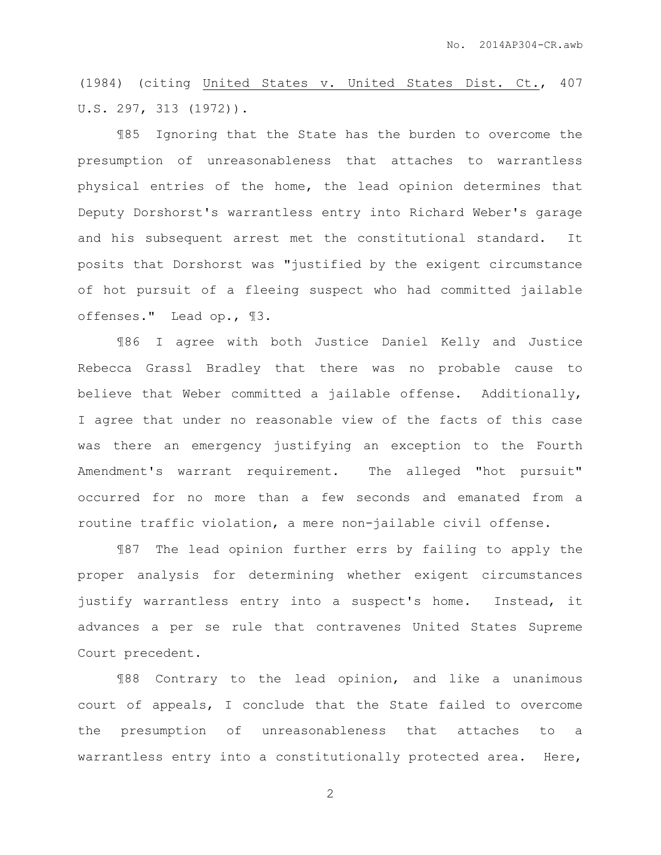(1984) (citing United States v. United States Dist. Ct., 407 U.S. 297, 313 (1972)).

¶85 Ignoring that the State has the burden to overcome the presumption of unreasonableness that attaches to warrantless physical entries of the home, the lead opinion determines that Deputy Dorshorst's warrantless entry into Richard Weber's garage and his subsequent arrest met the constitutional standard. It posits that Dorshorst was "justified by the exigent circumstance of hot pursuit of a fleeing suspect who had committed jailable offenses." Lead op., ¶3.

¶86 I agree with both Justice Daniel Kelly and Justice Rebecca Grassl Bradley that there was no probable cause to believe that Weber committed a jailable offense. Additionally, I agree that under no reasonable view of the facts of this case was there an emergency justifying an exception to the Fourth Amendment's warrant requirement. The alleged "hot pursuit" occurred for no more than a few seconds and emanated from a routine traffic violation, a mere non-jailable civil offense.

¶87 The lead opinion further errs by failing to apply the proper analysis for determining whether exigent circumstances justify warrantless entry into a suspect's home. Instead, it advances a per se rule that contravenes United States Supreme Court precedent.

¶88 Contrary to the lead opinion, and like a unanimous court of appeals, I conclude that the State failed to overcome the presumption of unreasonableness that attaches to a warrantless entry into a constitutionally protected area. Here,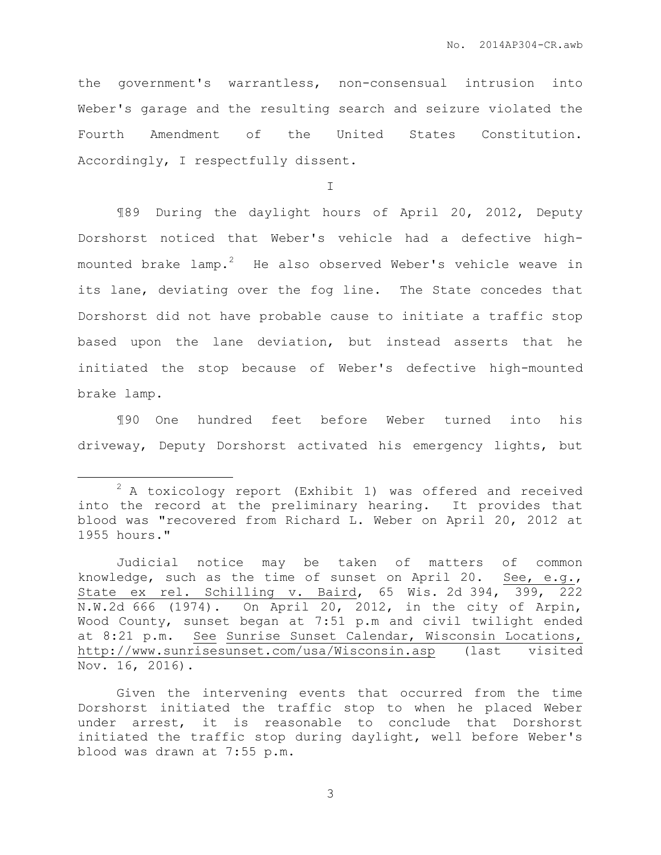the government's warrantless, non-consensual intrusion into Weber's garage and the resulting search and seizure violated the Fourth Amendment of the United States Constitution. Accordingly, I respectfully dissent.

I

¶89 During the daylight hours of April 20, 2012, Deputy Dorshorst noticed that Weber's vehicle had a defective highmounted brake lamp.<sup>2</sup> He also observed Weber's vehicle weave in its lane, deviating over the fog line. The State concedes that Dorshorst did not have probable cause to initiate a traffic stop based upon the lane deviation, but instead asserts that he initiated the stop because of Weber's defective high-mounted brake lamp.

¶90 One hundred feet before Weber turned into his driveway, Deputy Dorshorst activated his emergency lights, but

 $\overline{a}$ 

 $2$  A toxicology report (Exhibit 1) was offered and received into the record at the preliminary hearing. It provides that blood was "recovered from Richard L. Weber on April 20, 2012 at 1955 hours."

Judicial notice may be taken of matters of common knowledge, such as the time of sunset on April 20. See, e.g., State ex rel. Schilling v. Baird, 65 Wis. 2d 394, 399, 222 N.W.2d 666 (1974). On April 20, 2012, in the city of Arpin, Wood County, sunset began at 7:51 p.m and civil twilight ended at 8:21 p.m. See Sunrise Sunset Calendar, Wisconsin Locations, <http://www.sunrisesunset.com/usa/Wisconsin.asp> (last visited Nov. 16, 2016).

Given the intervening events that occurred from the time Dorshorst initiated the traffic stop to when he placed Weber under arrest, it is reasonable to conclude that Dorshorst initiated the traffic stop during daylight, well before Weber's blood was drawn at 7:55 p.m.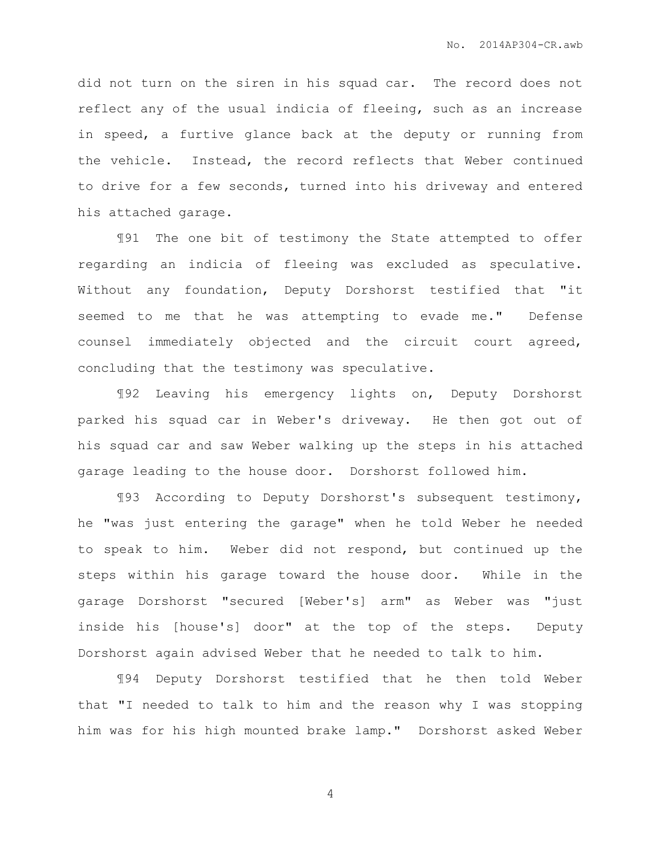did not turn on the siren in his squad car. The record does not reflect any of the usual indicia of fleeing, such as an increase in speed, a furtive glance back at the deputy or running from the vehicle. Instead, the record reflects that Weber continued to drive for a few seconds, turned into his driveway and entered his attached garage.

¶91 The one bit of testimony the State attempted to offer regarding an indicia of fleeing was excluded as speculative. Without any foundation, Deputy Dorshorst testified that "it seemed to me that he was attempting to evade me." Defense counsel immediately objected and the circuit court agreed, concluding that the testimony was speculative.

¶92 Leaving his emergency lights on, Deputy Dorshorst parked his squad car in Weber's driveway. He then got out of his squad car and saw Weber walking up the steps in his attached garage leading to the house door. Dorshorst followed him.

¶93 According to Deputy Dorshorst's subsequent testimony, he "was just entering the garage" when he told Weber he needed to speak to him. Weber did not respond, but continued up the steps within his garage toward the house door. While in the garage Dorshorst "secured [Weber's] arm" as Weber was "just inside his [house's] door" at the top of the steps. Deputy Dorshorst again advised Weber that he needed to talk to him.

¶94 Deputy Dorshorst testified that he then told Weber that "I needed to talk to him and the reason why I was stopping him was for his high mounted brake lamp." Dorshorst asked Weber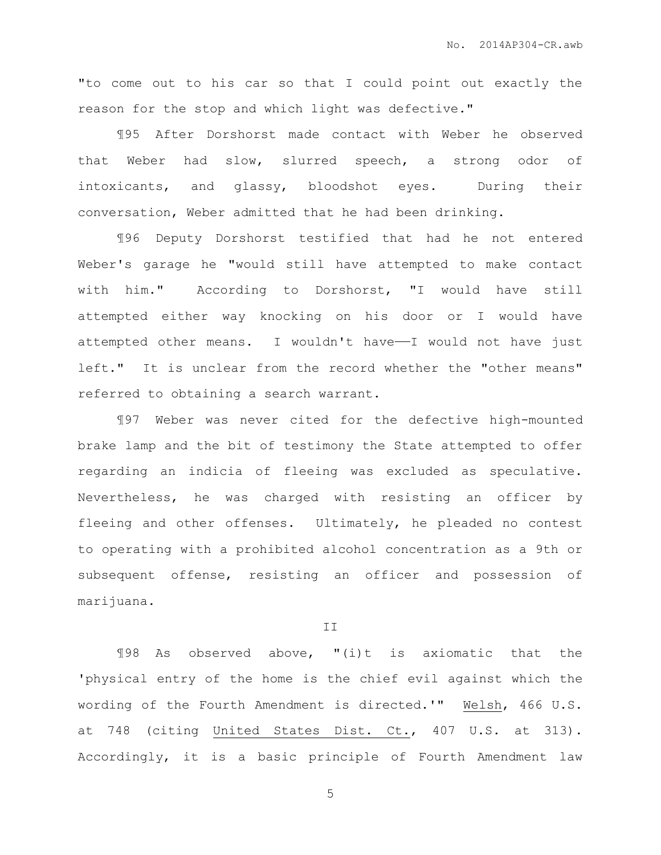"to come out to his car so that I could point out exactly the reason for the stop and which light was defective."

¶95 After Dorshorst made contact with Weber he observed that Weber had slow, slurred speech, a strong odor of intoxicants, and glassy, bloodshot eyes. During their conversation, Weber admitted that he had been drinking.

¶96 Deputy Dorshorst testified that had he not entered Weber's garage he "would still have attempted to make contact with him." According to Dorshorst, "I would have still attempted either way knocking on his door or I would have attempted other means. I wouldn't have——I would not have just left." It is unclear from the record whether the "other means" referred to obtaining a search warrant.

¶97 Weber was never cited for the defective high-mounted brake lamp and the bit of testimony the State attempted to offer regarding an indicia of fleeing was excluded as speculative. Nevertheless, he was charged with resisting an officer by fleeing and other offenses. Ultimately, he pleaded no contest to operating with a prohibited alcohol concentration as a 9th or subsequent offense, resisting an officer and possession of marijuana.

## II

¶98 As observed above, "(i)t is axiomatic that the 'physical entry of the home is the chief evil against which the wording of the Fourth Amendment is directed.'" Welsh, 466 U.S. at 748 (citing United States Dist. Ct., 407 U.S. at 313). Accordingly, it is a basic principle of Fourth Amendment law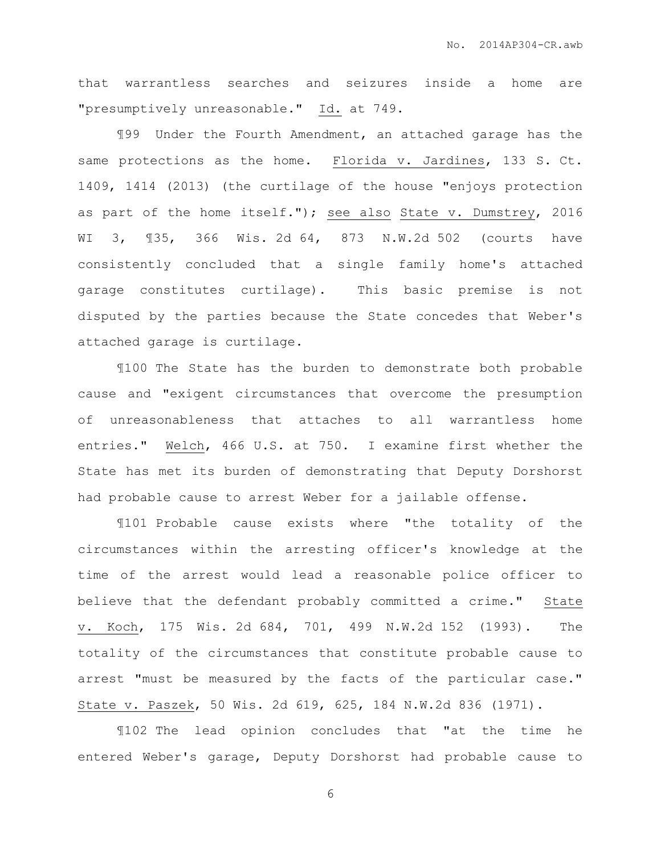that warrantless searches and seizures inside a home are "presumptively unreasonable." Id. at 749.

¶99 Under the Fourth Amendment, an attached garage has the same protections as the home. Florida v. Jardines, 133 S. Ct. 1409, 1414 (2013) (the curtilage of the house "enjoys protection as part of the home itself."); see also State v. Dumstrey, 2016 WI 3, ¶35, 366 Wis. 2d 64, 873 N.W.2d 502 (courts have consistently concluded that a single family home's attached garage constitutes curtilage). This basic premise is not disputed by the parties because the State concedes that Weber's attached garage is curtilage.

¶100 The State has the burden to demonstrate both probable cause and "exigent circumstances that overcome the presumption of unreasonableness that attaches to all warrantless home entries." Welch, 466 U.S. at 750. I examine first whether the State has met its burden of demonstrating that Deputy Dorshorst had probable cause to arrest Weber for a jailable offense.

¶101 Probable cause exists where "the totality of the circumstances within the arresting officer's knowledge at the time of the arrest would lead a reasonable police officer to believe that the defendant probably committed a crime." State v. Koch, 175 Wis. 2d 684, 701, 499 N.W.2d 152 (1993). The totality of the circumstances that constitute probable cause to arrest "must be measured by the facts of the particular case." State v. Paszek, 50 Wis. 2d 619, 625, 184 N.W.2d 836 (1971).

¶102 The lead opinion concludes that "at the time he entered Weber's garage, Deputy Dorshorst had probable cause to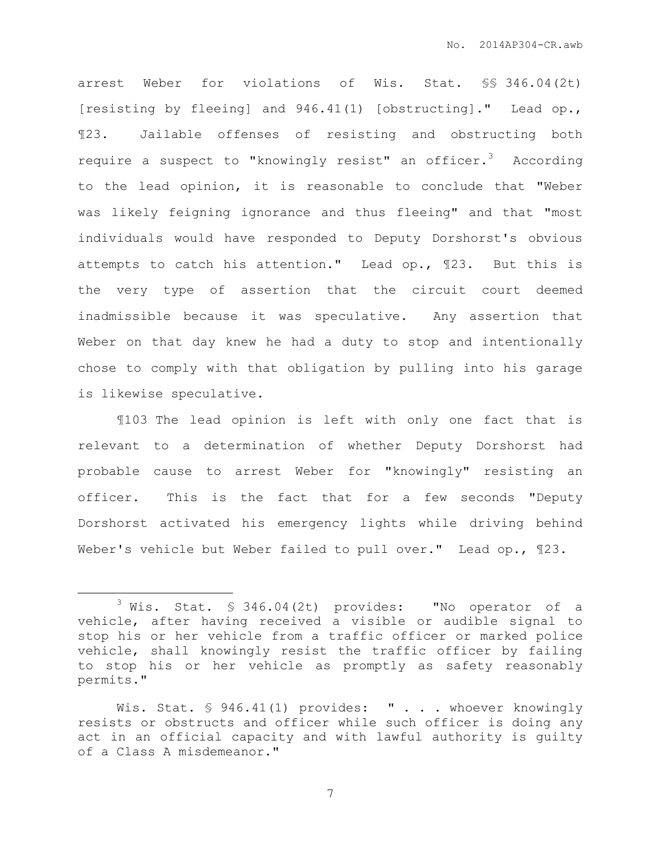arrest Weber for violations of Wis. Stat. §§ 346.04(2t) [resisting by fleeing] and 946.41(1) [obstructing]." Lead op., ¶23. Jailable offenses of resisting and obstructing both require a suspect to "knowingly resist" an officer. $3$  According to the lead opinion, it is reasonable to conclude that "Weber was likely feigning ignorance and thus fleeing" and that "most individuals would have responded to Deputy Dorshorst's obvious attempts to catch his attention." Lead op., ¶23. But this is the very type of assertion that the circuit court deemed inadmissible because it was speculative. Any assertion that Weber on that day knew he had a duty to stop and intentionally chose to comply with that obligation by pulling into his garage is likewise speculative.

¶103 The lead opinion is left with only one fact that is relevant to a determination of whether Deputy Dorshorst had probable cause to arrest Weber for "knowingly" resisting an officer. This is the fact that for a few seconds "Deputy Dorshorst activated his emergency lights while driving behind Weber's vehicle but Weber failed to pull over." Lead op., ¶23.

 $\overline{a}$ 

 $3$  Wis. Stat. § 346.04(2t) provides: "No operator of a vehicle, after having received a visible or audible signal to stop his or her vehicle from a traffic officer or marked police vehicle, shall knowingly resist the traffic officer by failing to stop his or her vehicle as promptly as safety reasonably permits."

Wis. Stat. § 946.41(1) provides: " . . . whoever knowingly resists or obstructs and officer while such officer is doing any act in an official capacity and with lawful authority is guilty of a Class A misdemeanor."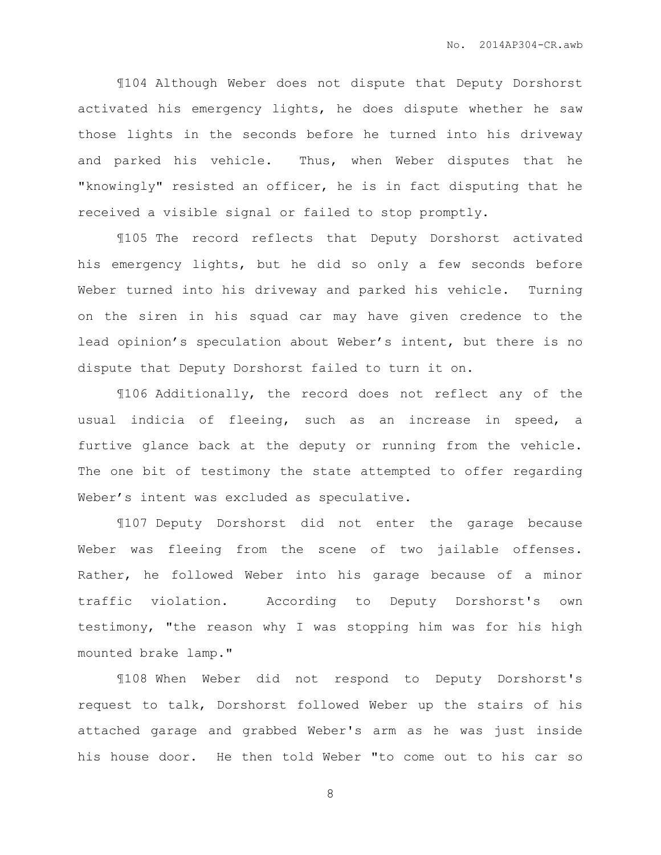¶104 Although Weber does not dispute that Deputy Dorshorst activated his emergency lights, he does dispute whether he saw those lights in the seconds before he turned into his driveway and parked his vehicle. Thus, when Weber disputes that he "knowingly" resisted an officer, he is in fact disputing that he received a visible signal or failed to stop promptly.

¶105 The record reflects that Deputy Dorshorst activated his emergency lights, but he did so only a few seconds before Weber turned into his driveway and parked his vehicle. Turning on the siren in his squad car may have given credence to the lead opinion's speculation about Weber's intent, but there is no dispute that Deputy Dorshorst failed to turn it on.

¶106 Additionally, the record does not reflect any of the usual indicia of fleeing, such as an increase in speed, a furtive glance back at the deputy or running from the vehicle. The one bit of testimony the state attempted to offer regarding Weber's intent was excluded as speculative.

¶107 Deputy Dorshorst did not enter the garage because Weber was fleeing from the scene of two jailable offenses. Rather, he followed Weber into his garage because of a minor traffic violation. According to Deputy Dorshorst's own testimony, "the reason why I was stopping him was for his high mounted brake lamp."

¶108 When Weber did not respond to Deputy Dorshorst's request to talk, Dorshorst followed Weber up the stairs of his attached garage and grabbed Weber's arm as he was just inside his house door. He then told Weber "to come out to his car so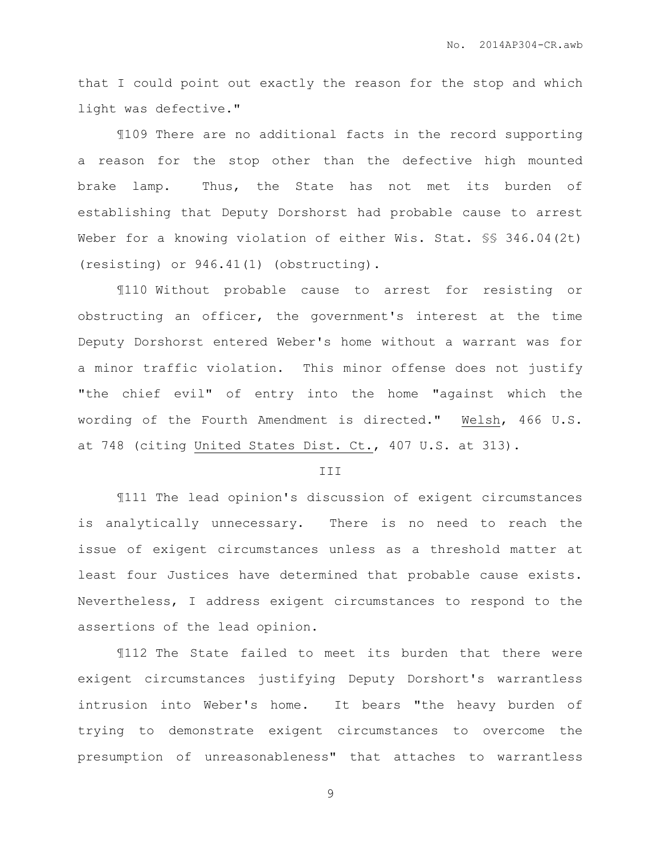that I could point out exactly the reason for the stop and which light was defective."

¶109 There are no additional facts in the record supporting a reason for the stop other than the defective high mounted brake lamp. Thus, the State has not met its burden of establishing that Deputy Dorshorst had probable cause to arrest Weber for a knowing violation of either Wis. Stat. §§ 346.04(2t) (resisting) or 946.41(1) (obstructing).

¶110 Without probable cause to arrest for resisting or obstructing an officer, the government's interest at the time Deputy Dorshorst entered Weber's home without a warrant was for a minor traffic violation. This minor offense does not justify "the chief evil" of entry into the home "against which the wording of the Fourth Amendment is directed." Welsh, 466 U.S. at 748 (citing United States Dist. Ct., 407 U.S. at 313).

## **III**

¶111 The lead opinion's discussion of exigent circumstances is analytically unnecessary. There is no need to reach the issue of exigent circumstances unless as a threshold matter at least four Justices have determined that probable cause exists. Nevertheless, I address exigent circumstances to respond to the assertions of the lead opinion.

¶112 The State failed to meet its burden that there were exigent circumstances justifying Deputy Dorshort's warrantless intrusion into Weber's home. It bears "the heavy burden of trying to demonstrate exigent circumstances to overcome the presumption of unreasonableness" that attaches to warrantless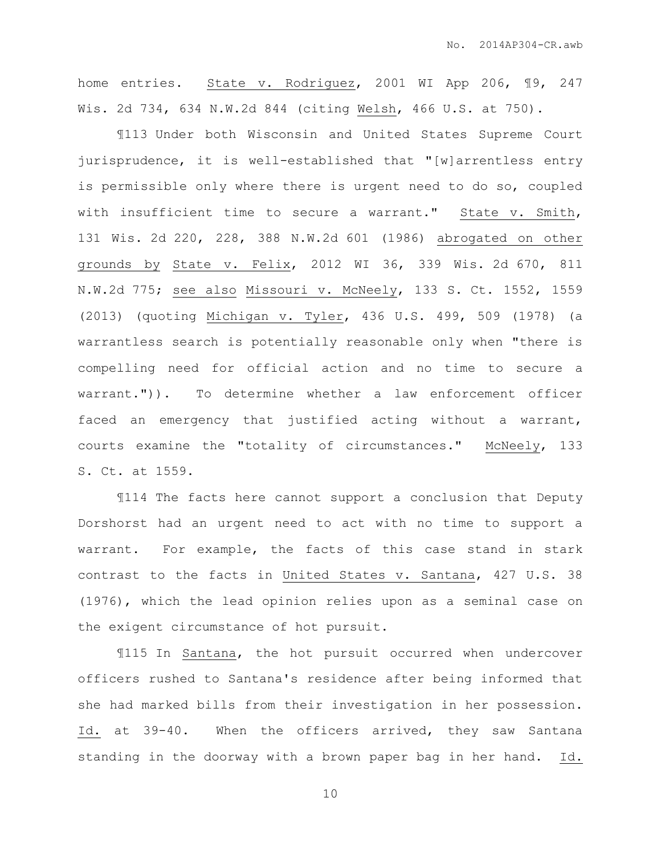home entries. State v. Rodriguez, 2001 WI App 206,  $\sqrt{9}$ , 247 Wis. 2d 734, 634 N.W.2d 844 (citing Welsh, 466 U.S. at 750).

¶113 Under both Wisconsin and United States Supreme Court jurisprudence, it is well-established that "[w]arrentless entry is permissible only where there is urgent need to do so, coupled with insufficient time to secure a warrant." State v. Smith, 131 Wis. 2d 220, 228, 388 N.W.2d 601 (1986) abrogated on other grounds by State v. Felix, 2012 WI 36, 339 Wis. 2d 670, 811 N.W.2d 775; see also Missouri v. McNeely, 133 S. Ct. 1552, 1559 (2013) (quoting Michigan v. Tyler, 436 U.S. 499, 509 (1978) (a warrantless search is potentially reasonable only when "there is compelling need for official action and no time to secure a warrant.")). To determine whether a law enforcement officer faced an emergency that justified acting without a warrant, courts examine the "totality of circumstances." McNeely, 133 S. Ct. at 1559.

¶114 The facts here cannot support a conclusion that Deputy Dorshorst had an urgent need to act with no time to support a warrant. For example, the facts of this case stand in stark contrast to the facts in United States v. Santana, 427 U.S. 38 (1976), which the lead opinion relies upon as a seminal case on the exigent circumstance of hot pursuit.

¶115 In Santana, the hot pursuit occurred when undercover officers rushed to Santana's residence after being informed that she had marked bills from their investigation in her possession. Id. at 39-40. When the officers arrived, they saw Santana standing in the doorway with a brown paper bag in her hand. Id.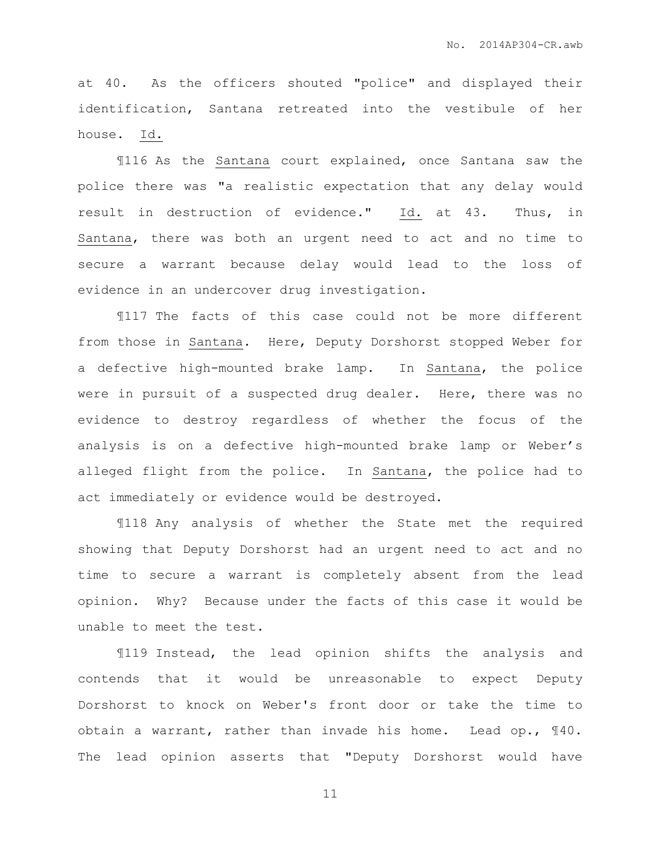at 40. As the officers shouted "police" and displayed their identification, Santana retreated into the vestibule of her house. Id.

¶116 As the Santana court explained, once Santana saw the police there was "a realistic expectation that any delay would result in destruction of evidence." Id. at 43. Thus, in Santana, there was both an urgent need to act and no time to secure a warrant because delay would lead to the loss of evidence in an undercover drug investigation.

¶117 The facts of this case could not be more different from those in Santana. Here, Deputy Dorshorst stopped Weber for a defective high-mounted brake lamp. In Santana, the police were in pursuit of a suspected drug dealer. Here, there was no evidence to destroy regardless of whether the focus of the analysis is on a defective high-mounted brake lamp or Weber's alleged flight from the police. In Santana, the police had to act immediately or evidence would be destroyed.

¶118 Any analysis of whether the State met the required showing that Deputy Dorshorst had an urgent need to act and no time to secure a warrant is completely absent from the lead opinion. Why? Because under the facts of this case it would be unable to meet the test.

¶119 Instead, the lead opinion shifts the analysis and contends that it would be unreasonable to expect Deputy Dorshorst to knock on Weber's front door or take the time to obtain a warrant, rather than invade his home. Lead op., ¶40. The lead opinion asserts that "Deputy Dorshorst would have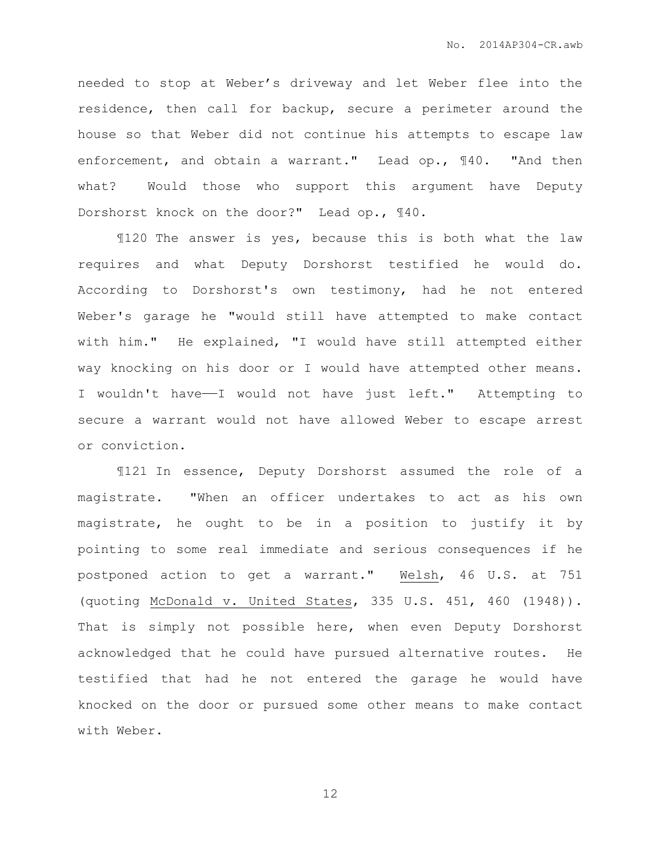needed to stop at Weber's driveway and let Weber flee into the residence, then call for backup, secure a perimeter around the house so that Weber did not continue his attempts to escape law enforcement, and obtain a warrant." Lead op., ¶40. "And then what? Would those who support this argument have Deputy Dorshorst knock on the door?" Lead op., ¶40.

¶120 The answer is yes, because this is both what the law requires and what Deputy Dorshorst testified he would do. According to Dorshorst's own testimony, had he not entered Weber's garage he "would still have attempted to make contact with him." He explained, "I would have still attempted either way knocking on his door or I would have attempted other means. I wouldn't have—I would not have just left." Attempting to secure a warrant would not have allowed Weber to escape arrest or conviction.

¶121 In essence, Deputy Dorshorst assumed the role of a magistrate. "When an officer undertakes to act as his own magistrate, he ought to be in a position to justify it by pointing to some real immediate and serious consequences if he postponed action to get a warrant." Welsh, 46 U.S. at 751 (quoting McDonald v. United States, 335 U.S. 451, 460 (1948)). That is simply not possible here, when even Deputy Dorshorst acknowledged that he could have pursued alternative routes. He testified that had he not entered the garage he would have knocked on the door or pursued some other means to make contact with Weber.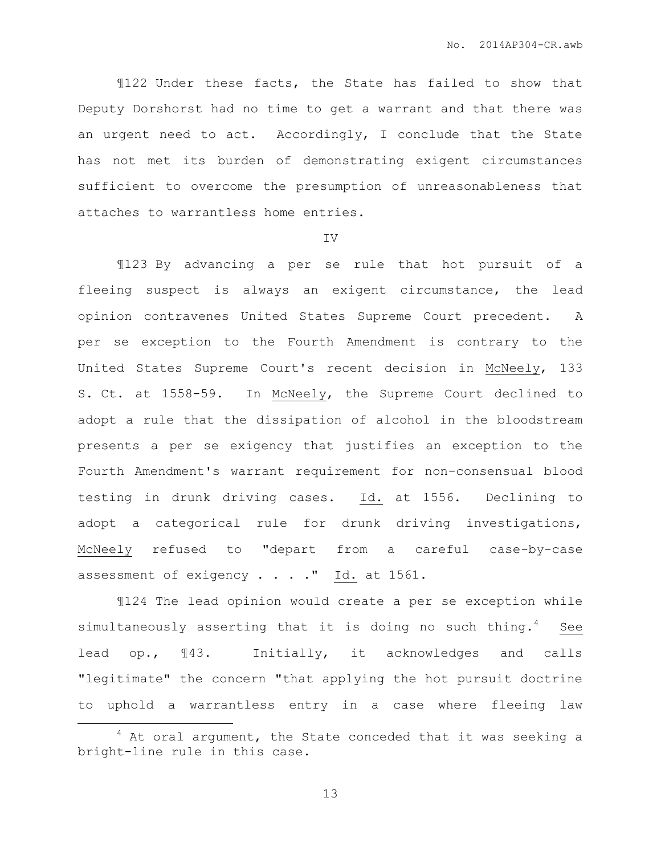¶122 Under these facts, the State has failed to show that Deputy Dorshorst had no time to get a warrant and that there was an urgent need to act. Accordingly, I conclude that the State has not met its burden of demonstrating exigent circumstances sufficient to overcome the presumption of unreasonableness that attaches to warrantless home entries.

IV

¶123 By advancing a per se rule that hot pursuit of a fleeing suspect is always an exigent circumstance, the lead opinion contravenes United States Supreme Court precedent. A per se exception to the Fourth Amendment is contrary to the United States Supreme Court's recent decision in McNeely, 133 S. Ct. at 1558-59. In McNeely, the Supreme Court declined to adopt a rule that the dissipation of alcohol in the bloodstream presents a per se exigency that justifies an exception to the Fourth Amendment's warrant requirement for non-consensual blood testing in drunk driving cases. Id. at 1556. Declining to adopt a categorical rule for drunk driving investigations, McNeely refused to "depart from a careful case-by-case assessment of exigency  $\ldots$  . . . " Id. at 1561.

¶124 The lead opinion would create a per se exception while simultaneously asserting that it is doing no such thing.<sup>4</sup> See lead op., ¶43. Initially, it acknowledges and calls "legitimate" the concern "that applying the hot pursuit doctrine to uphold a warrantless entry in a case where fleeing law

 $\overline{a}$ 

 $4$  At oral argument, the State conceded that it was seeking a bright-line rule in this case.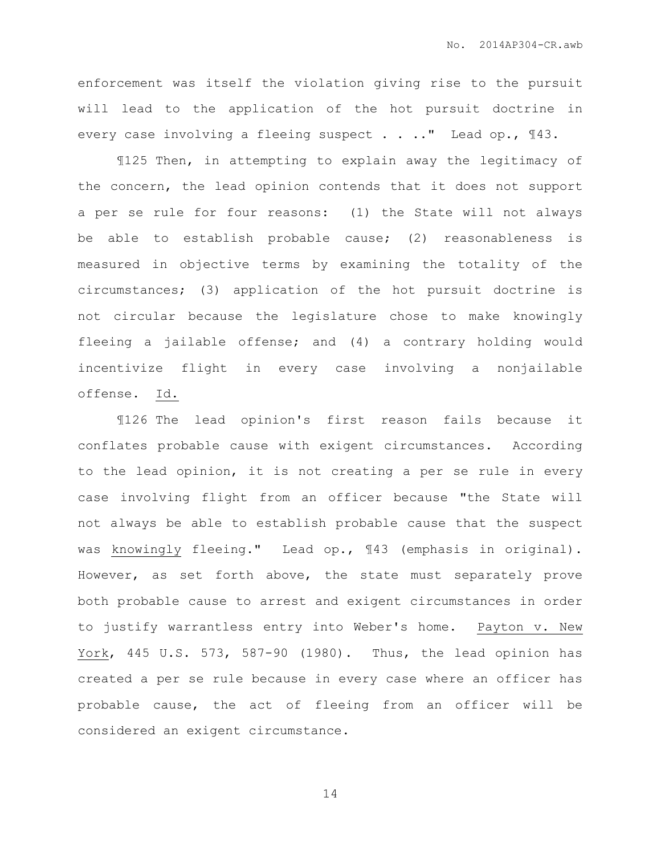enforcement was itself the violation giving rise to the pursuit will lead to the application of the hot pursuit doctrine in every case involving a fleeing suspect . . .." Lead op., 143.

¶125 Then, in attempting to explain away the legitimacy of the concern, the lead opinion contends that it does not support a per se rule for four reasons: (1) the State will not always be able to establish probable cause; (2) reasonableness is measured in objective terms by examining the totality of the circumstances; (3) application of the hot pursuit doctrine is not circular because the legislature chose to make knowingly fleeing a jailable offense; and (4) a contrary holding would incentivize flight in every case involving a nonjailable offense. Id.

¶126 The lead opinion's first reason fails because it conflates probable cause with exigent circumstances. According to the lead opinion, it is not creating a per se rule in every case involving flight from an officer because "the State will not always be able to establish probable cause that the suspect was knowingly fleeing." Lead op., ¶43 (emphasis in original). However, as set forth above, the state must separately prove both probable cause to arrest and exigent circumstances in order to justify warrantless entry into Weber's home. Payton v. New York, 445 U.S. 573, 587-90 (1980). Thus, the lead opinion has created a per se rule because in every case where an officer has probable cause, the act of fleeing from an officer will be considered an exigent circumstance.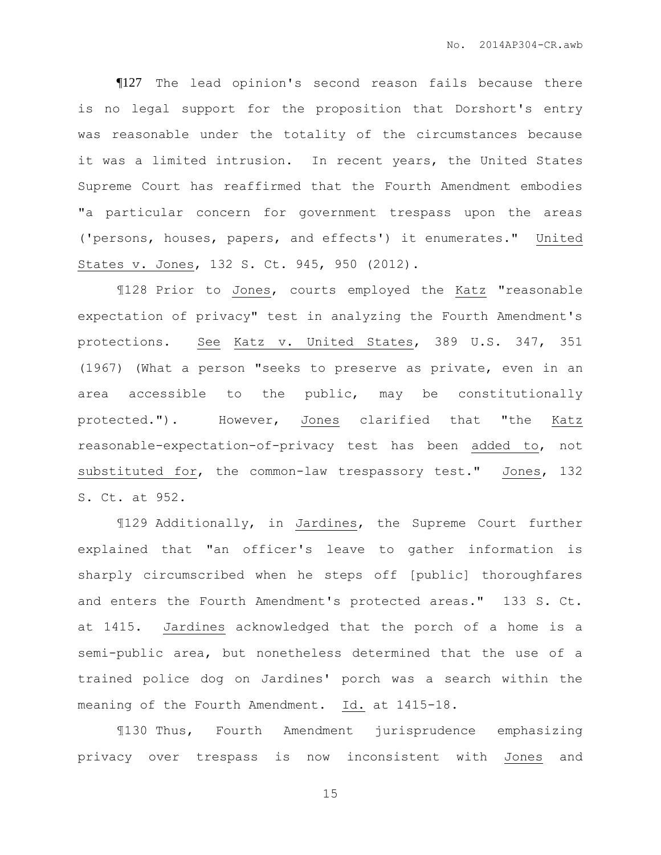¶127 The lead opinion's second reason fails because there is no legal support for the proposition that Dorshort's entry was reasonable under the totality of the circumstances because it was a limited intrusion. In recent years, the United States Supreme Court has reaffirmed that the Fourth Amendment embodies "a particular concern for government trespass upon the areas ('persons, houses, papers, and effects') it enumerates." United States v. Jones, 132 S. Ct. 945, 950 (2012).

¶128 Prior to Jones, courts employed the Katz "reasonable expectation of privacy" test in analyzing the Fourth Amendment's protections. See Katz v. United States, 389 U.S. 347, 351 (1967) (What a person "seeks to preserve as private, even in an area accessible to the public, may be constitutionally protected."). However, Jones clarified that "the Katz reasonable-expectation-of-privacy test has been added to, not substituted for, the common-law trespassory test." Jones, 132 S. Ct. at 952.

¶129 Additionally, in Jardines, the Supreme Court further explained that "an officer's leave to gather information is sharply circumscribed when he steps off [public] thoroughfares and enters the Fourth Amendment's protected areas." 133 S. Ct. at 1415. Jardines acknowledged that the porch of a home is a semi-public area, but nonetheless determined that the use of a trained police dog on Jardines' porch was a search within the meaning of the Fourth Amendment. Id. at 1415-18.

¶130 Thus, Fourth Amendment jurisprudence emphasizing privacy over trespass is now inconsistent with Jones and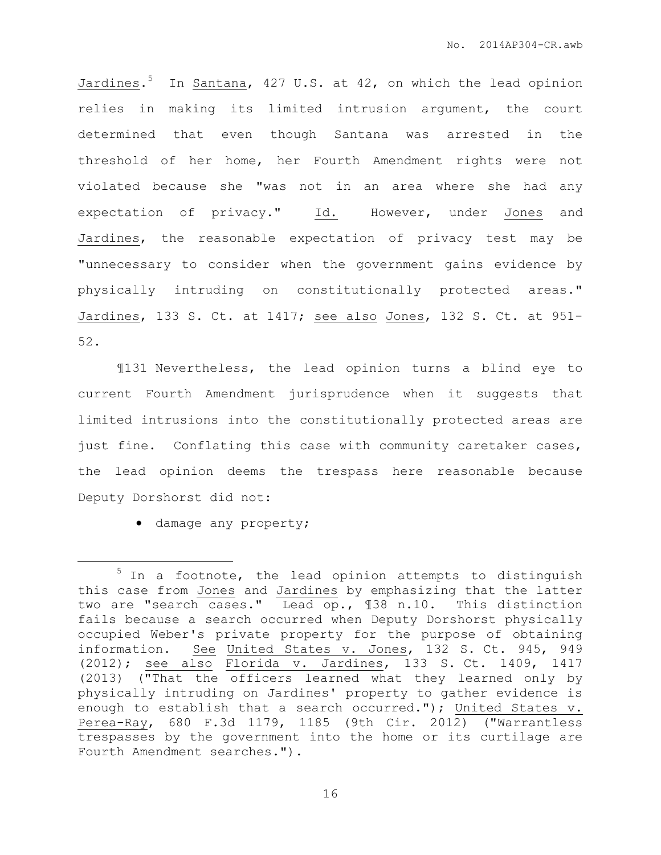Jardines. <sup>5</sup> In Santana, 427 U.S. at 42, on which the lead opinion relies in making its limited intrusion argument, the court determined that even though Santana was arrested in the threshold of her home, her Fourth Amendment rights were not violated because she "was not in an area where she had any expectation of privacy." Id. However, under Jones and Jardines, the reasonable expectation of privacy test may be "unnecessary to consider when the government gains evidence by physically intruding on constitutionally protected areas." Jardines, 133 S. Ct. at 1417; see also Jones, 132 S. Ct. at 951- 52.

¶131 Nevertheless, the lead opinion turns a blind eye to current Fourth Amendment jurisprudence when it suggests that limited intrusions into the constitutionally protected areas are just fine. Conflating this case with community caretaker cases, the lead opinion deems the trespass here reasonable because Deputy Dorshorst did not:

 $\bullet$  damage any property;

 $\overline{a}$ 

 $5$  In a footnote, the lead opinion attempts to distinguish this case from Jones and Jardines by emphasizing that the latter two are "search cases." Lead op., ¶38 n.10. This distinction fails because a search occurred when Deputy Dorshorst physically occupied Weber's private property for the purpose of obtaining information. See United States v. Jones, 132 S. Ct. 945, 949 (2012); see also Florida v. Jardines, 133 S. Ct. 1409, 1417 (2013) ("That the officers learned what they learned only by physically intruding on Jardines' property to gather evidence is enough to establish that a search occurred."); United States v. Perea-Ray, 680 F.3d 1179, 1185 (9th Cir. 2012) ("Warrantless trespasses by the government into the home or its curtilage are Fourth Amendment searches.").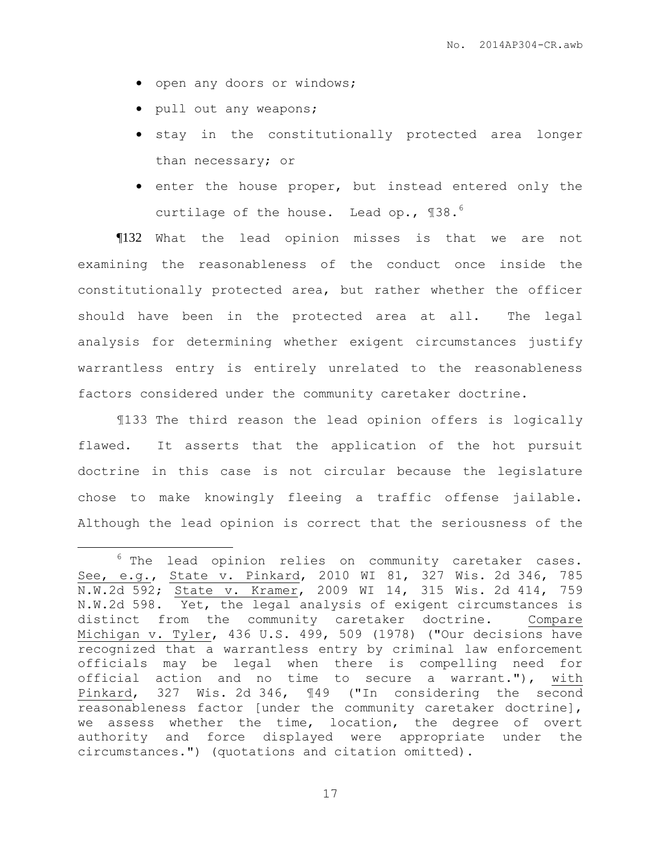- open any doors or windows;
- pull out any weapons;

 $\overline{a}$ 

- $\bullet$  stay in the constitutionally protected area longer than necessary; or
- enter the house proper, but instead entered only the curtilage of the house. Lead op., 138.<sup>6</sup>

¶132 What the lead opinion misses is that we are not examining the reasonableness of the conduct once inside the constitutionally protected area, but rather whether the officer should have been in the protected area at all. The legal analysis for determining whether exigent circumstances justify warrantless entry is entirely unrelated to the reasonableness factors considered under the community caretaker doctrine.

¶133 The third reason the lead opinion offers is logically flawed. It asserts that the application of the hot pursuit doctrine in this case is not circular because the legislature chose to make knowingly fleeing a traffic offense jailable. Although the lead opinion is correct that the seriousness of the

<sup>6</sup> The lead opinion relies on community caretaker cases. See, e.g., State v. Pinkard, 2010 WI 81, 327 Wis. 2d 346, 785 N.W.2d 592; State v. Kramer, 2009 WI 14, 315 Wis. 2d 414, 759 N.W.2d 598. Yet, the legal analysis of exigent circumstances is distinct from the community caretaker doctrine. Compare Michigan v. Tyler, 436 U.S. 499, 509 (1978) ("Our decisions have recognized that a warrantless entry by criminal law enforcement officials may be legal when there is compelling need for official action and no time to secure a warrant."), with Pinkard, 327 Wis. 2d 346, ¶49 ("In considering the second reasonableness factor [under the community caretaker doctrine], we assess whether the time, location, the degree of overt authority and force displayed were appropriate under the circumstances.") (quotations and citation omitted).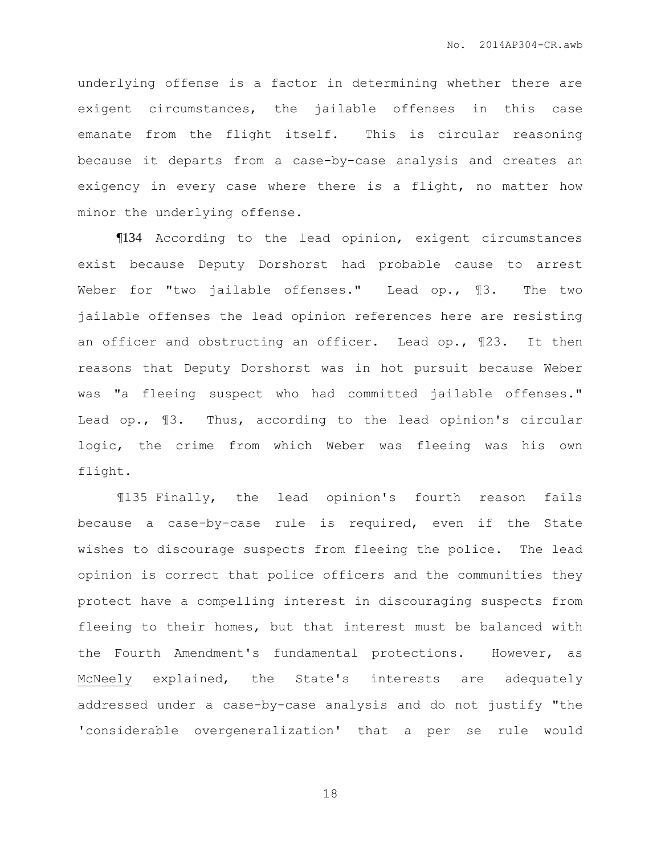underlying offense is a factor in determining whether there are exigent circumstances, the jailable offenses in this case emanate from the flight itself. This is circular reasoning because it departs from a case-by-case analysis and creates an exigency in every case where there is a flight, no matter how minor the underlying offense.

¶134 According to the lead opinion, exigent circumstances exist because Deputy Dorshorst had probable cause to arrest Weber for "two jailable offenses." Lead op., ¶3. The two jailable offenses the lead opinion references here are resisting an officer and obstructing an officer. Lead op., ¶23. It then reasons that Deputy Dorshorst was in hot pursuit because Weber was "a fleeing suspect who had committed jailable offenses." Lead op., ¶3. Thus, according to the lead opinion's circular logic, the crime from which Weber was fleeing was his own flight.

¶135 Finally, the lead opinion's fourth reason fails because a case-by-case rule is required, even if the State wishes to discourage suspects from fleeing the police. The lead opinion is correct that police officers and the communities they protect have a compelling interest in discouraging suspects from fleeing to their homes, but that interest must be balanced with the Fourth Amendment's fundamental protections. However, as McNeely explained, the State's interests are adequately addressed under a case-by-case analysis and do not justify "the 'considerable overgeneralization' that a per se rule would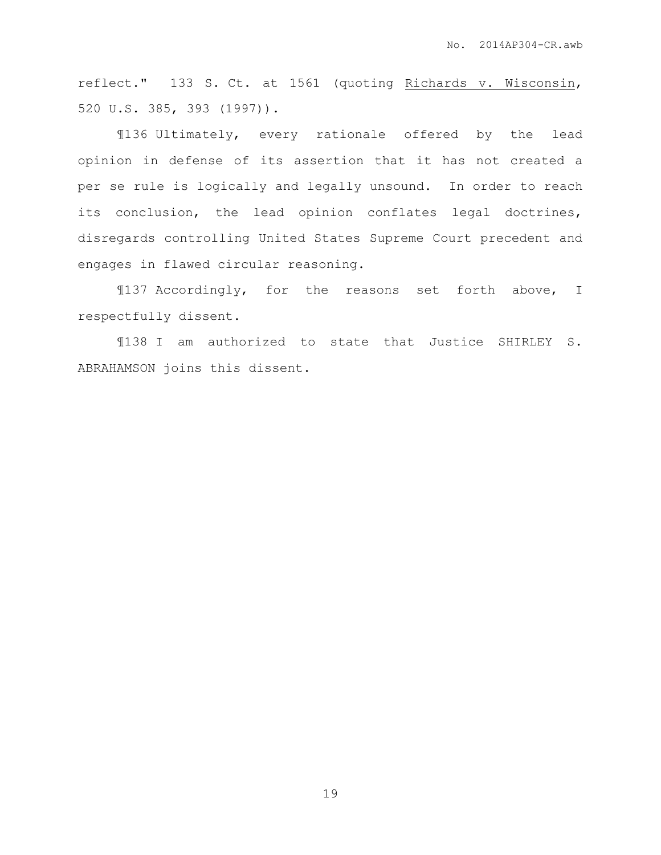reflect." 133 S. Ct. at 1561 (quoting Richards v. Wisconsin, 520 U.S. 385, 393 (1997)).

¶136 Ultimately, every rationale offered by the lead opinion in defense of its assertion that it has not created a per se rule is logically and legally unsound. In order to reach its conclusion, the lead opinion conflates legal doctrines, disregards controlling United States Supreme Court precedent and engages in flawed circular reasoning.

¶137 Accordingly, for the reasons set forth above, I respectfully dissent.

¶138 I am authorized to state that Justice SHIRLEY S. ABRAHAMSON joins this dissent.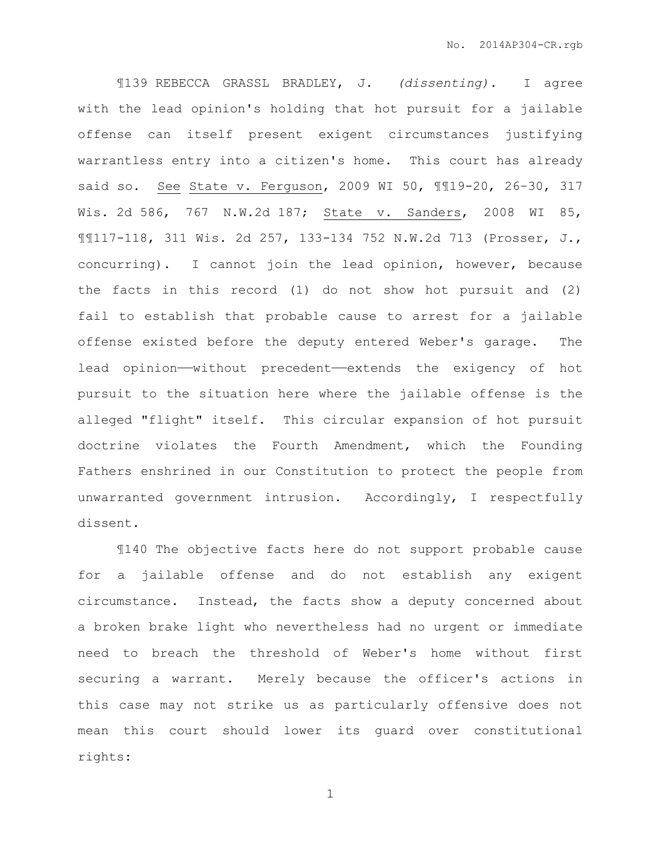¶139 REBECCA GRASSL BRADLEY, J. *(dissenting).* I agree with the lead opinion's holding that hot pursuit for a jailable offense can itself present exigent circumstances justifying warrantless entry into a citizen's home. This court has already said so. See State v. Ferguson, 2009 WI 50, ¶¶19-20, 26–30, 317 Wis. 2d 586, 767 N.W.2d 187; State v. Sanders, 2008 WI 85, ¶¶117-118, 311 Wis. 2d 257, 133-134 752 N.W.2d 713 (Prosser, J., concurring). I cannot join the lead opinion, however, because the facts in this record (1) do not show hot pursuit and (2) fail to establish that probable cause to arrest for a jailable offense existed before the deputy entered Weber's garage. The lead opinion—without precedent—extends the exigency of hot pursuit to the situation here where the jailable offense is the alleged "flight" itself. This circular expansion of hot pursuit doctrine violates the Fourth Amendment, which the Founding Fathers enshrined in our Constitution to protect the people from unwarranted government intrusion. Accordingly, I respectfully dissent.

¶140 The objective facts here do not support probable cause for a jailable offense and do not establish any exigent circumstance. Instead, the facts show a deputy concerned about a broken brake light who nevertheless had no urgent or immediate need to breach the threshold of Weber's home without first securing a warrant. Merely because the officer's actions in this case may not strike us as particularly offensive does not mean this court should lower its guard over constitutional rights: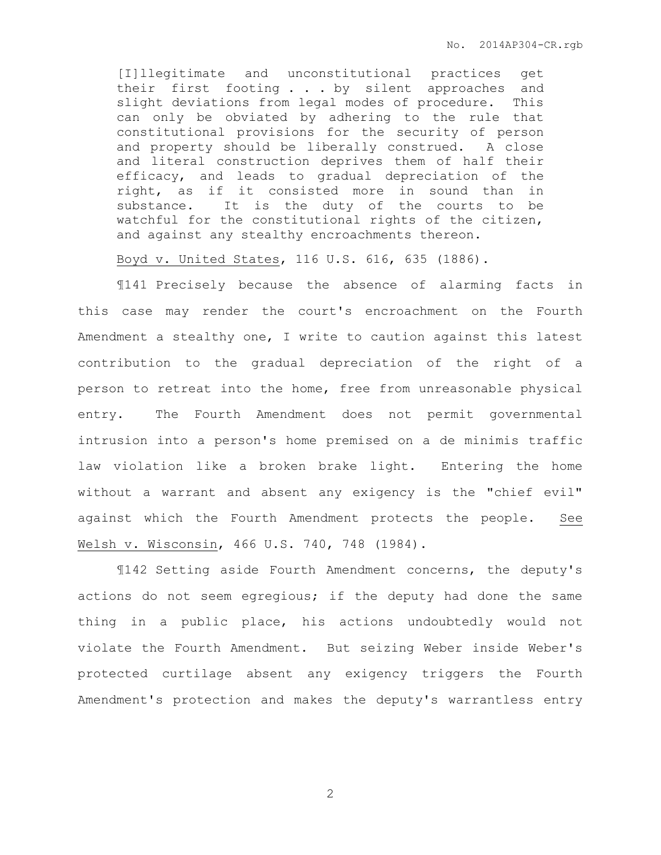[I]llegitimate and unconstitutional practices get their first footing . . . by silent approaches and slight deviations from legal modes of procedure. This can only be obviated by adhering to the rule that constitutional provisions for the security of person and property should be liberally construed. A close and literal construction deprives them of half their efficacy, and leads to gradual depreciation of the right, as if it consisted more in sound than in substance. It is the duty of the courts to be watchful for the constitutional rights of the citizen, and against any stealthy encroachments thereon.

Boyd v. United States, 116 U.S. 616, 635 (1886).

¶141 Precisely because the absence of alarming facts in this case may render the court's encroachment on the Fourth Amendment a stealthy one, I write to caution against this latest contribution to the gradual depreciation of the right of a person to retreat into the home, free from unreasonable physical entry. The Fourth Amendment does not permit governmental intrusion into a person's home premised on a de minimis traffic law violation like a broken brake light. Entering the home without a warrant and absent any exigency is the "chief evil" against which the Fourth Amendment protects the people. See Welsh v. Wisconsin, 466 U.S. 740, 748 (1984).

¶142 Setting aside Fourth Amendment concerns, the deputy's actions do not seem egregious; if the deputy had done the same thing in a public place, his actions undoubtedly would not violate the Fourth Amendment. But seizing Weber inside Weber's protected curtilage absent any exigency triggers the Fourth Amendment's protection and makes the deputy's warrantless entry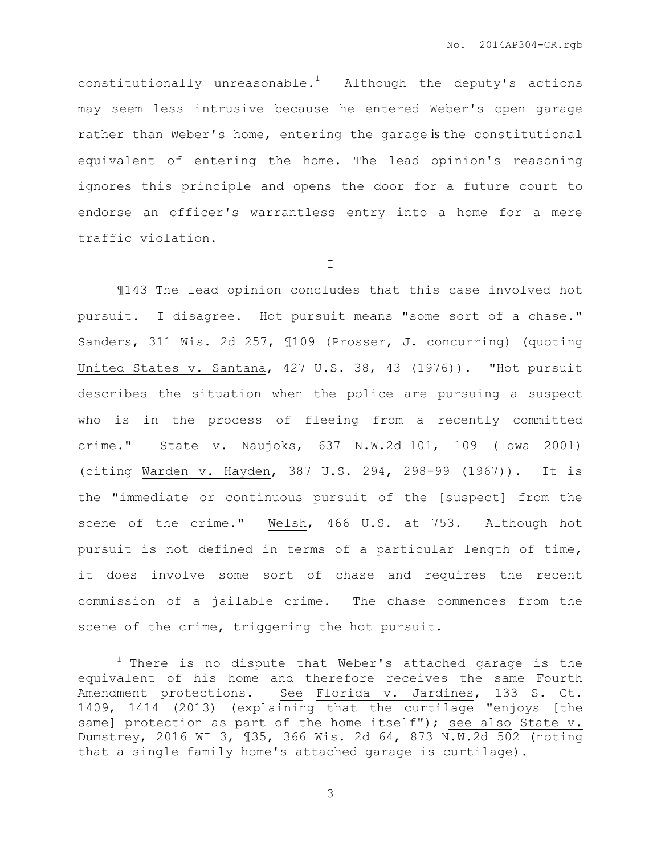constitutionally unreasonable.<sup>1</sup> Although the deputy's actions may seem less intrusive because he entered Weber's open garage rather than Weber's home, entering the garage is the constitutional equivalent of entering the home. The lead opinion's reasoning ignores this principle and opens the door for a future court to endorse an officer's warrantless entry into a home for a mere traffic violation.

I

¶143 The lead opinion concludes that this case involved hot pursuit. I disagree. Hot pursuit means "some sort of a chase." Sanders, 311 Wis. 2d 257, ¶109 (Prosser, J. concurring) (quoting United States v. Santana, 427 U.S. 38, 43 (1976)). "Hot pursuit describes the situation when the police are pursuing a suspect who is in the process of fleeing from a recently committed crime." State v. Naujoks, 637 N.W.2d 101, 109 (Iowa 2001) (citing Warden v. Hayden, 387 U.S. 294, 298-99 (1967)). It is the "immediate or continuous pursuit of the [suspect] from the scene of the crime." Welsh, 466 U.S. at 753. Although hot pursuit is not defined in terms of a particular length of time, it does involve some sort of chase and requires the recent commission of a jailable crime. The chase commences from the scene of the crime, triggering the hot pursuit.

 $\overline{a}$ 

 $1$  There is no dispute that Weber's attached garage is the equivalent of his home and therefore receives the same Fourth Amendment protections. See Florida v. Jardines, 133 S. Ct. 1409, 1414 (2013) (explaining that the curtilage "enjoys [the same] protection as part of the home itself"); see also State v. Dumstrey, 2016 WI 3, ¶35, 366 Wis. 2d 64, 873 N.W.2d 502 (noting that a single family home's attached garage is curtilage).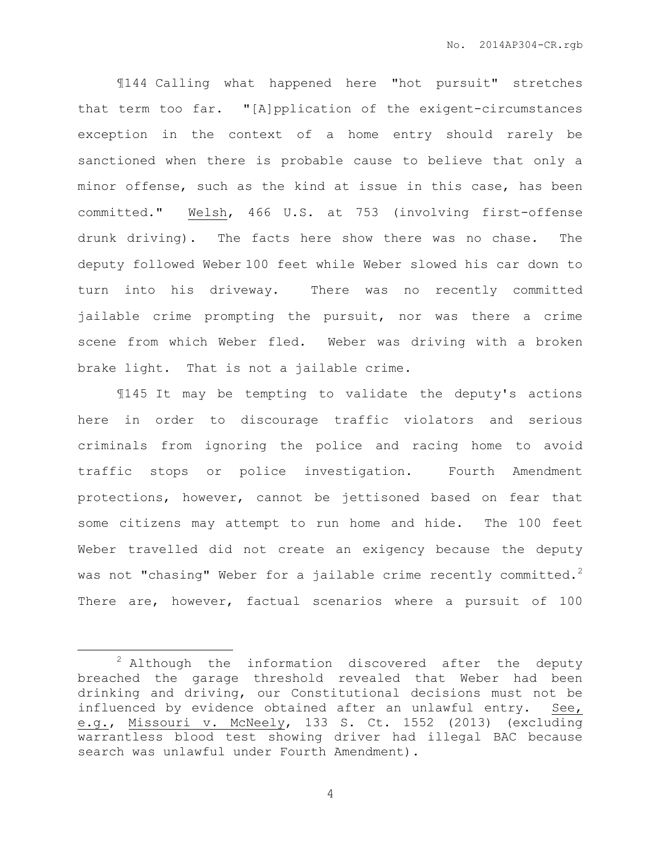¶144 Calling what happened here "hot pursuit" stretches that term too far. "[A]pplication of the exigent-circumstances exception in the context of a home entry should rarely be sanctioned when there is probable cause to believe that only a minor offense, such as the kind at issue in this case, has been committed." Welsh, 466 U.S. at 753 (involving first-offense drunk driving). The facts here show there was no chase. The deputy followed Weber 100 feet while Weber slowed his car down to turn into his driveway. There was no recently committed jailable crime prompting the pursuit, nor was there a crime scene from which Weber fled. Weber was driving with a broken brake light. That is not a jailable crime.

¶145 It may be tempting to validate the deputy's actions here in order to discourage traffic violators and serious criminals from ignoring the police and racing home to avoid traffic stops or police investigation. Fourth Amendment protections, however, cannot be jettisoned based on fear that some citizens may attempt to run home and hide. The 100 feet Weber travelled did not create an exigency because the deputy was not "chasing" Weber for a jailable crime recently committed.<sup>2</sup> There are, however, factual scenarios where a pursuit of 100

 $\overline{a}$ 

 $2$  Although the information discovered after the deputy breached the garage threshold revealed that Weber had been drinking and driving, our Constitutional decisions must not be influenced by evidence obtained after an unlawful entry. See, e.g., Missouri v. McNeely, 133 S. Ct. 1552 (2013) (excluding warrantless blood test showing driver had illegal BAC because search was unlawful under Fourth Amendment).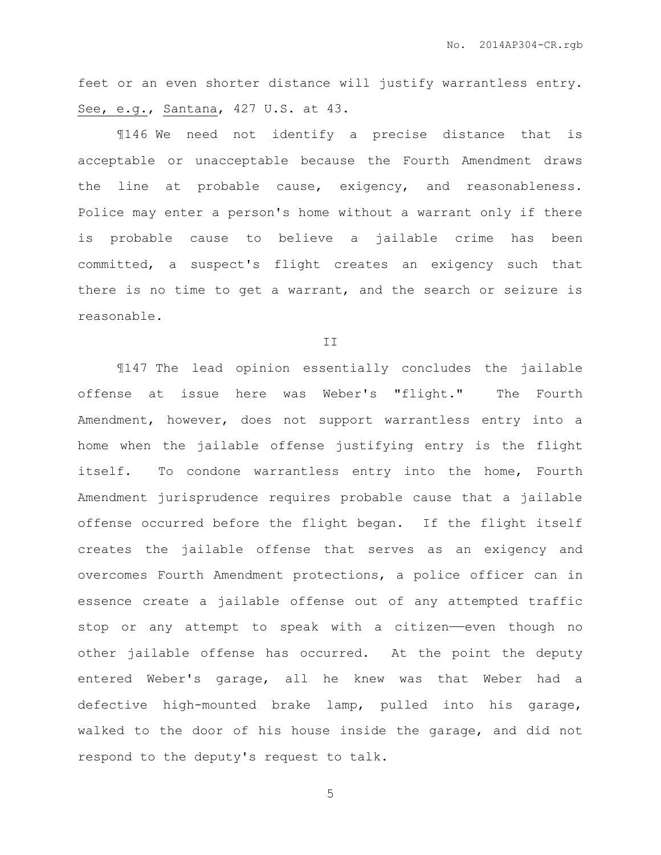feet or an even shorter distance will justify warrantless entry. See, e.g., Santana, 427 U.S. at 43.

¶146 We need not identify a precise distance that is acceptable or unacceptable because the Fourth Amendment draws the line at probable cause, exigency, and reasonableness. Police may enter a person's home without a warrant only if there is probable cause to believe a jailable crime has been committed, a suspect's flight creates an exigency such that there is no time to get a warrant, and the search or seizure is reasonable.

II

¶147 The lead opinion essentially concludes the jailable offense at issue here was Weber's "flight." The Fourth Amendment, however, does not support warrantless entry into a home when the jailable offense justifying entry is the flight itself. To condone warrantless entry into the home, Fourth Amendment jurisprudence requires probable cause that a jailable offense occurred before the flight began. If the flight itself creates the jailable offense that serves as an exigency and overcomes Fourth Amendment protections, a police officer can in essence create a jailable offense out of any attempted traffic stop or any attempt to speak with a citizen——even though no other jailable offense has occurred. At the point the deputy entered Weber's garage, all he knew was that Weber had a defective high-mounted brake lamp, pulled into his garage, walked to the door of his house inside the garage, and did not respond to the deputy's request to talk.